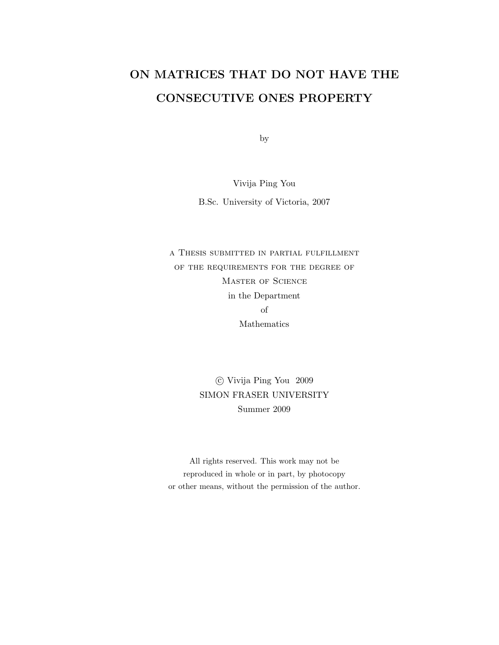## ON MATRICES THAT DO NOT HAVE THE CONSECUTIVE ONES PROPERTY

by

Vivija Ping You

B.Sc. University of Victoria, 2007

a Thesis submitted in partial fulfillment of the requirements for the degree of Master of Science in the Department of Mathematics

> c Vivija Ping You 2009 SIMON FRASER UNIVERSITY Summer 2009

All rights reserved. This work may not be reproduced in whole or in part, by photocopy or other means, without the permission of the author.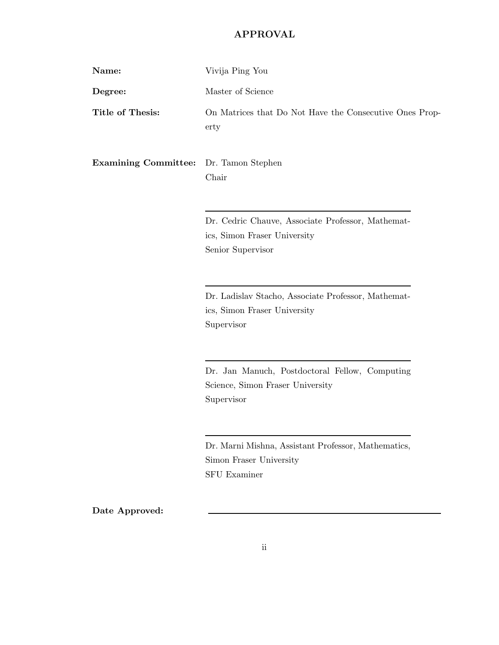## APPROVAL

| Name:                       | Vivija Ping You                                                                                        |
|-----------------------------|--------------------------------------------------------------------------------------------------------|
| Degree:                     | Master of Science                                                                                      |
| Title of Thesis:            | On Matrices that Do Not Have the Consecutive Ones Prop-<br>erty                                        |
| <b>Examining Committee:</b> | Dr. Tamon Stephen<br>Chair                                                                             |
|                             | Dr. Cedric Chauve, Associate Professor, Mathemat-<br>ics, Simon Fraser University<br>Senior Supervisor |
|                             | Dr. Ladislav Stacho, Associate Professor, Mathemat-<br>ics, Simon Fraser University<br>Supervisor      |
|                             | Dr. Jan Manuch, Postdoctoral Fellow, Computing<br>Science, Simon Fraser University<br>Supervisor       |
|                             | Dr. Marni Mishna, Assistant Professor, Mathematics,<br>Simon Fraser University<br><b>SFU Examiner</b>  |
| Date Approved:              |                                                                                                        |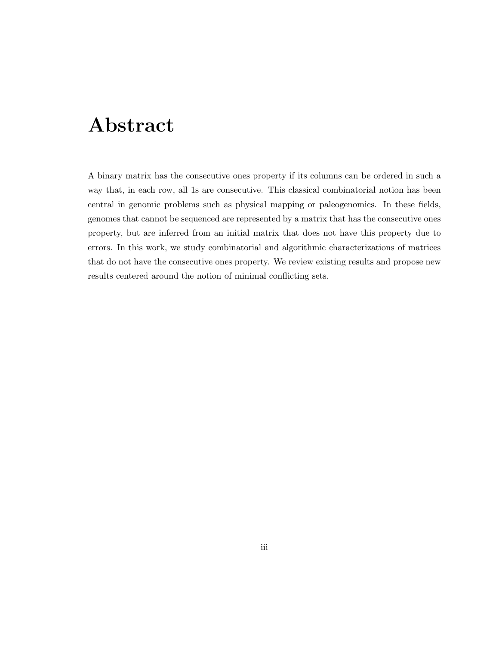## Abstract

A binary matrix has the consecutive ones property if its columns can be ordered in such a way that, in each row, all 1s are consecutive. This classical combinatorial notion has been central in genomic problems such as physical mapping or paleogenomics. In these fields, genomes that cannot be sequenced are represented by a matrix that has the consecutive ones property, but are inferred from an initial matrix that does not have this property due to errors. In this work, we study combinatorial and algorithmic characterizations of matrices that do not have the consecutive ones property. We review existing results and propose new results centered around the notion of minimal conflicting sets.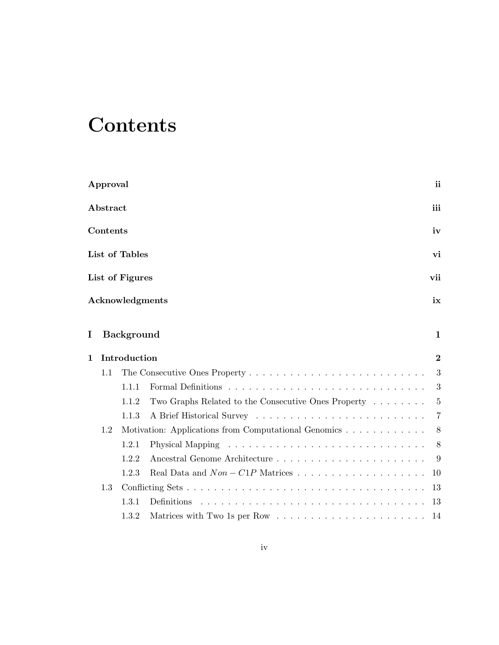# **Contents**

|   | Approval |                   |                                                                                | ii             |
|---|----------|-------------------|--------------------------------------------------------------------------------|----------------|
|   | Abstract |                   |                                                                                | iii            |
|   | Contents |                   |                                                                                | iv             |
|   |          | List of Tables    |                                                                                | vi             |
|   |          | List of Figures   |                                                                                | vii            |
|   |          | Acknowledgments   |                                                                                | ix             |
| 1 |          | <b>Background</b> |                                                                                | $\mathbf 1$    |
| 1 |          | Introduction      |                                                                                | $\bf{2}$       |
|   | 1.1      |                   |                                                                                | 3              |
|   |          | 1.1.1             |                                                                                | 3              |
|   |          | 1.1.2             | Two Graphs Related to the Consecutive Ones Property                            | $\overline{5}$ |
|   |          | 1.1.3             |                                                                                | 7              |
|   | 1.2      |                   | Motivation: Applications from Computational Genomics                           | 8              |
|   |          | 1.2.1             |                                                                                | 8              |
|   |          | 1.2.2             |                                                                                | 9              |
|   |          | 1.2.3             |                                                                                | 10             |
|   | 1.3      |                   |                                                                                | 13             |
|   |          | 1.3.1             | Definitions                                                                    | 13             |
|   |          | 1.3.2             | Matrices with Two 1s per Row $\dots \dots \dots \dots \dots \dots \dots \dots$ | 14             |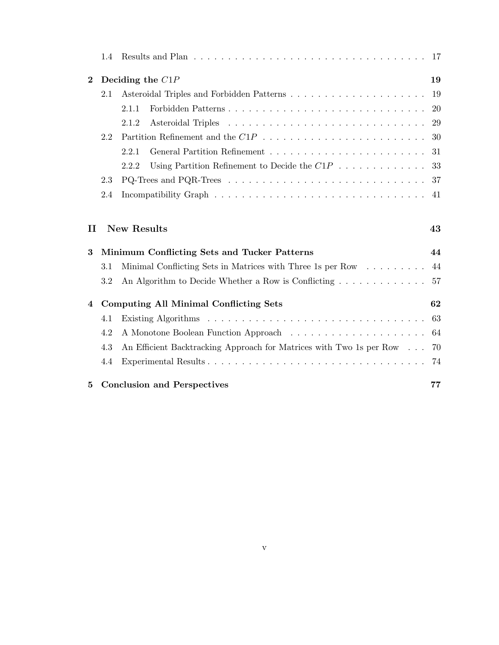|              | 1.4     |                                                                          |      |
|--------------|---------|--------------------------------------------------------------------------|------|
| $\bf{2}$     |         | Deciding the $C1P$                                                       | 19   |
|              | 2.1     |                                                                          | 19   |
|              |         | 2.1.1                                                                    | 20   |
|              |         | 2.1.2                                                                    | 29   |
|              | 2.2     |                                                                          | - 30 |
|              |         | 2.2.1                                                                    | 31   |
|              |         | Using Partition Refinement to Decide the $C1P$<br>2.2.2                  | 33   |
|              | 2.3     |                                                                          |      |
|              | 2.4     |                                                                          | 41   |
|              |         |                                                                          |      |
| $\mathbf{I}$ |         | <b>New Results</b>                                                       | 43   |
| 3            |         | Minimum Conflicting Sets and Tucker Patterns                             | 44   |
|              | $3.1\,$ | Minimal Conflicting Sets in Matrices with Three 1s per Row $\dots \dots$ | 44   |
|              | 3.2     | An Algorithm to Decide Whether a Row is Conflicting                      | 57   |
| 4            |         | <b>Computing All Minimal Conflicting Sets</b>                            | 62   |
|              | 4.1     |                                                                          | 63   |
|              | 4.2     |                                                                          | 64   |
|              | 4.3     | An Efficient Backtracking Approach for Matrices with Two 1s per Row      | 70   |
|              | 4.4     |                                                                          | 74   |
| 5            |         | <b>Conclusion and Perspectives</b>                                       | 77   |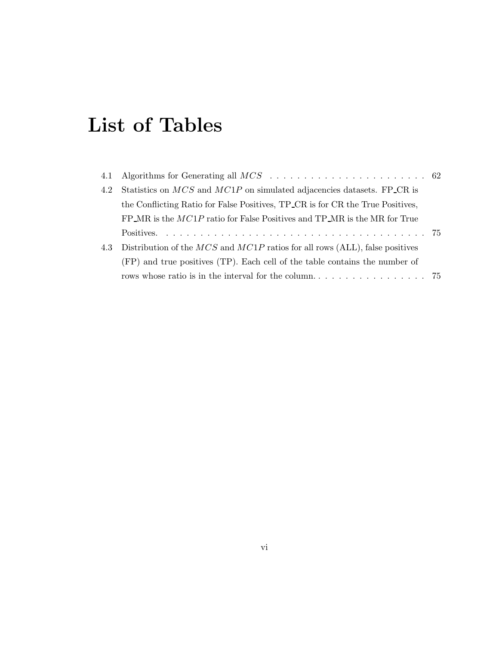# List of Tables

| 4.2 | Statistics on $MCS$ and $MCIP$ on simulated adjacencies datasets. FP_CR is       |  |
|-----|----------------------------------------------------------------------------------|--|
|     | the Conflicting Ratio for False Positives, TP_CR is for CR the True Positives,   |  |
|     | $FP\_MR$ is the $MCIP$ ratio for False Positives and $TP\_MR$ is the MR for True |  |
|     |                                                                                  |  |
| 4.3 | Distribution of the $MCS$ and $MCIP$ ratios for all rows (ALL), false positives  |  |
|     | (FP) and true positives (TP). Each cell of the table contains the number of      |  |
|     |                                                                                  |  |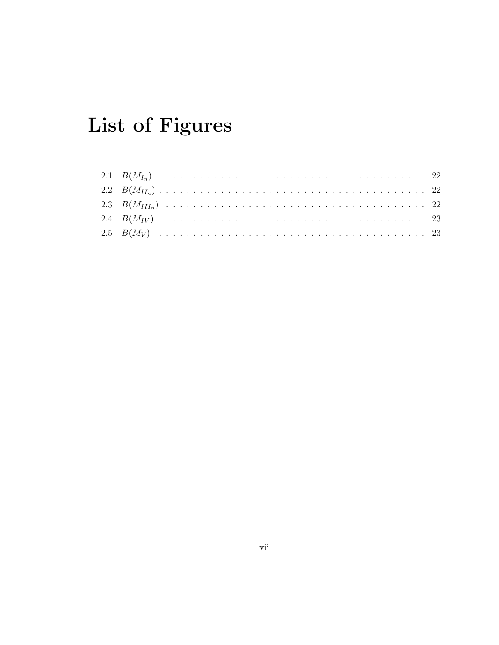# List of Figures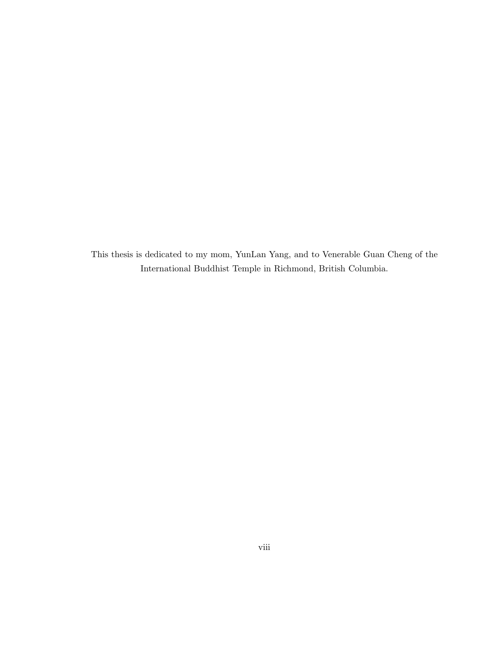This thesis is dedicated to my mom, YunLan Yang, and to Venerable Guan Cheng of the International Buddhist Temple in Richmond, British Columbia.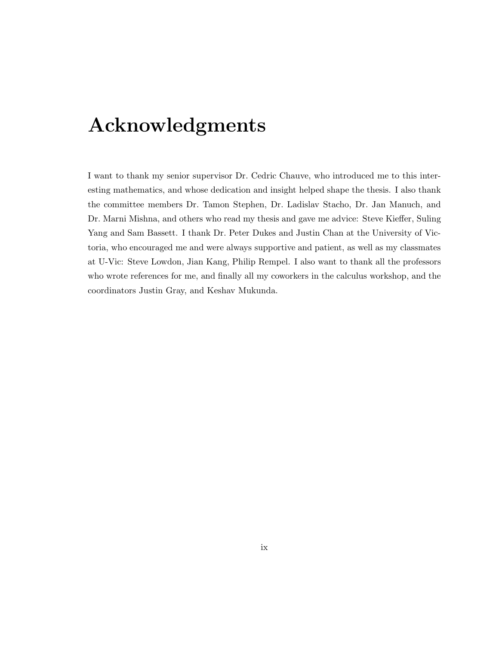# Acknowledgments

I want to thank my senior supervisor Dr. Cedric Chauve, who introduced me to this interesting mathematics, and whose dedication and insight helped shape the thesis. I also thank the committee members Dr. Tamon Stephen, Dr. Ladislav Stacho, Dr. Jan Manuch, and Dr. Marni Mishna, and others who read my thesis and gave me advice: Steve Kieffer, Suling Yang and Sam Bassett. I thank Dr. Peter Dukes and Justin Chan at the University of Victoria, who encouraged me and were always supportive and patient, as well as my classmates at U-Vic: Steve Lowdon, Jian Kang, Philip Rempel. I also want to thank all the professors who wrote references for me, and finally all my coworkers in the calculus workshop, and the coordinators Justin Gray, and Keshav Mukunda.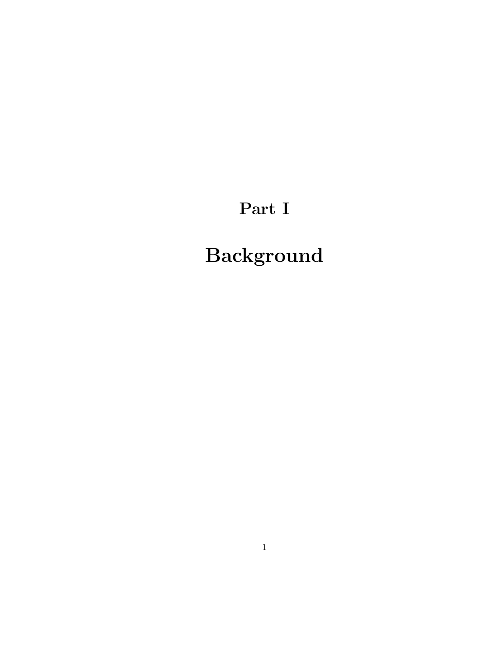# Part I

# Background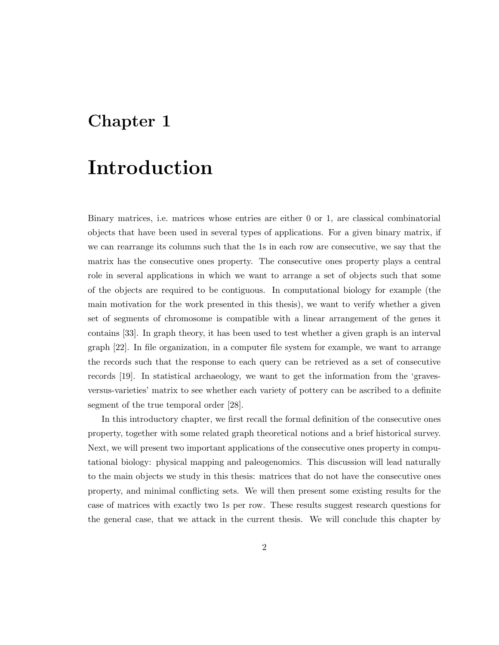## Chapter 1

## Introduction

Binary matrices, i.e. matrices whose entries are either 0 or 1, are classical combinatorial objects that have been used in several types of applications. For a given binary matrix, if we can rearrange its columns such that the 1s in each row are consecutive, we say that the matrix has the consecutive ones property. The consecutive ones property plays a central role in several applications in which we want to arrange a set of objects such that some of the objects are required to be contiguous. In computational biology for example (the main motivation for the work presented in this thesis), we want to verify whether a given set of segments of chromosome is compatible with a linear arrangement of the genes it contains [33]. In graph theory, it has been used to test whether a given graph is an interval graph [22]. In file organization, in a computer file system for example, we want to arrange the records such that the response to each query can be retrieved as a set of consecutive records [19]. In statistical archaeology, we want to get the information from the 'gravesversus-varieties' matrix to see whether each variety of pottery can be ascribed to a definite segment of the true temporal order [28].

In this introductory chapter, we first recall the formal definition of the consecutive ones property, together with some related graph theoretical notions and a brief historical survey. Next, we will present two important applications of the consecutive ones property in computational biology: physical mapping and paleogenomics. This discussion will lead naturally to the main objects we study in this thesis: matrices that do not have the consecutive ones property, and minimal conflicting sets. We will then present some existing results for the case of matrices with exactly two 1s per row. These results suggest research questions for the general case, that we attack in the current thesis. We will conclude this chapter by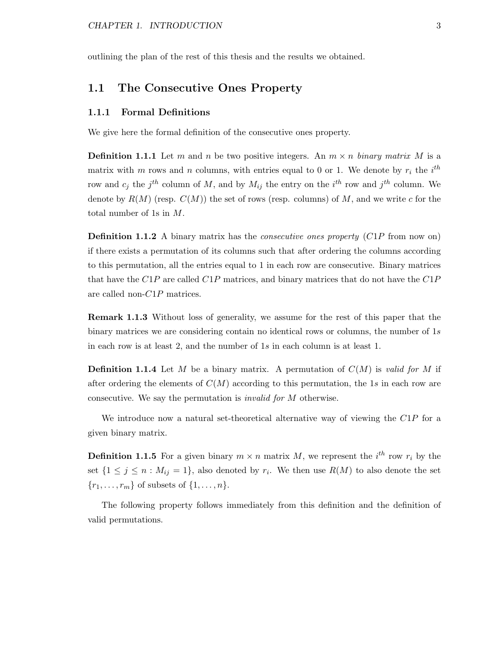outlining the plan of the rest of this thesis and the results we obtained.

### 1.1 The Consecutive Ones Property

#### 1.1.1 Formal Definitions

We give here the formal definition of the consecutive ones property.

**Definition 1.1.1** Let m and n be two positive integers. An  $m \times n$  binary matrix M is a matrix with m rows and n columns, with entries equal to 0 or 1. We denote by  $r_i$  the  $i^{th}$ row and  $c_j$  the  $j^{th}$  column of M, and by  $M_{ij}$  the entry on the  $i^{th}$  row and  $j^{th}$  column. We denote by  $R(M)$  (resp.  $C(M)$ ) the set of rows (resp. columns) of M, and we write c for the total number of 1s in M.

**Definition 1.1.2** A binary matrix has the *consecutive ones property* (C1P from now on) if there exists a permutation of its columns such that after ordering the columns according to this permutation, all the entries equal to 1 in each row are consecutive. Binary matrices that have the  $C1P$  are called  $C1P$  matrices, and binary matrices that do not have the  $C1P$ are called non-C1P matrices.

Remark 1.1.3 Without loss of generality, we assume for the rest of this paper that the binary matrices we are considering contain no identical rows or columns, the number of 1s in each row is at least 2, and the number of 1s in each column is at least 1.

**Definition 1.1.4** Let M be a binary matrix. A permutation of  $C(M)$  is valid for M if after ordering the elements of  $C(M)$  according to this permutation, the 1s in each row are consecutive. We say the permutation is invalid for M otherwise.

We introduce now a natural set-theoretical alternative way of viewing the C1P for a given binary matrix.

**Definition 1.1.5** For a given binary  $m \times n$  matrix M, we represent the  $i^{th}$  row  $r_i$  by the set  $\{1 \leq j \leq n : M_{ij} = 1\}$ , also denoted by  $r_i$ . We then use  $R(M)$  to also denote the set  $\{r_1, \ldots, r_m\}$  of subsets of  $\{1, \ldots, n\}.$ 

The following property follows immediately from this definition and the definition of valid permutations.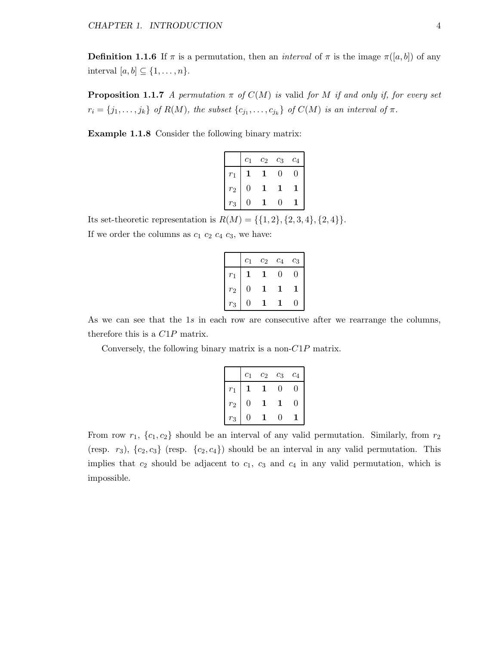**Definition 1.1.6** If  $\pi$  is a permutation, then an *interval* of  $\pi$  is the image  $\pi([a, b])$  of any interval  $[a, b] \subseteq \{1, \ldots, n\}.$ 

**Proposition 1.1.7** A permutation  $\pi$  of  $C(M)$  is valid for M if and only if, for every set  $r_i = \{j_1, \ldots, j_k\}$  of  $R(M)$ , the subset  $\{c_{j_1}, \ldots, c_{j_k}\}$  of  $C(M)$  is an interval of  $\pi$ .

Example 1.1.8 Consider the following binary matrix:

|                   | $\overline{c}_1$ | $\scriptstyle{c_2}$ | $c_3$    | $\overline{c_4}$ |
|-------------------|------------------|---------------------|----------|------------------|
| $r_1$             |                  |                     | $\Omega$ | 0                |
| $r_2$             | 0                |                     |          |                  |
| $\ddot{\text{3}}$ | 0                |                     | O        |                  |

Its set-theoretic representation is  $R(M) = \{\{1, 2\}, \{2, 3, 4\}, \{2, 4\}\}.$ If we order the columns as  $c_1$   $c_2$   $c_4$   $c_3$ , we have:

|       | $_{c_1}$ | $c_2$ | $c_4$ | $c_3$ |
|-------|----------|-------|-------|-------|
| $r_1$ |          |       | 0     | .,    |
| $r_2$ | 0        |       |       |       |
| $r_3$ |          |       |       |       |

As we can see that the 1s in each row are consecutive after we rearrange the columns, therefore this is a C1P matrix.

Conversely, the following binary matrix is a non- $C1P$  matrix.

|             | $c_1$ | $c_2$ | $c_3$ | $c_4$ |
|-------------|-------|-------|-------|-------|
| $r_1$       |       |       | 0     |       |
| $r_{\rm 2}$ | O     |       |       | 0     |
| $r_3$       |       |       |       |       |

From row  $r_1$ ,  $\{c_1, c_2\}$  should be an interval of any valid permutation. Similarly, from  $r_2$ (resp.  $r_3$ ),  $\{c_2, c_3\}$  (resp.  $\{c_2, c_4\}$ ) should be an interval in any valid permutation. This implies that  $c_2$  should be adjacent to  $c_1$ ,  $c_3$  and  $c_4$  in any valid permutation, which is impossible.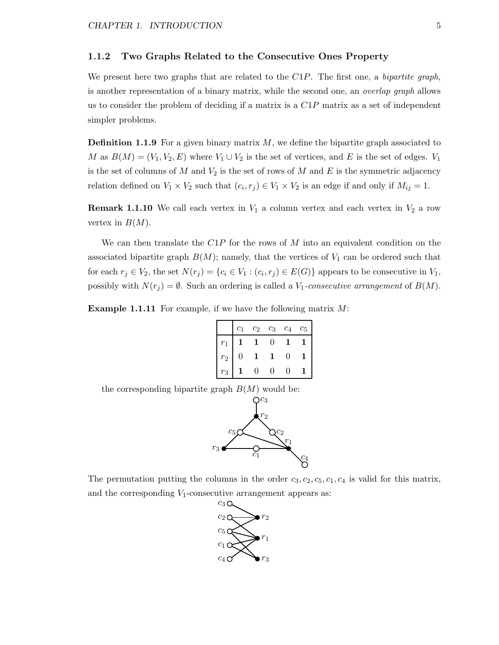#### 1.1.2 Two Graphs Related to the Consecutive Ones Property

We present here two graphs that are related to the  $C1P$ . The first one, a *bipartite graph*, is another representation of a binary matrix, while the second one, an overlap graph allows us to consider the problem of deciding if a matrix is a  $C1P$  matrix as a set of independent simpler problems.

**Definition 1.1.9** For a given binary matrix  $M$ , we define the bipartite graph associated to M as  $B(M) = (V_1, V_2, E)$  where  $V_1 \cup V_2$  is the set of vertices, and E is the set of edges.  $V_1$ is the set of columns of M and  $V_2$  is the set of rows of M and E is the symmetric adjacency relation defined on  $V_1 \times V_2$  such that  $(c_i, r_j) \in V_1 \times V_2$  is an edge if and only if  $M_{ij} = 1$ .

**Remark 1.1.10** We call each vertex in  $V_1$  a column vertex and each vertex in  $V_2$  a row vertex in  $B(M)$ .

We can then translate the  $C1P$  for the rows of M into an equivalent condition on the associated bipartite graph  $B(M)$ ; namely, that the vertices of  $V_1$  can be ordered such that for each  $r_j \in V_2$ , the set  $N(r_j) = \{c_i \in V_1 : (c_i, r_j) \in E(G)\}\$  appears to be consecutive in  $V_1$ , possibly with  $N(r_j) = \emptyset$ . Such an ordering is called a  $V_1$ -consecutive arrangement of  $B(M)$ .

**Example 1.1.11** For example, if we have the following matrix  $M$ :

|       | ۰, | $c_2$ | $c_3$ | $c_A$ | $c_{5}$ |
|-------|----|-------|-------|-------|---------|
|       |    |       |       |       |         |
| $r_2$ |    |       |       | 0     |         |
| ຳງ    |    |       |       |       |         |

the corresponding bipartite graph  $B(M)$  would be:



The permutation putting the columns in the order  $c_3, c_2, c_5, c_1, c_4$  is valid for this matrix, and the corresponding  $V_1$ -consecutive arrangement appears as:

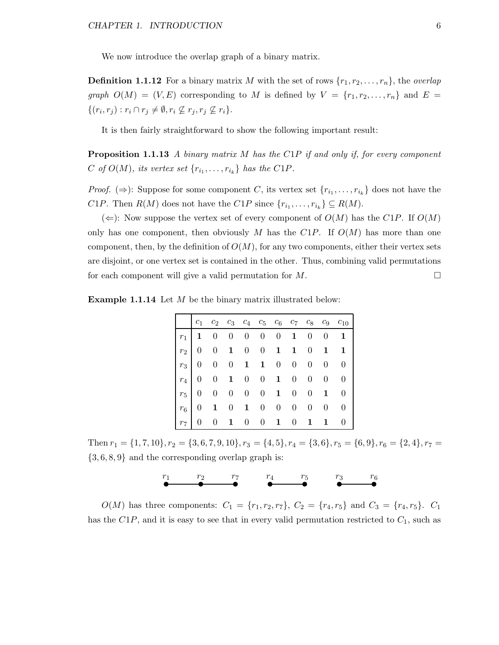We now introduce the overlap graph of a binary matrix.

**Definition 1.1.12** For a binary matrix M with the set of rows  $\{r_1, r_2, \ldots, r_n\}$ , the *overlap* graph  $O(M) = (V, E)$  corresponding to M is defined by  $V = \{r_1, r_2, \ldots, r_n\}$  and  $E =$  $\{(r_i,r_j): r_i \cap r_j \neq \emptyset, r_i \nsubseteq r_j, r_j \nsubseteq r_i\}.$ 

It is then fairly straightforward to show the following important result:

**Proposition 1.1.13** A binary matrix M has the C1P if and only if, for every component C of  $O(M)$ , its vertex set  $\{r_{i_1}, \ldots, r_{i_k}\}$  has the C1P.

*Proof.*  $(\Rightarrow)$ : Suppose for some component C, its vertex set  $\{r_{i_1}, \ldots, r_{i_k}\}$  does not have the C1P. Then  $R(M)$  does not have the C1P since  $\{r_{i_1}, \ldots, r_{i_k}\} \subseteq R(M)$ .

 $(\Leftarrow)$ : Now suppose the vertex set of every component of  $O(M)$  has the C1P. If  $O(M)$ only has one component, then obviously M has the C1P. If  $O(M)$  has more than one component, then, by the definition of  $O(M)$ , for any two components, either their vertex sets are disjoint, or one vertex set is contained in the other. Thus, combining valid permutations for each component will give a valid permutation for  $M$ .

**Example 1.1.14** Let  $M$  be the binary matrix illustrated below:

|  |                               |  |  |  | $c_1$ $c_2$ $c_3$ $c_4$ $c_5$ $c_6$ $c_7$ $c_8$ $c_9$ $c_{10}$ |
|--|-------------------------------|--|--|--|----------------------------------------------------------------|
|  |                               |  |  |  | $r_1$   1 0 0 0 0 0 1 0 0 1                                    |
|  |                               |  |  |  | $r_2$   0 0 1 0 0 1 1 0 1 1                                    |
|  | $r_3$ 0 0 0 1 1 0 0 0 0 0 0   |  |  |  |                                                                |
|  | $r_4$   0 0 1 0 0 1 0 0 0 0 0 |  |  |  |                                                                |
|  | $r_5$ 0 0 0 0 0 1 0 0 1 0     |  |  |  |                                                                |
|  | $r_6$ 0 1 0 1 0 0 0 0 0 0     |  |  |  |                                                                |
|  |                               |  |  |  | $r_7$ 0 0 1 0 0 1 0 1 1 0                                      |

Then  $r_1 = \{1, 7, 10\}$ ,  $r_2 = \{3, 6, 7, 9, 10\}$ ,  $r_3 = \{4, 5\}$ ,  $r_4 = \{3, 6\}$ ,  $r_5 = \{6, 9\}$ ,  $r_6 = \{2, 4\}$ ,  $r_7 = \{2, 4\}$  ${3, 6, 8, 9}$  and the corresponding overlap graph is:



 $O(M)$  has three components:  $C_1 = \{r_1, r_2, r_7\}, C_2 = \{r_4, r_5\}$  and  $C_3 = \{r_4, r_5\}.$   $C_1$ has the  $C1P$ , and it is easy to see that in every valid permutation restricted to  $C_1$ , such as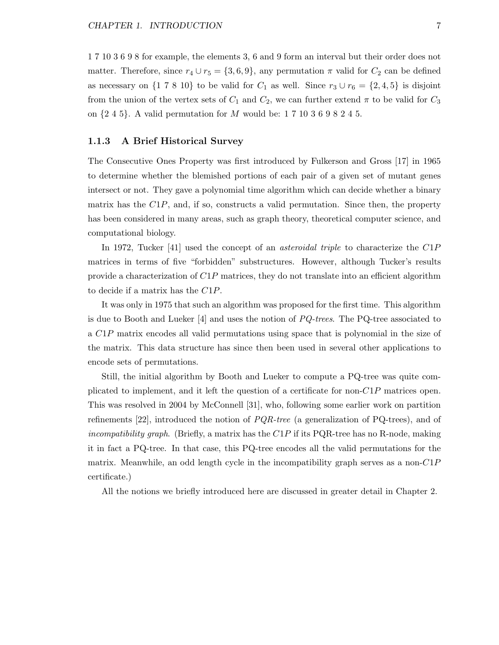1 7 10 3 6 9 8 for example, the elements 3, 6 and 9 form an interval but their order does not matter. Therefore, since  $r_4 \cup r_5 = \{3, 6, 9\}$ , any permutation  $\pi$  valid for  $C_2$  can be defined as necessary on  $\{1\ 7\ 8\ 10\}$  to be valid for  $C_1$  as well. Since  $r_3 \cup r_6 = \{2, 4, 5\}$  is disjoint from the union of the vertex sets of  $C_1$  and  $C_2$ , we can further extend  $\pi$  to be valid for  $C_3$ on  $\{2, 4, 5\}$ . A valid permutation for M would be: 1 7 10 3 6 9 8 2 4 5.

#### 1.1.3 A Brief Historical Survey

The Consecutive Ones Property was first introduced by Fulkerson and Gross [17] in 1965 to determine whether the blemished portions of each pair of a given set of mutant genes intersect or not. They gave a polynomial time algorithm which can decide whether a binary matrix has the  $C1P$ , and, if so, constructs a valid permutation. Since then, the property has been considered in many areas, such as graph theory, theoretical computer science, and computational biology.

In 1972, Tucker [41] used the concept of an *asteroidal triple* to characterize the C1P matrices in terms of five "forbidden" substructures. However, although Tucker's results provide a characterization of  $C1P$  matrices, they do not translate into an efficient algorithm to decide if a matrix has the C1P.

It was only in 1975 that such an algorithm was proposed for the first time. This algorithm is due to Booth and Lueker  $[4]$  and uses the notion of  $PQ$ -trees. The PQ-tree associated to a C1P matrix encodes all valid permutations using space that is polynomial in the size of the matrix. This data structure has since then been used in several other applications to encode sets of permutations.

Still, the initial algorithm by Booth and Lueker to compute a PQ-tree was quite complicated to implement, and it left the question of a certificate for non- $C1P$  matrices open. This was resolved in 2004 by McConnell [31], who, following some earlier work on partition refinements [22], introduced the notion of  $PQR-tree$  (a generalization of PQ-trees), and of incompatibility graph. (Briefly, a matrix has the  $C1P$  if its PQR-tree has no R-node, making it in fact a PQ-tree. In that case, this PQ-tree encodes all the valid permutations for the matrix. Meanwhile, an odd length cycle in the incompatibility graph serves as a non- $C1P$ certificate.)

All the notions we briefly introduced here are discussed in greater detail in Chapter 2.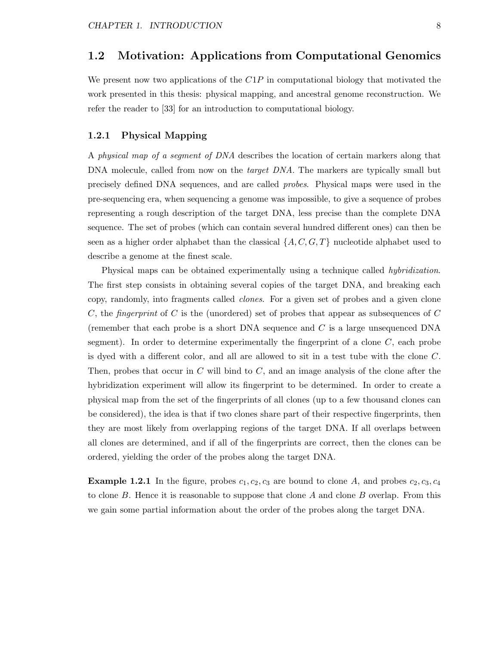### 1.2 Motivation: Applications from Computational Genomics

We present now two applications of the  $C1P$  in computational biology that motivated the work presented in this thesis: physical mapping, and ancestral genome reconstruction. We refer the reader to [33] for an introduction to computational biology.

#### 1.2.1 Physical Mapping

A physical map of a segment of DNA describes the location of certain markers along that DNA molecule, called from now on the *target DNA*. The markers are typically small but precisely defined DNA sequences, and are called probes. Physical maps were used in the pre-sequencing era, when sequencing a genome was impossible, to give a sequence of probes representing a rough description of the target DNA, less precise than the complete DNA sequence. The set of probes (which can contain several hundred different ones) can then be seen as a higher order alphabet than the classical  $\{A, C, G, T\}$  nucleotide alphabet used to describe a genome at the finest scale.

Physical maps can be obtained experimentally using a technique called *hybridization*. The first step consists in obtaining several copies of the target DNA, and breaking each copy, randomly, into fragments called clones. For a given set of probes and a given clone C, the *fingerprint* of C is the (unordered) set of probes that appear as subsequences of C (remember that each probe is a short DNA sequence and  $C$  is a large unsequenced DNA segment). In order to determine experimentally the fingerprint of a clone  $C$ , each probe is dyed with a different color, and all are allowed to sit in a test tube with the clone C. Then, probes that occur in  $C$  will bind to  $C$ , and an image analysis of the clone after the hybridization experiment will allow its fingerprint to be determined. In order to create a physical map from the set of the fingerprints of all clones (up to a few thousand clones can be considered), the idea is that if two clones share part of their respective fingerprints, then they are most likely from overlapping regions of the target DNA. If all overlaps between all clones are determined, and if all of the fingerprints are correct, then the clones can be ordered, yielding the order of the probes along the target DNA.

**Example 1.2.1** In the figure, probes  $c_1, c_2, c_3$  are bound to clone A, and probes  $c_2, c_3, c_4$ to clone B. Hence it is reasonable to suppose that clone A and clone B overlap. From this we gain some partial information about the order of the probes along the target DNA.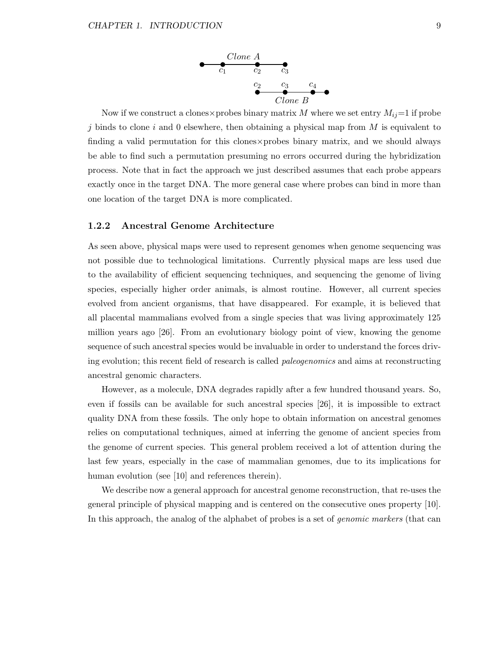

Now if we construct a clones×probes binary matrix M where we set entry  $M_{ij}=1$  if probe j binds to clone i and 0 elsewhere, then obtaining a physical map from  $M$  is equivalent to finding a valid permutation for this clones×probes binary matrix, and we should always be able to find such a permutation presuming no errors occurred during the hybridization process. Note that in fact the approach we just described assumes that each probe appears exactly once in the target DNA. The more general case where probes can bind in more than one location of the target DNA is more complicated.

#### 1.2.2 Ancestral Genome Architecture

As seen above, physical maps were used to represent genomes when genome sequencing was not possible due to technological limitations. Currently physical maps are less used due to the availability of efficient sequencing techniques, and sequencing the genome of living species, especially higher order animals, is almost routine. However, all current species evolved from ancient organisms, that have disappeared. For example, it is believed that all placental mammalians evolved from a single species that was living approximately 125 million years ago [26]. From an evolutionary biology point of view, knowing the genome sequence of such ancestral species would be invaluable in order to understand the forces driving evolution; this recent field of research is called *paleogenomics* and aims at reconstructing ancestral genomic characters.

However, as a molecule, DNA degrades rapidly after a few hundred thousand years. So, even if fossils can be available for such ancestral species [26], it is impossible to extract quality DNA from these fossils. The only hope to obtain information on ancestral genomes relies on computational techniques, aimed at inferring the genome of ancient species from the genome of current species. This general problem received a lot of attention during the last few years, especially in the case of mammalian genomes, due to its implications for human evolution (see [10] and references therein).

We describe now a general approach for ancestral genome reconstruction, that re-uses the general principle of physical mapping and is centered on the consecutive ones property [10]. In this approach, the analog of the alphabet of probes is a set of *genomic markers* (that can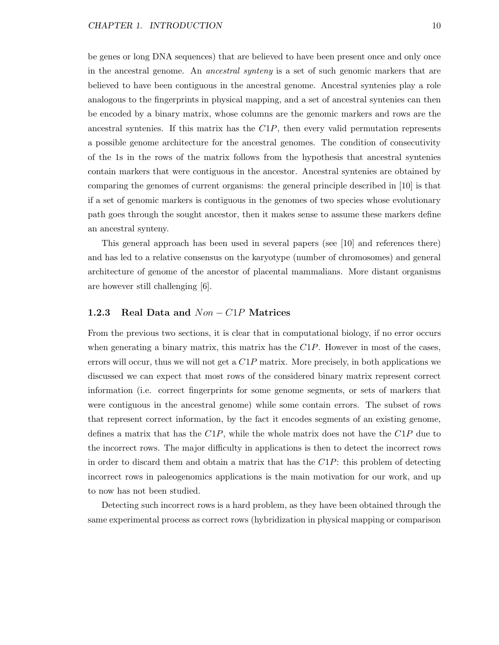be genes or long DNA sequences) that are believed to have been present once and only once in the ancestral genome. An ancestral synteny is a set of such genomic markers that are believed to have been contiguous in the ancestral genome. Ancestral syntenies play a role analogous to the fingerprints in physical mapping, and a set of ancestral syntenies can then be encoded by a binary matrix, whose columns are the genomic markers and rows are the ancestral syntenies. If this matrix has the  $C1P$ , then every valid permutation represents a possible genome architecture for the ancestral genomes. The condition of consecutivity of the 1s in the rows of the matrix follows from the hypothesis that ancestral syntenies contain markers that were contiguous in the ancestor. Ancestral syntenies are obtained by comparing the genomes of current organisms: the general principle described in [10] is that if a set of genomic markers is contiguous in the genomes of two species whose evolutionary path goes through the sought ancestor, then it makes sense to assume these markers define an ancestral synteny.

This general approach has been used in several papers (see [10] and references there) and has led to a relative consensus on the karyotype (number of chromosomes) and general architecture of genome of the ancestor of placental mammalians. More distant organisms are however still challenging [6].

#### 1.2.3 Real Data and  $Non-ClP$  Matrices

From the previous two sections, it is clear that in computational biology, if no error occurs when generating a binary matrix, this matrix has the  $C1P$ . However in most of the cases, errors will occur, thus we will not get a  $C1P$  matrix. More precisely, in both applications we discussed we can expect that most rows of the considered binary matrix represent correct information (i.e. correct fingerprints for some genome segments, or sets of markers that were contiguous in the ancestral genome) while some contain errors. The subset of rows that represent correct information, by the fact it encodes segments of an existing genome, defines a matrix that has the  $C1P$ , while the whole matrix does not have the  $C1P$  due to the incorrect rows. The major difficulty in applications is then to detect the incorrect rows in order to discard them and obtain a matrix that has the  $C1P$ : this problem of detecting incorrect rows in paleogenomics applications is the main motivation for our work, and up to now has not been studied.

Detecting such incorrect rows is a hard problem, as they have been obtained through the same experimental process as correct rows (hybridization in physical mapping or comparison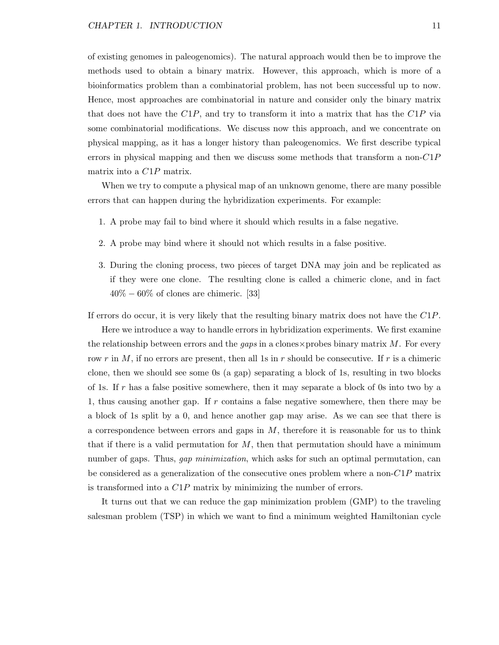of existing genomes in paleogenomics). The natural approach would then be to improve the methods used to obtain a binary matrix. However, this approach, which is more of a bioinformatics problem than a combinatorial problem, has not been successful up to now. Hence, most approaches are combinatorial in nature and consider only the binary matrix that does not have the  $C1P$ , and try to transform it into a matrix that has the  $C1P$  via some combinatorial modifications. We discuss now this approach, and we concentrate on physical mapping, as it has a longer history than paleogenomics. We first describe typical errors in physical mapping and then we discuss some methods that transform a non- $C1P$ matrix into a C1P matrix.

When we try to compute a physical map of an unknown genome, there are many possible errors that can happen during the hybridization experiments. For example:

- 1. A probe may fail to bind where it should which results in a false negative.
- 2. A probe may bind where it should not which results in a false positive.
- 3. During the cloning process, two pieces of target DNA may join and be replicated as if they were one clone. The resulting clone is called a chimeric clone, and in fact  $40\% - 60\%$  of clones are chimeric. [33]

If errors do occur, it is very likely that the resulting binary matrix does not have the C1P.

Here we introduce a way to handle errors in hybridization experiments. We first examine the relationship between errors and the *gaps* in a clones $\times$ probes binary matrix M. For every row r in M, if no errors are present, then all 1s in r should be consecutive. If r is a chimeric clone, then we should see some 0s (a gap) separating a block of 1s, resulting in two blocks of 1s. If r has a false positive somewhere, then it may separate a block of 0s into two by a 1, thus causing another gap. If  $r$  contains a false negative somewhere, then there may be a block of 1s split by a 0, and hence another gap may arise. As we can see that there is a correspondence between errors and gaps in  $M$ , therefore it is reasonable for us to think that if there is a valid permutation for M, then that permutation should have a minimum number of gaps. Thus, *gap minimization*, which asks for such an optimal permutation, can be considered as a generalization of the consecutive ones problem where a non- $C1P$  matrix is transformed into a C1P matrix by minimizing the number of errors.

It turns out that we can reduce the gap minimization problem (GMP) to the traveling salesman problem (TSP) in which we want to find a minimum weighted Hamiltonian cycle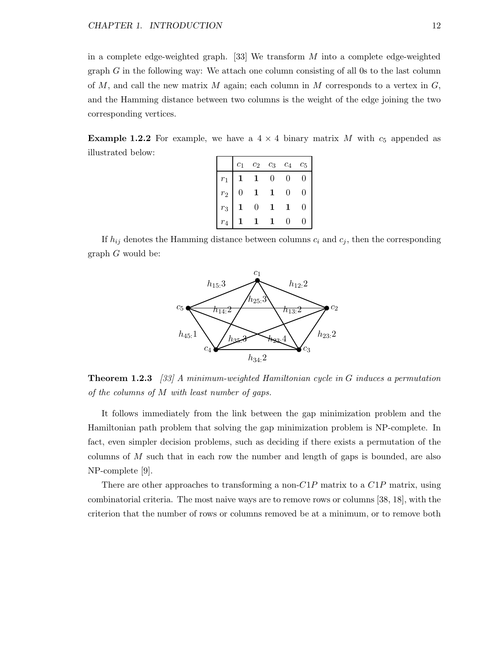in a complete edge-weighted graph. [33] We transform  $M$  into a complete edge-weighted graph  $G$  in the following way: We attach one column consisting of all 0s to the last column of M, and call the new matrix M again; each column in M corresponds to a vertex in  $G$ , and the Hamming distance between two columns is the weight of the edge joining the two corresponding vertices.

**Example 1.2.2** For example, we have a  $4 \times 4$  binary matrix M with  $c_5$  appended as illustrated below:

|             | $\overline{c}_1$ | $c_2$        | $c_3$          | $\mathfrak{c}_4$ | $c_{5}$ |
|-------------|------------------|--------------|----------------|------------------|---------|
| $r_1$       |                  |              | $\overline{0}$ | 0                | H       |
| $r_2$       | 0                |              |                | $\mathbf{0}$     | 11      |
| $r_3$       |                  | $\mathbf{0}$ |                |                  |         |
| $r_{\rm A}$ |                  |              |                |                  |         |

If  $h_{ij}$  denotes the Hamming distance between columns  $c_i$  and  $c_j$ , then the corresponding graph G would be:



**Theorem 1.2.3** [33] A minimum-weighted Hamiltonian cycle in G induces a permutation of the columns of M with least number of gaps.

It follows immediately from the link between the gap minimization problem and the Hamiltonian path problem that solving the gap minimization problem is NP-complete. In fact, even simpler decision problems, such as deciding if there exists a permutation of the columns of  $M$  such that in each row the number and length of gaps is bounded, are also NP-complete [9].

There are other approaches to transforming a non- $C1P$  matrix to a  $C1P$  matrix, using combinatorial criteria. The most naive ways are to remove rows or columns [38, 18], with the criterion that the number of rows or columns removed be at a minimum, or to remove both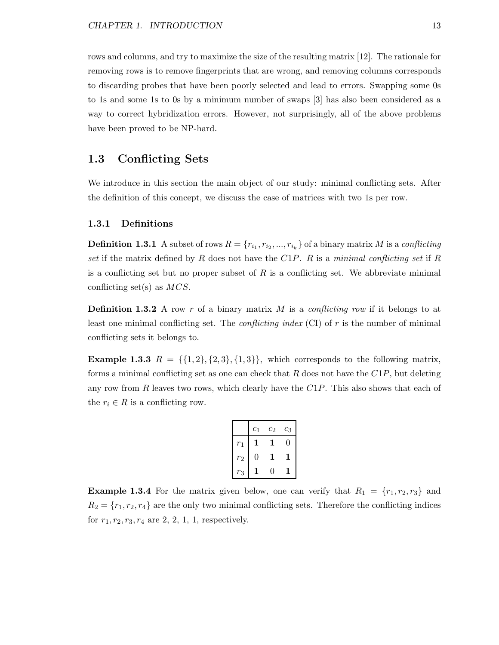rows and columns, and try to maximize the size of the resulting matrix [12]. The rationale for removing rows is to remove fingerprints that are wrong, and removing columns corresponds to discarding probes that have been poorly selected and lead to errors. Swapping some 0s to 1s and some 1s to 0s by a minimum number of swaps [3] has also been considered as a way to correct hybridization errors. However, not surprisingly, all of the above problems have been proved to be NP-hard.

### 1.3 Conflicting Sets

We introduce in this section the main object of our study: minimal conflicting sets. After the definition of this concept, we discuss the case of matrices with two 1s per row.

#### 1.3.1 Definitions

**Definition 1.3.1** A subset of rows  $R = \{r_{i_1}, r_{i_2}, ..., r_{i_k}\}$  of a binary matrix M is a conflicting set if the matrix defined by R does not have the  $C1P$ . R is a minimal conflicting set if R is a conflicting set but no proper subset of  $R$  is a conflicting set. We abbreviate minimal conflicting set(s) as  $MCS$ .

**Definition 1.3.2** A row r of a binary matrix M is a conflicting row if it belongs to at least one minimal conflicting set. The *conflicting index* (CI) of  $r$  is the number of minimal conflicting sets it belongs to.

**Example 1.3.3**  $R = \{\{1, 2\}, \{2, 3\}, \{1, 3\}\}\$ , which corresponds to the following matrix, forms a minimal conflicting set as one can check that R does not have the  $C1P$ , but deleting any row from  $R$  leaves two rows, which clearly have the  $C1P$ . This also shows that each of the  $r_i \in R$  is a conflicting row.

|                  | $c_1$ | $\mathfrak{c}_2$ | $\mathfrak{c}_3$ |
|------------------|-------|------------------|------------------|
| $r_{\rm 1}$      |       |                  | 0                |
| $\mathfrak{r}_2$ | 0     |                  |                  |
| $r_3$            |       | 0                |                  |

**Example 1.3.4** For the matrix given below, one can verify that  $R_1 = \{r_1, r_2, r_3\}$  and  $R_2 = \{r_1, r_2, r_4\}$  are the only two minimal conflicting sets. Therefore the conflicting indices for  $r_1, r_2, r_3, r_4$  are 2, 2, 1, 1, respectively.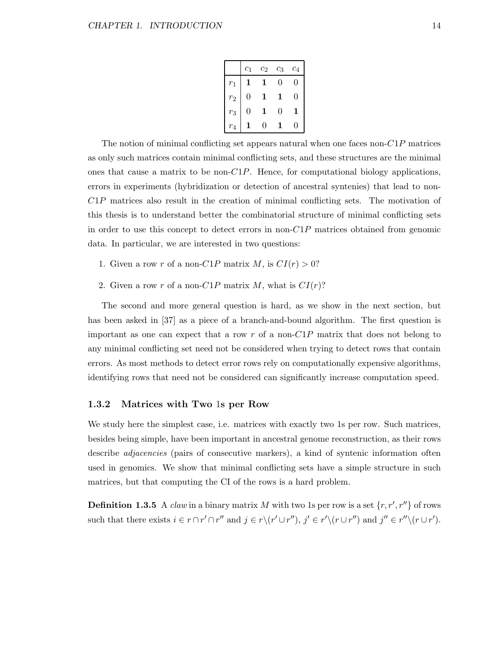|                | c <sub>1</sub> | $\scriptstyle{c_2}$ | $c_3$         | $c_4$ |
|----------------|----------------|---------------------|---------------|-------|
| $r_1$          |                |                     | $\mathcal{O}$ | 0     |
| r <sub>2</sub> | 0              |                     | 1             | 0     |
| $r_3$          | 0              |                     | 0             | 1     |
| $r_{\rm 4}$    |                | O)                  |               |       |

The notion of minimal conflicting set appears natural when one faces non- $C1P$  matrices as only such matrices contain minimal conflicting sets, and these structures are the minimal ones that cause a matrix to be non- $C1P$ . Hence, for computational biology applications, errors in experiments (hybridization or detection of ancestral syntenies) that lead to non-C1P matrices also result in the creation of minimal conflicting sets. The motivation of this thesis is to understand better the combinatorial structure of minimal conflicting sets in order to use this concept to detect errors in non- $C1P$  matrices obtained from genomic data. In particular, we are interested in two questions:

- 1. Given a row r of a non-C1P matrix M, is  $CI(r) > 0$ ?
- 2. Given a row r of a non-C1P matrix M, what is  $CI(r)$ ?

The second and more general question is hard, as we show in the next section, but has been asked in [37] as a piece of a branch-and-bound algorithm. The first question is important as one can expect that a row r of a non- $C1P$  matrix that does not belong to any minimal conflicting set need not be considered when trying to detect rows that contain errors. As most methods to detect error rows rely on computationally expensive algorithms, identifying rows that need not be considered can significantly increase computation speed.

#### 1.3.2 Matrices with Two 1s per Row

We study here the simplest case, i.e. matrices with exactly two 1s per row. Such matrices, besides being simple, have been important in ancestral genome reconstruction, as their rows describe *adjacencies* (pairs of consecutive markers), a kind of syntenic information often used in genomics. We show that minimal conflicting sets have a simple structure in such matrices, but that computing the CI of the rows is a hard problem.

**Definition 1.3.5** A *claw* in a binary matrix M with two 1s per row is a set  $\{r, r', r''\}$  of rows such that there exists  $i \in r \cap r' \cap r''$  and  $j \in r \setminus (r' \cup r'')$ ,  $j' \in r' \setminus (r \cup r'')$  and  $j'' \in r'' \setminus (r \cup r'')$ .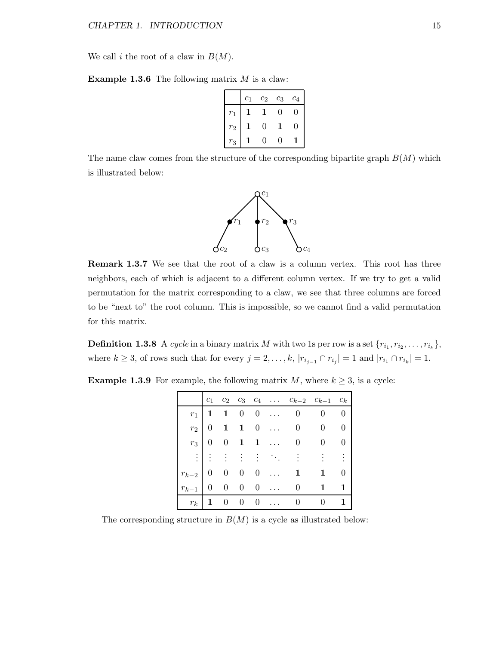We call i the root of a claw in  $B(M)$ .

**Example 1.3.6** The following matrix  $M$  is a claw:

|       | $c_1$ | $c_2$ | $c_3$     | $c_4$ |
|-------|-------|-------|-----------|-------|
| $r_1$ |       |       | $\bigcap$ |       |
| $r_2$ |       | 0     |           |       |
| $r_3$ |       | וו    | 7         |       |

The name claw comes from the structure of the corresponding bipartite graph  $B(M)$  which is illustrated below:



Remark 1.3.7 We see that the root of a claw is a column vertex. This root has three neighbors, each of which is adjacent to a different column vertex. If we try to get a valid permutation for the matrix corresponding to a claw, we see that three columns are forced to be "next to" the root column. This is impossible, so we cannot find a valid permutation for this matrix.

**Definition 1.3.8** A cycle in a binary matrix M with two 1s per row is a set  $\{r_{i_1}, r_{i_2}, \ldots, r_{i_k}\},$ where  $k \geq 3$ , of rows such that for every  $j = 2, \ldots, k$ ,  $|r_{i_{j-1}} \cap r_{i_j}| = 1$  and  $|r_{i_1} \cap r_{i_k}| = 1$ .

**Example 1.3.9** For example, the following matrix  $M$ , where  $k \geq 3$ , is a cycle:

|  |  |  | $c_1$ $c_2$ $c_3$ $c_4$ $\ldots$ $c_{k-2}$ $c_{k-1}$ $c_k$ |  |
|--|--|--|------------------------------------------------------------|--|
|  |  |  |                                                            |  |
|  |  |  | $r_2$ 0 1 1 0  0 0 0                                       |  |
|  |  |  | $r_3$ 0 0 1 1  0 0 0                                       |  |
|  |  |  | 用的的复数形式 的复数                                                |  |
|  |  |  | $r_{k-2}$   0 0 0 0  1 1 0                                 |  |
|  |  |  | $r_{k-1}$ 0 0 0 0  0 1 1                                   |  |
|  |  |  | $r_k$ 1 0 0 0  0 0 1                                       |  |

The corresponding structure in  $B(M)$  is a cycle as illustrated below: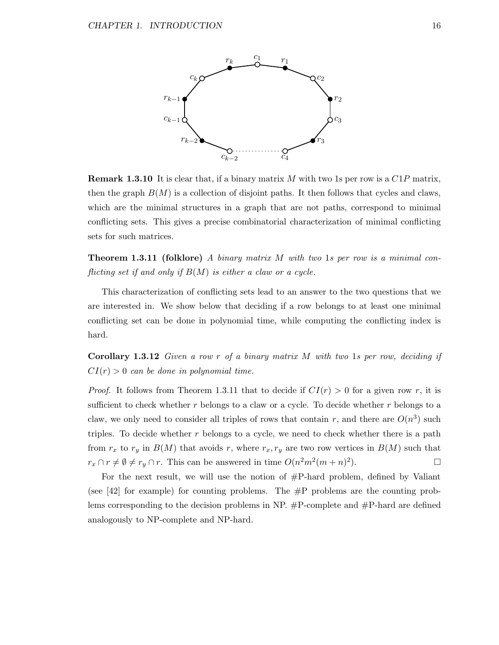

**Remark 1.3.10** It is clear that, if a binary matrix M with two 1s per row is a  $C1P$  matrix, then the graph  $B(M)$  is a collection of disjoint paths. It then follows that cycles and claws, which are the minimal structures in a graph that are not paths, correspond to minimal conflicting sets. This gives a precise combinatorial characterization of minimal conflicting sets for such matrices.

**Theorem 1.3.11 (folklore)** A binary matrix M with two 1s per row is a minimal conflicting set if and only if  $B(M)$  is either a claw or a cycle.

This characterization of conflicting sets lead to an answer to the two questions that we are interested in. We show below that deciding if a row belongs to at least one minimal conflicting set can be done in polynomial time, while computing the conflicting index is hard.

**Corollary 1.3.12** Given a row r of a binary matrix  $M$  with two 1s per row, deciding if  $CI(r) > 0$  can be done in polynomial time.

*Proof.* It follows from Theorem 1.3.11 that to decide if  $CI(r) > 0$  for a given row r, it is sufficient to check whether  $r$  belongs to a claw or a cycle. To decide whether  $r$  belongs to a claw, we only need to consider all triples of rows that contain r, and there are  $O(n^3)$  such triples. To decide whether  $r$  belongs to a cycle, we need to check whether there is a path from  $r_x$  to  $r_y$  in  $B(M)$  that avoids r, where  $r_x, r_y$  are two row vertices in  $B(M)$  such that  $r_x \cap r \neq \emptyset \neq r_y \cap r$ . This can be answered in time  $O(n^2m^2(m+n)^2)$ ).  $\qquad \qquad \Box$ 

For the next result, we will use the notion of #P-hard problem, defined by Valiant (see  $[42]$  for example) for counting problems. The  $\#P$  problems are the counting problems corresponding to the decision problems in NP.  $\#P$ -complete and  $\#P$ -hard are defined analogously to NP-complete and NP-hard.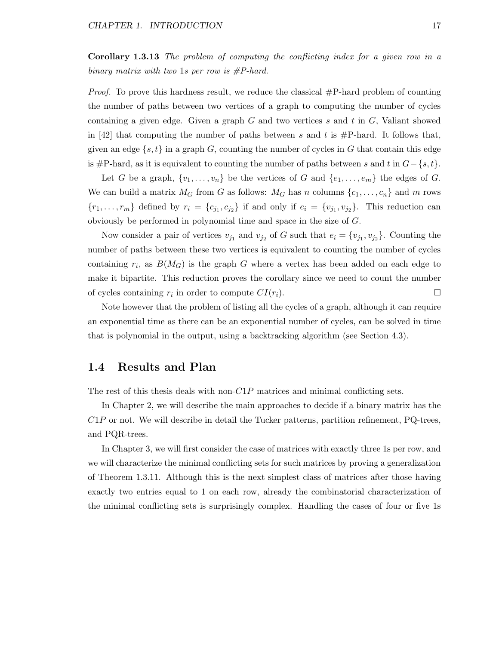Corollary 1.3.13 The problem of computing the conflicting index for a given row in a binary matrix with two 1s per row is  $\#P$ -hard.

*Proof.* To prove this hardness result, we reduce the classical  $\#P$ -hard problem of counting the number of paths between two vertices of a graph to computing the number of cycles containing a given edge. Given a graph  $G$  and two vertices  $s$  and  $t$  in  $G$ , Valiant showed in [42] that computing the number of paths between s and t is  $\#P$ -hard. It follows that, given an edge  $\{s, t\}$  in a graph G, counting the number of cycles in G that contain this edge is #P-hard, as it is equivalent to counting the number of paths between s and t in  $G - \{s, t\}$ .

Let G be a graph,  $\{v_1, \ldots, v_n\}$  be the vertices of G and  $\{e_1, \ldots, e_m\}$  the edges of G. We can build a matrix  $M_G$  from G as follows:  $M_G$  has n columns  $\{c_1, \ldots, c_n\}$  and m rows  $\{r_1,\ldots,r_m\}$  defined by  $r_i = \{c_{j_1},c_{j_2}\}$  if and only if  $e_i = \{v_{j_1},v_{j_2}\}$ . This reduction can obviously be performed in polynomial time and space in the size of G.

Now consider a pair of vertices  $v_{j_1}$  and  $v_{j_2}$  of G such that  $e_i = \{v_{j_1}, v_{j_2}\}\.$  Counting the number of paths between these two vertices is equivalent to counting the number of cycles containing  $r_i$ , as  $B(M_G)$  is the graph G where a vertex has been added on each edge to make it bipartite. This reduction proves the corollary since we need to count the number of cycles containing  $r_i$  in order to compute  $CI(r_i)$ .

Note however that the problem of listing all the cycles of a graph, although it can require an exponential time as there can be an exponential number of cycles, can be solved in time that is polynomial in the output, using a backtracking algorithm (see Section 4.3).

### 1.4 Results and Plan

The rest of this thesis deals with non- $C1P$  matrices and minimal conflicting sets.

In Chapter 2, we will describe the main approaches to decide if a binary matrix has the C1P or not. We will describe in detail the Tucker patterns, partition refinement, PQ-trees, and PQR-trees.

In Chapter 3, we will first consider the case of matrices with exactly three 1s per row, and we will characterize the minimal conflicting sets for such matrices by proving a generalization of Theorem 1.3.11. Although this is the next simplest class of matrices after those having exactly two entries equal to 1 on each row, already the combinatorial characterization of the minimal conflicting sets is surprisingly complex. Handling the cases of four or five 1s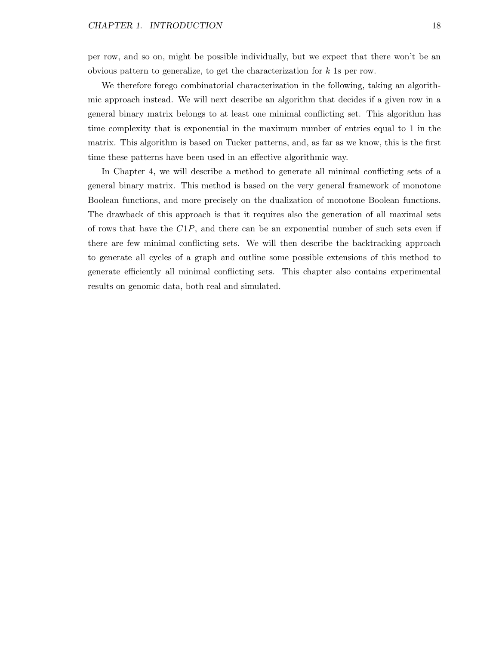per row, and so on, might be possible individually, but we expect that there won't be an obvious pattern to generalize, to get the characterization for k 1s per row.

We therefore forego combinatorial characterization in the following, taking an algorithmic approach instead. We will next describe an algorithm that decides if a given row in a general binary matrix belongs to at least one minimal conflicting set. This algorithm has time complexity that is exponential in the maximum number of entries equal to 1 in the matrix. This algorithm is based on Tucker patterns, and, as far as we know, this is the first time these patterns have been used in an effective algorithmic way.

In Chapter 4, we will describe a method to generate all minimal conflicting sets of a general binary matrix. This method is based on the very general framework of monotone Boolean functions, and more precisely on the dualization of monotone Boolean functions. The drawback of this approach is that it requires also the generation of all maximal sets of rows that have the  $C1P$ , and there can be an exponential number of such sets even if there are few minimal conflicting sets. We will then describe the backtracking approach to generate all cycles of a graph and outline some possible extensions of this method to generate efficiently all minimal conflicting sets. This chapter also contains experimental results on genomic data, both real and simulated.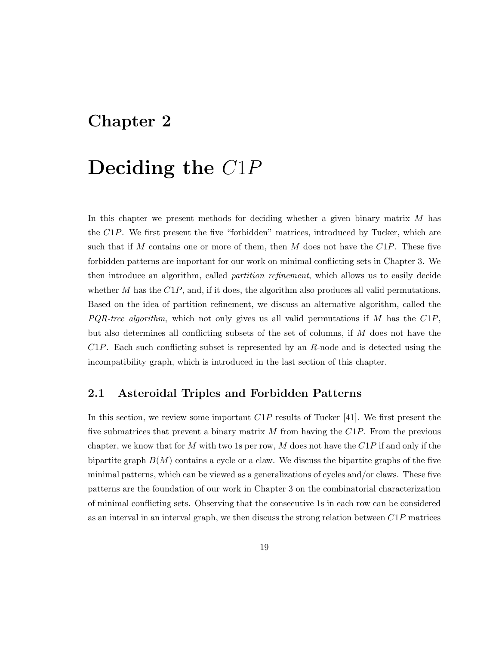## Chapter 2

## Deciding the C1P

In this chapter we present methods for deciding whether a given binary matrix M has the C1P. We first present the five "forbidden" matrices, introduced by Tucker, which are such that if M contains one or more of them, then M does not have the  $C1P$ . These five forbidden patterns are important for our work on minimal conflicting sets in Chapter 3. We then introduce an algorithm, called *partition refinement*, which allows us to easily decide whether M has the  $C1P$ , and, if it does, the algorithm also produces all valid permutations. Based on the idea of partition refinement, we discuss an alternative algorithm, called the  $PQR-tree\ algorithm$ , which not only gives us all valid permutations if M has the  $C1P$ , but also determines all conflicting subsets of the set of columns, if M does not have the  $C1P$ . Each such conflicting subset is represented by an R-node and is detected using the incompatibility graph, which is introduced in the last section of this chapter.

### 2.1 Asteroidal Triples and Forbidden Patterns

In this section, we review some important  $C1P$  results of Tucker [41]. We first present the five submatrices that prevent a binary matrix  $M$  from having the  $C1P$ . From the previous chapter, we know that for M with two 1s per row, M does not have the  $C1P$  if and only if the bipartite graph  $B(M)$  contains a cycle or a claw. We discuss the bipartite graphs of the five minimal patterns, which can be viewed as a generalizations of cycles and/or claws. These five patterns are the foundation of our work in Chapter 3 on the combinatorial characterization of minimal conflicting sets. Observing that the consecutive 1s in each row can be considered as an interval in an interval graph, we then discuss the strong relation between  $C1P$  matrices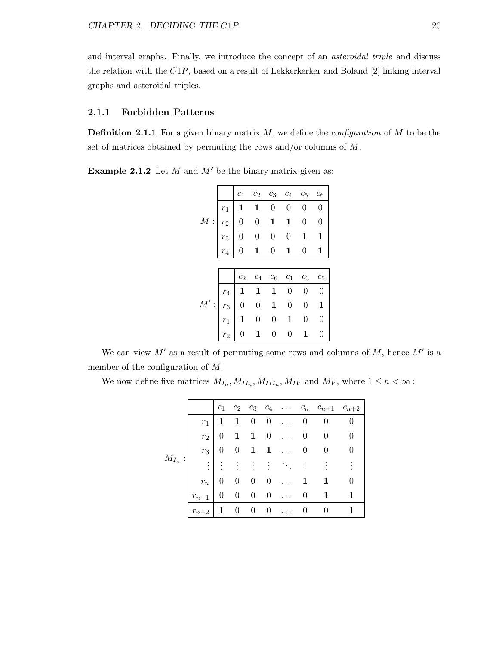and interval graphs. Finally, we introduce the concept of an asteroidal triple and discuss the relation with the C1P, based on a result of Lekkerkerker and Boland [2] linking interval graphs and asteroidal triples.

#### 2.1.1 Forbidden Patterns

**Definition 2.1.1** For a given binary matrix  $M$ , we define the *configuration* of  $M$  to be the set of matrices obtained by permuting the rows and/or columns of M.

**Example 2.1.2** Let  $M$  and  $M'$  be the binary matrix given as:

|              | $c_1$ |                                                                                                                                                                                                                                                                                                                                                                                                                                          |                  | $c_2$ $c_3$ $c_4$ $c_5$ | $c_6$            |
|--------------|-------|------------------------------------------------------------------------------------------------------------------------------------------------------------------------------------------------------------------------------------------------------------------------------------------------------------------------------------------------------------------------------------------------------------------------------------------|------------------|-------------------------|------------------|
|              |       |                                                                                                                                                                                                                                                                                                                                                                                                                                          |                  | $\boldsymbol{0}$        | $\boldsymbol{0}$ |
| $\cal M$ :   |       |                                                                                                                                                                                                                                                                                                                                                                                                                                          |                  | $\boldsymbol{0}$        | $\boldsymbol{0}$ |
|              |       |                                                                                                                                                                                                                                                                                                                                                                                                                                          |                  | $\mathbf{1}$            | $\mathbf{1}$     |
|              |       | $\begin{tabular}{ c c c c } \hline \rule{0pt}{2.5ex}\hline $r_1$ & $\mathbf{1}$ & $\mathbf{1}$ & $\mathbf{0}$ & $\mathbf{0}$ \\ \rule{0pt}{2.5ex}\hline $r_2$ & $\mathbf{0}$ & $\mathbf{0}$ & $\mathbf{1}$ & $\mathbf{1}$ \\ \rule{0pt}{2.5ex}\hline $r_3$ & $\mathbf{0}$ & $\mathbf{0}$ & $\mathbf{0}$ & $\mathbf{0}$ \\ \rule{0pt}{2.5ex}\hline \rule{0pt}{2.5ex}\hline \rule{0pt}{2.5ex}\hline \rule{0pt}{2.5ex}\hline \rule{0pt}{2.$ |                  | $\boldsymbol{0}$        | 1                |
|              |       |                                                                                                                                                                                                                                                                                                                                                                                                                                          |                  |                         |                  |
|              | $c_2$ | $c_4$                                                                                                                                                                                                                                                                                                                                                                                                                                    | $c_6\quad c_1$   | $c_3$                   | $c_5$            |
|              |       |                                                                                                                                                                                                                                                                                                                                                                                                                                          | $\boldsymbol{0}$ | $\boldsymbol{0}$        | $\boldsymbol{0}$ |
| $M^\prime$ : |       |                                                                                                                                                                                                                                                                                                                                                                                                                                          | $\boldsymbol{0}$ | $\overline{0}$          | $\mathbf 1$      |
|              |       |                                                                                                                                                                                                                                                                                                                                                                                                                                          | $\mathbf{1}$     | $\boldsymbol{0}$        | $\overline{0}$   |
|              |       | $\begin{array}{ c cccc }\hline r_4&{\bf 1}&{\bf 1}&{\bf 1}\ \hline r_3&0&0&{\bf 1}\ \hline r_1&{\bf 1}&0&0\ \hline r_2&0&{\bf 1}&0\ \hline \end{array}$                                                                                                                                                                                                                                                                                  | $\overline{0}$   | 1                       | $\overline{0}$   |

We can view  $M'$  as a result of permuting some rows and columns of  $M$ , hence  $M'$  is a member of the configuration of M.

We now define five matrices  $M_{I_n}, M_{II_n}, M_{III_n}, M_{IV}$  and  $M_V$ , where  $1 \leq n < \infty$ :

|            |           |                |                 |             |                          |           |                | $c_1$ $c_2$ $c_3$ $c_4$ $c_n$ $c_{n+1}$ $c_{n+2}$ |          |
|------------|-----------|----------------|-----------------|-------------|--------------------------|-----------|----------------|---------------------------------------------------|----------|
|            | $r_1$     | $\mathbf{1}$   | $\mathbf{1}$    |             | $0 \quad 0 \quad \ldots$ |           | 0              |                                                   |          |
|            | $r_2$     | $\overline{0}$ | $\mathbf{1}$    | $1 \quad 0$ |                          | $\ldots$  | $\overline{0}$ | $\theta$                                          | $\theta$ |
|            | $r_3$     | $\overline{0}$ | $\overline{0}$  |             | $1 \quad 1$              | $\ddotsc$ | $\overline{0}$ | 0                                                 |          |
| $M_{I_n}:$ | $\vdots$  | ÷              | ÷               |             |                          |           |                |                                                   |          |
|            | $r_n$     | $\overline{0}$ | $\vert 0 \vert$ | $0 \quad 0$ |                          | $\cdots$  | $\mathbf{1}$   |                                                   | $\theta$ |
|            | $r_{n+1}$ | $\overline{0}$ | $\overline{0}$  | $0\quad 0$  |                          | $\sim$    | $\theta$       | 1                                                 |          |
|            | $r_{n+2}$ | $\mathbf{1}$   | $\theta$        | $\theta$    | $\overline{0}$           |           | $\theta$       | $\Omega$                                          |          |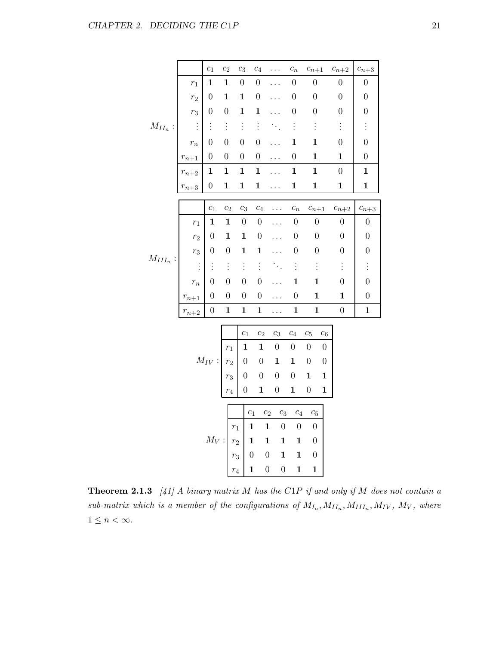|               |                                                        | $\overline{c_1}$                                                                           | c <sub>2</sub>                                                                            | $c_3$            | $c_4$            | .                                    | $\mathfrak{c}_n$ | $\ensuremath{c_{n+1}}$               | $\ensuremath{c_{n+2}}$ | $c_{n+3}$        |
|---------------|--------------------------------------------------------|--------------------------------------------------------------------------------------------|-------------------------------------------------------------------------------------------|------------------|------------------|--------------------------------------|------------------|--------------------------------------|------------------------|------------------|
| $M_{II_n}$ :  | $r_1$                                                  | $\mathbf{1}$                                                                               | $\mathbf 1$                                                                               | $\boldsymbol{0}$ | $\boldsymbol{0}$ |                                      | $\boldsymbol{0}$ | $\boldsymbol{0}$                     | $\boldsymbol{0}$       | $\boldsymbol{0}$ |
|               | $r_2$                                                  | $\boldsymbol{0}$                                                                           | $\mathbf{1}$                                                                              | $\mathbf 1$      | $\boldsymbol{0}$ |                                      | $\boldsymbol{0}$ | $\overline{0}$                       | $\boldsymbol{0}$       | $\boldsymbol{0}$ |
|               | $r_3$                                                  | $\boldsymbol{0}$                                                                           | $\boldsymbol{0}$                                                                          | $\mathbf 1$      | $\mathbf 1$      |                                      | $\boldsymbol{0}$ | $\boldsymbol{0}$                     | $\boldsymbol{0}$       | $\boldsymbol{0}$ |
|               | $\vdots$                                               | $\vdots$                                                                                   | $\vdots$                                                                                  | $\vdots$         | $\vdots$         |                                      | $\vdots$         | $\vdots$                             | $\vdots$               | $\vdots$         |
|               | $\mathfrak{r}_n$                                       | $\boldsymbol{0}$                                                                           | $\overline{0}$                                                                            | $\overline{0}$   | $\boldsymbol{0}$ |                                      | $\mathbf{1}$     | $\mathbf{1}$                         | $\boldsymbol{0}$       | $\overline{0}$   |
|               |                                                        | $\overline{0}$                                                                             | $\overline{0}$                                                                            | $\boldsymbol{0}$ | $\boldsymbol{0}$ |                                      | $\boldsymbol{0}$ | $\mathbf 1$                          | $\mathbf{1}$           | $\boldsymbol{0}$ |
|               |                                                        | $\mathbf{1}$                                                                               | $\mathbf{1}$                                                                              | $\mathbf{1}$     | $\mathbf 1$      | .                                    | $\mathbf{1}$     | $\mathbf{1}$                         | $\overline{0}$         | $\mathbf{1}$     |
|               | $\frac{r_{n+1}}{r_{n+2}}$<br>$\frac{r_{n+3}}{r_{n+3}}$ | $\boldsymbol{0}$                                                                           | $\mathbf{1}$                                                                              | $\mathbf{1}$     | $\mathbf{1}$     | .                                    | $\mathbf{1}$     | $\mathbf{1}$                         | $\mathbf{1}$           | $\mathbf{1}$     |
|               |                                                        | $\overline{c_1}$                                                                           | $\overline{c_2}$                                                                          | $c_3$            | $\overline{c_4}$ | $\ddots$                             | $\overline{c_n}$ | $c_{n+1}$                            | $c_{n+2}$              | $c_{n+3}$        |
|               | $r_1$                                                  | $\mathbf{1}$                                                                               | $\mathbf{1}$                                                                              | $\boldsymbol{0}$ | $\boldsymbol{0}$ | .                                    | $\boldsymbol{0}$ | $\boldsymbol{0}$                     | $\boldsymbol{0}$       | $\boldsymbol{0}$ |
|               | $r_2$                                                  | $\boldsymbol{0}$                                                                           | $\mathbf 1$                                                                               | $\mathbf{1}$     | $\boldsymbol{0}$ |                                      | $\boldsymbol{0}$ | $\boldsymbol{0}$                     | $\boldsymbol{0}$       | $\boldsymbol{0}$ |
|               |                                                        | $\boldsymbol{0}$                                                                           | $\boldsymbol{0}$                                                                          | $\mathbf 1$      | $\mathbf 1$      |                                      | $\boldsymbol{0}$ | $\boldsymbol{0}$                     | $\boldsymbol{0}$       | $\boldsymbol{0}$ |
| $M_{III_n}$ : | $\begin{array}{c} r_3 \\ \vdots \\ r_n \end{array}$    | $\vdots$                                                                                   | $\vdots$                                                                                  | $\vdots$         | $\vdots$         |                                      | $\vdots$         | $\vdots$                             | $\vdots$               |                  |
|               |                                                        | $\boldsymbol{0}$                                                                           | $\boldsymbol{0}$                                                                          | $\boldsymbol{0}$ | $\boldsymbol{0}$ |                                      | $\mathbf{1}$     | $\mathbf{1}$                         | $\boldsymbol{0}$       | $\boldsymbol{0}$ |
|               | $r_{n+1}$                                              | $\boldsymbol{0}$                                                                           | $\boldsymbol{0}$                                                                          | $\boldsymbol{0}$ | $\boldsymbol{0}$ | .                                    | $\boldsymbol{0}$ | $\mathbf{1}$                         | $\mathbf{1}$           | $\boldsymbol{0}$ |
|               | $r_{n+2}$                                              | $\overline{0}$                                                                             | $\mathbf{1}$                                                                              | $\mathbf{1}$     | $\mathbf{1}$     | .                                    | $\mathbf 1$      | $\mathbf{1}$                         | $\boldsymbol{0}$       | $\mathbf{1}$     |
|               |                                                        |                                                                                            |                                                                                           |                  |                  |                                      |                  |                                      |                        |                  |
|               |                                                        |                                                                                            |                                                                                           | $c_1$            | $c_2$            | $c_3$                                | $\mathfrak{c}_4$ | $c_5$<br>$\sqrt{c_6}$                |                        |                  |
|               |                                                        |                                                                                            | $M_{IV}: \begin{array}{ c c } \hline r_1&\textbf{1}\\ r_2&0\\ r_3&0 \\\hline \end{array}$ |                  | $\mathbf{1}$     | $\boldsymbol{0}$                     | $\boldsymbol{0}$ | $\boldsymbol{0}$<br>$\boldsymbol{0}$ |                        |                  |
|               |                                                        |                                                                                            |                                                                                           |                  | $\boldsymbol{0}$ | $\mathbf{1}$                         | $\mathbf{1}$     | $\boldsymbol{0}$<br>$\boldsymbol{0}$ |                        |                  |
|               |                                                        |                                                                                            |                                                                                           |                  | $\boldsymbol{0}$ | $\boldsymbol{0}$                     | $\boldsymbol{0}$ | $\mathbf{1}$<br>$\mathbf 1$          |                        |                  |
|               |                                                        |                                                                                            |                                                                                           | $\overline{0}$   | $\mathbf{1}$     | $\boldsymbol{0}$                     | $\mathbf{1}$     | $\boldsymbol{0}$<br>$\mathbf 1$      |                        |                  |
|               |                                                        |                                                                                            |                                                                                           |                  | $\overline{c_1}$ | $\overline{c_2}$<br>$\overline{c_3}$ | $\overline{c_4}$ | $c_{\rm 5}$                          |                        |                  |
|               |                                                        |                                                                                            |                                                                                           |                  |                  | $\mathbf{1}$<br>$\boldsymbol{0}$     | $\boldsymbol{0}$ | $\boldsymbol{0}$                     |                        |                  |
|               |                                                        |                                                                                            |                                                                                           |                  |                  | $\mathbf 1$<br>$\mathbf{1}$          | $\mathbf{1}$     | $\boldsymbol{0}$                     |                        |                  |
|               |                                                        |                                                                                            |                                                                                           |                  |                  |                                      |                  |                                      |                        |                  |
|               |                                                        | $M_V: \begin{array}{ l l }\hline r_1&1 \ \hline r_2&1 \ \hline r_3&0 \ \hline \end{array}$ |                                                                                           |                  |                  | $\boldsymbol{0}$<br>$\mathbf{1}$     | $\mathbf{1}$     | $\boldsymbol{0}$                     |                        |                  |

**Theorem 2.1.3** [41] A binary matrix M has the C1P if and only if M does not contain a sub-matrix which is a member of the configurations of  $M_{I_n}, M_{II_n}, M_{III_n}, M_{IV}, M_V$ , where  $1 \leq n < \infty$ .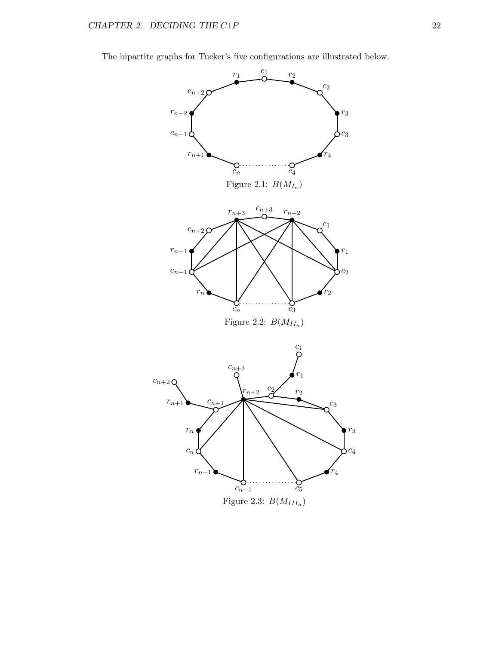The bipartite graphs for Tucker's five configurations are illustrated below.

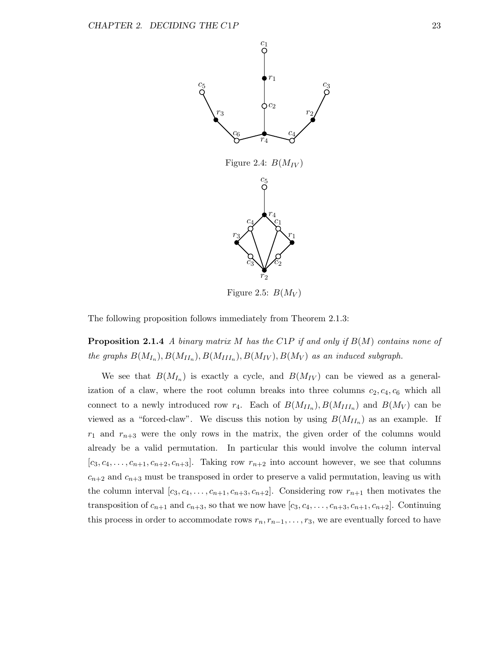



Figure 2.5:  $B(M_V)$ 

The following proposition follows immediately from Theorem 2.1.3:

**Proposition 2.1.4** A binary matrix M has the C1P if and only if  $B(M)$  contains none of the graphs  $B(M_{I_n}), B(M_{II_n}), B(M_{III_n}), B(M_{IV}), B(M_V)$  as an induced subgraph.

We see that  $B(M_{I_n})$  is exactly a cycle, and  $B(M_{IV})$  can be viewed as a generalization of a claw, where the root column breaks into three columns  $c_2, c_4, c_6$  which all connect to a newly introduced row  $r_4$ . Each of  $B(M_{II_n}), B(M_{III_n})$  and  $B(M_V)$  can be viewed as a "forced-claw". We discuss this notion by using  $B(M_{II_n})$  as an example. If  $r_1$  and  $r_{n+3}$  were the only rows in the matrix, the given order of the columns would already be a valid permutation. In particular this would involve the column interval  $[c_3, c_4, \ldots, c_{n+1}, c_{n+2}, c_{n+3}]$ . Taking row  $r_{n+2}$  into account however, we see that columns  $c_{n+2}$  and  $c_{n+3}$  must be transposed in order to preserve a valid permutation, leaving us with the column interval  $[c_3, c_4, \ldots, c_{n+1}, c_{n+3}, c_{n+2}]$ . Considering row  $r_{n+1}$  then motivates the transposition of  $c_{n+1}$  and  $c_{n+3}$ , so that we now have  $[c_3, c_4, \ldots, c_{n+3}, c_{n+1}, c_{n+2}]$ . Continuing this process in order to accommodate rows  $r_n, r_{n-1}, \ldots, r_3$ , we are eventually forced to have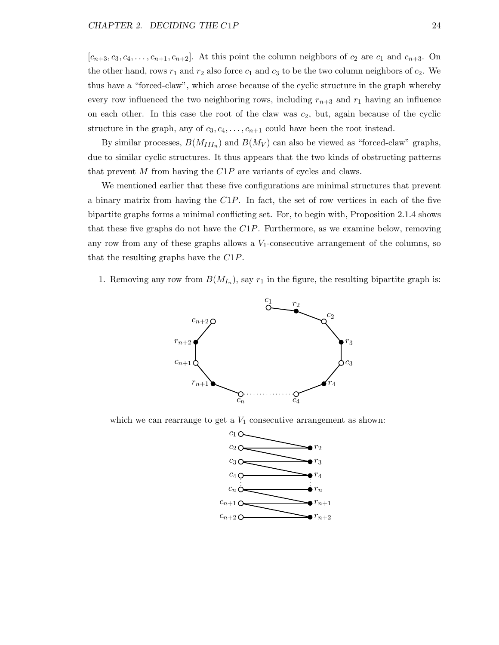$[c_{n+3}, c_3, c_4, \ldots, c_{n+1}, c_{n+2}]$ . At this point the column neighbors of  $c_2$  are  $c_1$  and  $c_{n+3}$ . On the other hand, rows  $r_1$  and  $r_2$  also force  $c_1$  and  $c_3$  to be the two column neighbors of  $c_2$ . We thus have a "forced-claw", which arose because of the cyclic structure in the graph whereby every row influenced the two neighboring rows, including  $r_{n+3}$  and  $r_1$  having an influence on each other. In this case the root of the claw was  $c_2$ , but, again because of the cyclic structure in the graph, any of  $c_3, c_4, \ldots, c_{n+1}$  could have been the root instead.

By similar processes,  $B(M_{III_n})$  and  $B(M_V)$  can also be viewed as "forced-claw" graphs, due to similar cyclic structures. It thus appears that the two kinds of obstructing patterns that prevent M from having the  $C1P$  are variants of cycles and claws.

We mentioned earlier that these five configurations are minimal structures that prevent a binary matrix from having the  $C1P$ . In fact, the set of row vertices in each of the five bipartite graphs forms a minimal conflicting set. For, to begin with, Proposition 2.1.4 shows that these five graphs do not have the  $C1P$ . Furthermore, as we examine below, removing any row from any of these graphs allows a  $V_1$ -consecutive arrangement of the columns, so that the resulting graphs have the C1P.

1. Removing any row from  $B(M_{I_n})$ , say  $r_1$  in the figure, the resulting bipartite graph is:



which we can rearrange to get a  $V_1$  consecutive arrangement as shown:

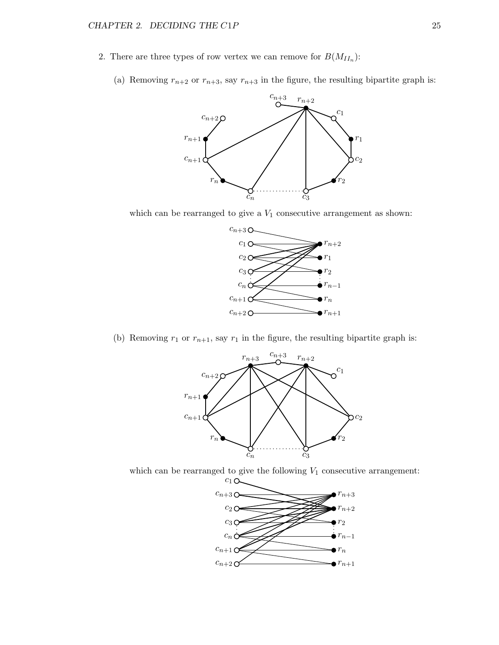- 2. There are three types of row vertex we can remove for  $B(M_{II_n})$ :
	- (a) Removing  $r_{n+2}$  or  $r_{n+3}$ , say  $r_{n+3}$  in the figure, the resulting bipartite graph is:



which can be rearranged to give a  $V_1$  consecutive arrangement as shown:



(b) Removing  $r_1$  or  $r_{n+1}$ , say  $r_1$  in the figure, the resulting bipartite graph is:



which can be rearranged to give the following  $V_1$  consecutive arrangement:

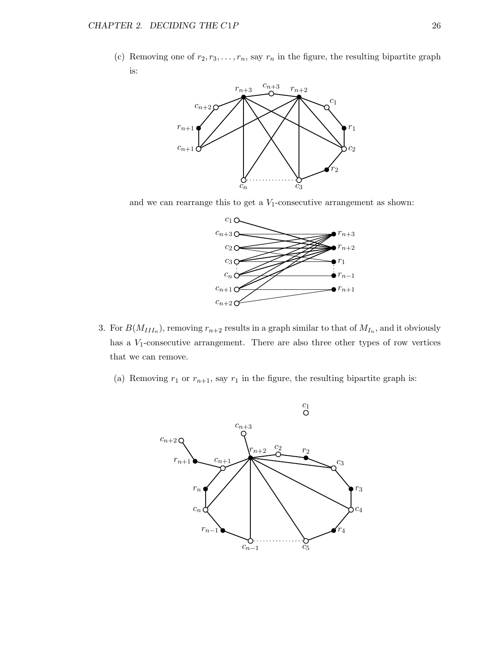(c) Removing one of  $r_2, r_3, \ldots, r_n$ , say  $r_n$  in the figure, the resulting bipartite graph is:



and we can rearrange this to get a  $V_1$ -consecutive arrangement as shown:



- 3. For  $B(M_{III_n})$ , removing  $r_{n+2}$  results in a graph similar to that of  $M_{I_n}$ , and it obviously has a  $V_1$ -consecutive arrangement. There are also three other types of row vertices that we can remove.
	- (a) Removing  $r_1$  or  $r_{n+1}$ , say  $r_1$  in the figure, the resulting bipartite graph is:

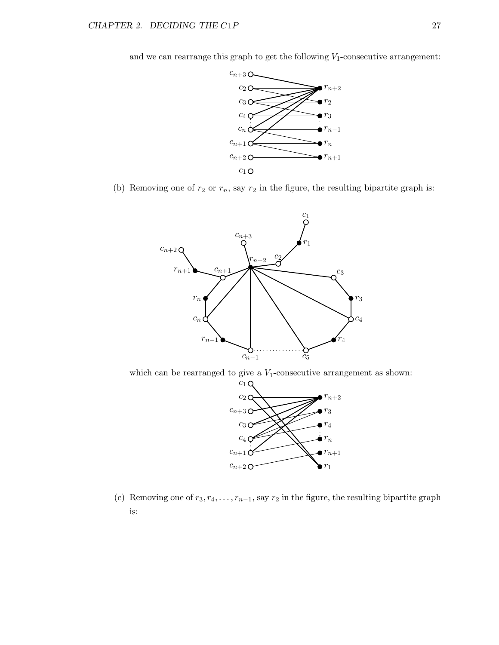and we can rearrange this graph to get the following  $V_1$ -consecutive arrangement:



(b) Removing one of  $r_2$  or  $r_n$ , say  $r_2$  in the figure, the resulting bipartite graph is:



which can be rearranged to give a  $V_1$ -consecutive arrangement as shown:



(c) Removing one of  $r_3, r_4, \ldots, r_{n-1}$ , say  $r_2$  in the figure, the resulting bipartite graph is: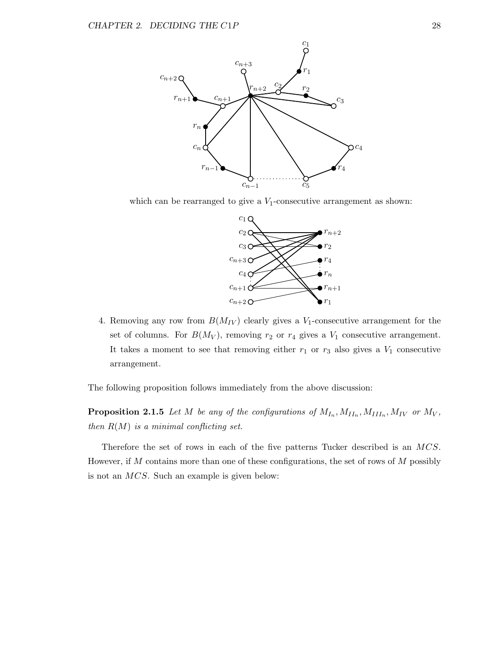

which can be rearranged to give a  $V_1$ -consecutive arrangement as shown:



4. Removing any row from  $B(M_{IV})$  clearly gives a  $V_1$ -consecutive arrangement for the set of columns. For  $B(M_V)$ , removing  $r_2$  or  $r_4$  gives a  $V_1$  consecutive arrangement. It takes a moment to see that removing either  $r_1$  or  $r_3$  also gives a  $V_1$  consecutive arrangement.

The following proposition follows immediately from the above discussion:

**Proposition 2.1.5** Let M be any of the configurations of  $M_{I_n}, M_{II_n}, M_{III_n}, M_{IV}$  or  $M_V$ , then  $R(M)$  is a minimal conflicting set.

Therefore the set of rows in each of the five patterns Tucker described is an MCS. However, if  $M$  contains more than one of these configurations, the set of rows of  $M$  possibly is not an MCS. Such an example is given below: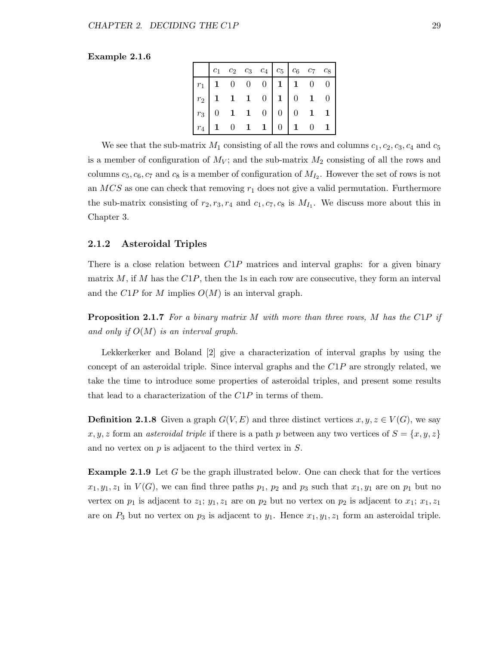### Example 2.1.6

|  | $c_1$ $c_2$ $c_3$ $c_4$ $c_5$ $c_6$ $c_7$ $c_8$                                                                                                                                                                  |  |  |  |
|--|------------------------------------------------------------------------------------------------------------------------------------------------------------------------------------------------------------------|--|--|--|
|  |                                                                                                                                                                                                                  |  |  |  |
|  |                                                                                                                                                                                                                  |  |  |  |
|  |                                                                                                                                                                                                                  |  |  |  |
|  | $\begin{tabular}{c cccc cccc} $r_1$ & 1 & 0 & 0 & 0 & 1 & 1 & 0 & 0 \\ $r_2$ & 1 & 1 & 1 & 0 & 1 & 0 & 1 & 0 \\ $r_3$ & 0 & 1 & 1 & 0 & 0 & 0 & 1 & 1 \\ $r_4$ & 1 & 0 & 1 & 1 & 0 & 1 & 0 & 1 \\ \end{tabular}$ |  |  |  |

We see that the sub-matrix  $M_1$  consisting of all the rows and columns  $c_1, c_2, c_3, c_4$  and  $c_5$ is a member of configuration of  $M_V$ ; and the sub-matrix  $M_2$  consisting of all the rows and columns  $c_5, c_6, c_7$  and  $c_8$  is a member of configuration of  $M_{I_2}$ . However the set of rows is not an  $MCS$  as one can check that removing  $r_1$  does not give a valid permutation. Furthermore the sub-matrix consisting of  $r_2, r_3, r_4$  and  $c_1, c_7, c_8$  is  $M_{I_1}$ . We discuss more about this in Chapter 3.

### 2.1.2 Asteroidal Triples

There is a close relation between  $C1P$  matrices and interval graphs: for a given binary matrix M, if M has the  $C1P$ , then the 1s in each row are consecutive, they form an interval and the  $C1P$  for M implies  $O(M)$  is an interval graph.

**Proposition 2.1.7** For a binary matrix  $M$  with more than three rows,  $M$  has the C1P if and only if  $O(M)$  is an interval graph.

Lekkerkerker and Boland [2] give a characterization of interval graphs by using the concept of an asteroidal triple. Since interval graphs and the  $C1P$  are strongly related, we take the time to introduce some properties of asteroidal triples, and present some results that lead to a characterization of the  $C1P$  in terms of them.

**Definition 2.1.8** Given a graph  $G(V, E)$  and three distinct vertices  $x, y, z \in V(G)$ , we say x, y, z form an asteroidal triple if there is a path p between any two vertices of  $S = \{x, y, z\}$ and no vertex on  $p$  is adjacent to the third vertex in  $S$ .

**Example 2.1.9** Let G be the graph illustrated below. One can check that for the vertices  $x_1, y_1, z_1$  in  $V(G)$ , we can find three paths  $p_1, p_2$  and  $p_3$  such that  $x_1, y_1$  are on  $p_1$  but no vertex on  $p_1$  is adjacent to  $z_1$ ;  $y_1, z_1$  are on  $p_2$  but no vertex on  $p_2$  is adjacent to  $x_1$ ;  $x_1, z_1$ are on  $P_3$  but no vertex on  $p_3$  is adjacent to  $y_1$ . Hence  $x_1, y_1, z_1$  form an asteroidal triple.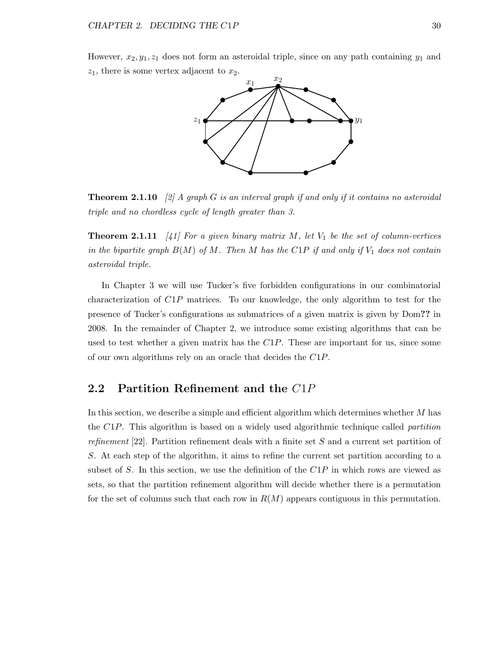However,  $x_2, y_1, z_1$  does not form an asteroidal triple, since on any path containing  $y_1$  and  $z_1$ , there is some vertex adjacent to  $x_2$ .



**Theorem 2.1.10** [2] A graph G is an interval graph if and only if it contains no asteroidal triple and no chordless cycle of length greater than 3.

**Theorem 2.1.11** [41] For a given binary matrix M, let  $V_1$  be the set of column-vertices in the bipartite graph  $B(M)$  of M. Then M has the C1P if and only if  $V_1$  does not contain asteroidal triple.

In Chapter 3 we will use Tucker's five forbidden configurations in our combinatorial characterization of C1P matrices. To our knowledge, the only algorithm to test for the presence of Tucker's configurations as submatrices of a given matrix is given by Dom?? in 2008. In the remainder of Chapter 2, we introduce some existing algorithms that can be used to test whether a given matrix has the  $C1P$ . These are important for us, since some of our own algorithms rely on an oracle that decides the C1P.

### 2.2 Partition Refinement and the C1P

In this section, we describe a simple and efficient algorithm which determines whether M has the  $C1P$ . This algorithm is based on a widely used algorithmic technique called *partition* refinement  $[22]$ . Partition refinement deals with a finite set S and a current set partition of S. At each step of the algorithm, it aims to refine the current set partition according to a subset of S. In this section, we use the definition of the  $C1P$  in which rows are viewed as sets, so that the partition refinement algorithm will decide whether there is a permutation for the set of columns such that each row in  $R(M)$  appears contiguous in this permutation.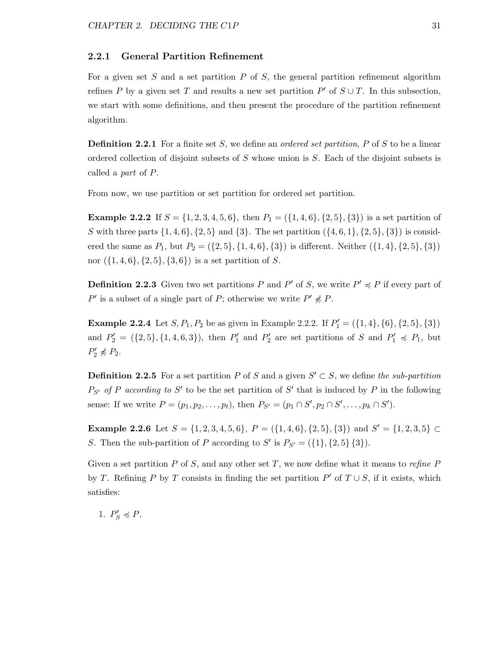### 2.2.1 General Partition Refinement

For a given set S and a set partition  $P$  of S, the general partition refinement algorithm refines P by a given set T and results a new set partition  $P'$  of  $S \cup T$ . In this subsection, we start with some definitions, and then present the procedure of the partition refinement algorithm.

**Definition 2.2.1** For a finite set S, we define an *ordered set partition*,  $P$  of  $S$  to be a linear ordered collection of disjoint subsets of S whose union is S. Each of the disjoint subsets is called a part of P.

From now, we use partition or set partition for ordered set partition.

**Example 2.2.2** If  $S = \{1, 2, 3, 4, 5, 6\}$ , then  $P_1 = (\{1, 4, 6\}, \{2, 5\}, \{3\})$  is a set partition of S with three parts  $\{1, 4, 6\}, \{2, 5\}$  and  $\{3\}$ . The set partition  $(\{4, 6, 1\}, \{2, 5\}, \{3\})$  is considered the same as  $P_1$ , but  $P_2 = (\{2, 5\}, \{1, 4, 6\}, \{3\})$  is different. Neither  $(\{1, 4\}, \{2, 5\}, \{3\})$ nor  $({1, 4, 6}, {2, 5}, {3, 6})$  is a set partition of S.

**Definition 2.2.3** Given two set partitions P and P' of S, we write  $P' \preccurlyeq P$  if every part of P' is a subset of a single part of P; otherwise we write  $P' \nless P$ .

**Example 2.2.4** Let  $S, P_1, P_2$  be as given in Example 2.2.2. If  $P'_1 = (\{1, 4\}, \{6\}, \{2, 5\}, \{3\})$ and  $P'_2 = (\{2, 5\}, \{1, 4, 6, 3\})$ , then  $P'_1$  and  $P'_2$  are set partitions of S and  $P'_1 \preccurlyeq P_1$ , but  $P'_2 \nless P_2.$ 

**Definition 2.2.5** For a set partition P of S and a given  $S' \subset S$ , we define the sub-partition  $P_{S'}$  of P according to S' to be the set partition of S' that is induced by P in the following sense: If we write  $P = (p_1, p_2, \dots, p_t)$ , then  $P_{S'} = (p_1 \cap S', p_2 \cap S', \dots, p_k \cap S')$ .

**Example 2.2.6** Let  $S = \{1, 2, 3, 4, 5, 6\}$ ,  $P = \{\{1, 4, 6\}, \{2, 5\}, \{3\}\}$  and  $S' = \{1, 2, 3, 5\}$ S. Then the sub-partition of P according to S' is  $P_{S'} = (\{1\}, \{2, 5\} \{3\}).$ 

Given a set partition P of S, and any other set T, we now define what it means to refine P by T. Refining P by T consists in finding the set partition  $P'$  of  $T \cup S$ , if it exists, which satisfies:

1.  $P'_S \preccurlyeq P$ .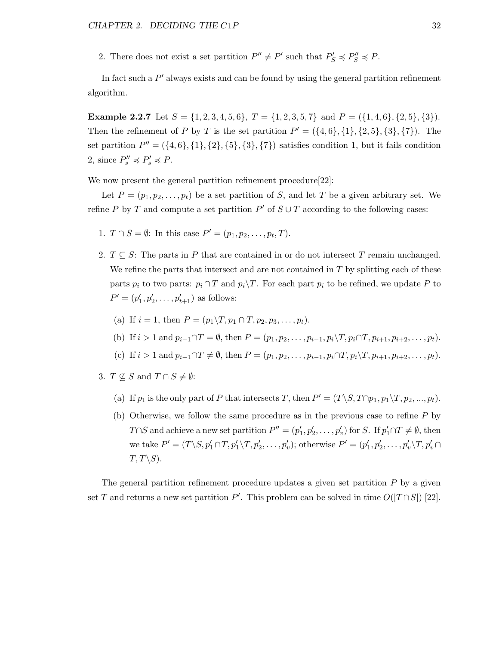2. There does not exist a set partition  $P'' \neq P'$  such that  $P'_S \preccurlyeq P''_S \preccurlyeq P$ .

In fact such a  $P'$  always exists and can be found by using the general partition refinement algorithm.

**Example 2.2.7** Let  $S = \{1, 2, 3, 4, 5, 6\}$ ,  $T = \{1, 2, 3, 5, 7\}$  and  $P = \{\{1, 4, 6\}, \{2, 5\}, \{3\}\}$ . Then the refinement of P by T is the set partition  $P' = (\{4, 6\}, \{1\}, \{2, 5\}, \{3\}, \{7\})$ . The set partition  $P'' = (\{4, 6\}, \{1\}, \{2\}, \{5\}, \{3\}, \{7\})$  satisfies condition 1, but it fails condition 2, since  $P_s'' \preccurlyeq P_s' \preccurlyeq P$ .

We now present the general partition refinement procedure [22]:

Let  $P = (p_1, p_2, \ldots, p_t)$  be a set partition of S, and let T be a given arbitrary set. We refine P by T and compute a set partition  $P'$  of  $S \cup T$  according to the following cases:

- 1.  $T \cap S = \emptyset$ : In this case  $P' = (p_1, p_2, \dots, p_t, T)$ .
- 2.  $T \subseteq S$ : The parts in P that are contained in or do not intersect T remain unchanged. We refine the parts that intersect and are not contained in  $T$  by splitting each of these parts  $p_i$  to two parts:  $p_i \cap T$  and  $p_i \backslash T$ . For each part  $p_i$  to be refined, we update P to  $P' = (p'_1, p'_2, \dots, p'_{t+1})$  as follows:
	- (a) If  $i = 1$ , then  $P = (p_1 \backslash T, p_1 \cap T, p_2, p_3, \ldots, p_t)$ .
	- (b) If  $i > 1$  and  $p_{i-1} \cap T = \emptyset$ , then  $P = (p_1, p_2, \ldots, p_{i-1}, p_i \setminus T, p_i \cap T, p_{i+1}, p_{i+2}, \ldots, p_t)$ .
	- (c) If  $i > 1$  and  $p_{i-1} \cap T \neq \emptyset$ , then  $P = (p_1, p_2, \ldots, p_{i-1}, p_i \cap T, p_i \setminus T, p_{i+1}, p_{i+2}, \ldots, p_t)$ .
- 3.  $T \nsubseteq S$  and  $T \cap S \neq \emptyset$ :
	- (a) If  $p_1$  is the only part of P that intersects T, then  $P' = (T \setminus S, T \cap p_1, p_1 \setminus T, p_2, ..., p_t)$ .
	- (b) Otherwise, we follow the same procedure as in the previous case to refine P by T∩S and achieve a new set partition  $P'' = (p'_1, p'_2, \ldots, p'_v)$  for S. If  $p'_1 \cap T \neq \emptyset$ , then we take  $P' = (T \backslash S, p'_1 \cap T, p'_1 \backslash T, p'_2, \dots, p'_v);$  otherwise  $P' = (p'_1, p'_2, \dots, p'_v \backslash T, p'_v \cap T)$  $T, T\backslash S$ ).

The general partition refinement procedure updates a given set partition  $P$  by a given set T and returns a new set partition P'. This problem can be solved in time  $O(|T \cap S|)$  [22].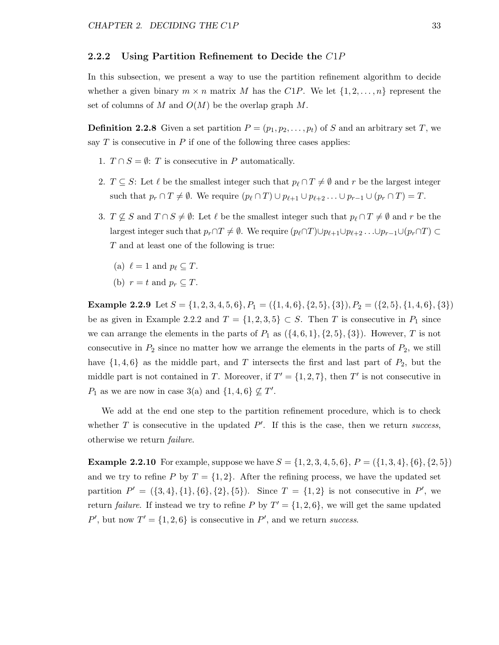### 2.2.2 Using Partition Refinement to Decide the  $C1P$

In this subsection, we present a way to use the partition refinement algorithm to decide whether a given binary  $m \times n$  matrix M has the C1P. We let  $\{1, 2, \ldots, n\}$  represent the set of columns of M and  $O(M)$  be the overlap graph M.

**Definition 2.2.8** Given a set partition  $P = (p_1, p_2, \ldots, p_t)$  of S and an arbitrary set T, we say  $T$  is consecutive in  $P$  if one of the following three cases applies:

- 1.  $T \cap S = \emptyset$ : T is consecutive in P automatically.
- 2.  $T \subseteq S$ : Let  $\ell$  be the smallest integer such that  $p_{\ell} \cap T \neq \emptyset$  and r be the largest integer such that  $p_r \cap T \neq \emptyset$ . We require  $(p_\ell \cap T) \cup p_{\ell+1} \cup p_{\ell+2} \dots \cup p_{r-1} \cup (p_r \cap T) = T$ .
- 3.  $T \nsubseteq S$  and  $T \cap S \neq \emptyset$ : Let  $\ell$  be the smallest integer such that  $p_{\ell} \cap T \neq \emptyset$  and r be the largest integer such that  $p_r \cap T \neq \emptyset$ . We require  $(p_\ell \cap T) \cup p_{\ell+1} \cup p_{\ell+2} \dots \cup p_{r-1} \cup (p_r \cap T) \subset$ T and at least one of the following is true:
	- (a)  $\ell = 1$  and  $p_{\ell} \subset T$ .
	- (b)  $r = t$  and  $p_r \subseteq T$ .

**Example 2.2.9** Let  $S = \{1, 2, 3, 4, 5, 6\}$ ,  $P_1 = \{\{1, 4, 6\}, \{2, 5\}, \{3\}\}$ ,  $P_2 = \{\{2, 5\}, \{1, 4, 6\}, \{3\}\}$ be as given in Example 2.2.2 and  $T = \{1, 2, 3, 5\} \subset S$ . Then T is consecutive in  $P_1$  since we can arrange the elements in the parts of  $P_1$  as  $({4, 6, 1}, {2, 5}, {3})$ . However, T is not consecutive in  $P_2$  since no matter how we arrange the elements in the parts of  $P_2$ , we still have  $\{1,4,6\}$  as the middle part, and T intersects the first and last part of  $P_2$ , but the middle part is not contained in T. Moreover, if  $T' = \{1, 2, 7\}$ , then T' is not consecutive in  $P_1$  as we are now in case 3(a) and  $\{1,4,6\} \nsubseteq T'$ .

We add at the end one step to the partition refinement procedure, which is to check whether  $T$  is consecutive in the updated  $P'$ . If this is the case, then we return success, otherwise we return failure.

**Example 2.2.10** For example, suppose we have  $S = \{1, 2, 3, 4, 5, 6\}$ ,  $P = \{\{1, 3, 4\}, \{6\}, \{2, 5\}\}\$ and we try to refine P by  $T = \{1, 2\}$ . After the refining process, we have the updated set partition  $P' = (\{3, 4\}, \{1\}, \{6\}, \{2\}, \{5\})$ . Since  $T = \{1, 2\}$  is not consecutive in P', we return *failure*. If instead we try to refine P by  $T' = \{1, 2, 6\}$ , we will get the same updated  $P'$ , but now  $T' = \{1, 2, 6\}$  is consecutive in  $P'$ , and we return success.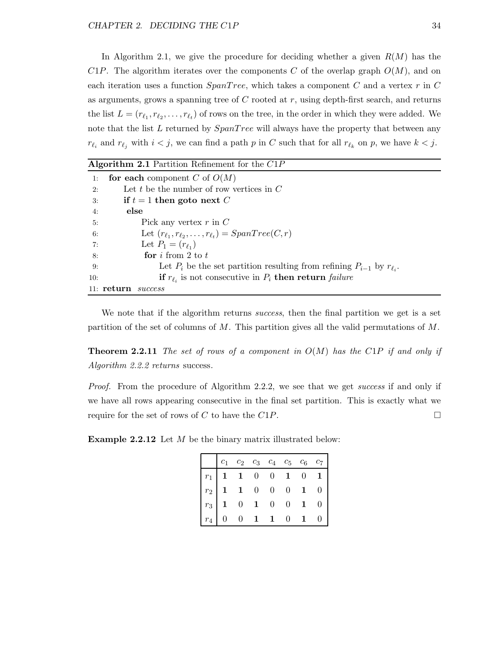In Algorithm 2.1, we give the procedure for deciding whether a given  $R(M)$  has the  $C1P$ . The algorithm iterates over the components C of the overlap graph  $O(M)$ , and on each iteration uses a function  $SpanTree$ , which takes a component C and a vertex r in C as arguments, grows a spanning tree of  $C$  rooted at  $r$ , using depth-first search, and returns the list  $L = (r_{\ell_1}, r_{\ell_2}, \ldots, r_{\ell_t})$  of rows on the tree, in the order in which they were added. We note that the list  $L$  returned by  $SpanTree$  will always have the property that between any  $r_{\ell_i}$  and  $r_{\ell_j}$  with  $i < j$ , we can find a path p in C such that for all  $r_{\ell_k}$  on p, we have  $k < j$ .

| <b>Algorithm 2.1</b> Partition Refinement for the $C1P$                                  |
|------------------------------------------------------------------------------------------|
| for each component C of $O(M)$<br>1:                                                     |
| Let t be the number of row vertices in $C$<br>2:                                         |
| if $t = 1$ then goto next C<br>3:                                                        |
| else<br>4:                                                                               |
| Pick any vertex $r$ in $C$<br>5:                                                         |
| Let $(r_{\ell_1}, r_{\ell_2}, \ldots, r_{\ell_t}) = SpanTree(C, r)$<br>6:                |
| Let $P_1 = (r_{\ell_1})$<br>7:                                                           |
| for $i$ from 2 to $t$<br>8:                                                              |
| Let $P_i$ be the set partition resulting from refining $P_{i-1}$ by $r_{\ell_i}$ .<br>9: |
| if $r_{\ell_i}$ is not consecutive in $P_i$ then return failure<br>10:                   |
| $11:$ return<br>success                                                                  |

We note that if the algorithm returns *success*, then the final partition we get is a set partition of the set of columns of  $M$ . This partition gives all the valid permutations of  $M$ .

**Theorem 2.2.11** The set of rows of a component in  $O(M)$  has the C1P if and only if Algorithm 2.2.2 returns success.

Proof. From the procedure of Algorithm 2.2.2, we see that we get *success* if and only if we have all rows appearing consecutive in the final set partition. This is exactly what we require for the set of rows of C to have the C1P.  $\Box$ 

**Example 2.2.12** Let  $M$  be the binary matrix illustrated below:

| $\begin{array}{ c ccccccccccccccc }\hline &c_1&c_2&c_3&c_4&c_5&c_6&c_7\\ \hline r_1&1&1&0&0&1&0&1\\ r_2&1&1&0&0&0&1&0\\ r_3&1&0&1&0&0&1&0\\ r_4&0&0&1&1&0&1&0\\ \hline \end{array}$ |  |  |  |  |
|-------------------------------------------------------------------------------------------------------------------------------------------------------------------------------------|--|--|--|--|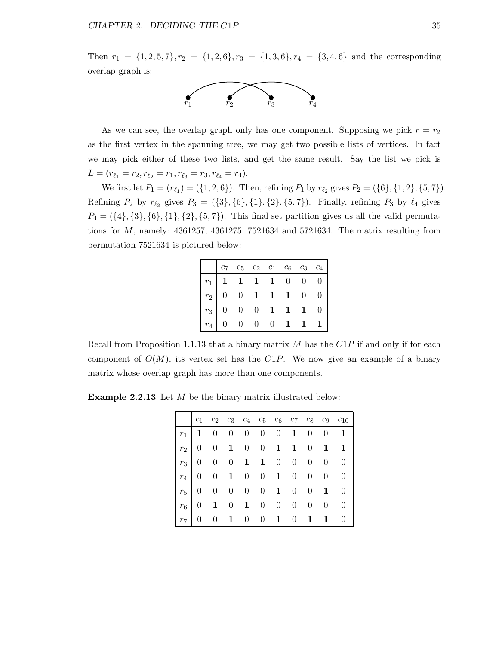Then  $r_1 = \{1, 2, 5, 7\}, r_2 = \{1, 2, 6\}, r_3 = \{1, 3, 6\}, r_4 = \{3, 4, 6\}$  and the corresponding overlap graph is:



As we can see, the overlap graph only has one component. Supposing we pick  $r = r<sub>2</sub>$ as the first vertex in the spanning tree, we may get two possible lists of vertices. In fact we may pick either of these two lists, and get the same result. Say the list we pick is  $L = (r_{\ell_1} = r_2, r_{\ell_2} = r_1, r_{\ell_3} = r_3, r_{\ell_4} = r_4).$ 

We first let  $P_1 = (r_{\ell_1}) = (\{1, 2, 6\})$ . Then, refining  $P_1$  by  $r_{\ell_2}$  gives  $P_2 = (\{6\}, \{1, 2\}, \{5, 7\})$ . Refining  $P_2$  by  $r_{\ell_3}$  gives  $P_3 = (\{3\}, \{6\}, \{1\}, \{2\}, \{5, 7\})$ . Finally, refining  $P_3$  by  $\ell_4$  gives  $P_4 = (\{4\}, \{3\}, \{6\}, \{1\}, \{2\}, \{5, 7\})$ . This final set partition gives us all the valid permutations for M, namely: 4361257, 4361275, 7521634 and 5721634. The matrix resulting from permutation 7521634 is pictured below:

|                  |                                                                                                 |                |                | $c_5 \quad c_2 \quad c_1 \quad c_6$         |              | $c_3$ $c_4$    |
|------------------|-------------------------------------------------------------------------------------------------|----------------|----------------|---------------------------------------------|--------------|----------------|
|                  | $\begin{array}{c cccccc} r_1 & 1 & 1 & 1 & 1 & 0 & 0 \ r_2 & 0 & 0 & 1 & 1 & 1 & 0 \end{array}$ |                |                |                                             |              | $\overline{0}$ |
| $r_2 \mid 0$     |                                                                                                 |                |                |                                             |              | 0 <sup>1</sup> |
| $r_3$ 0          |                                                                                                 |                |                | $\begin{matrix} 0 & 0 & 1 & 1 \end{matrix}$ | $\mathbf{1}$ | $\theta$       |
| $r_4$   $\alpha$ | $\overline{0}$                                                                                  | $\overline{0}$ | $\overline{0}$ | $\mathbf{1}$                                |              |                |

Recall from Proposition 1.1.13 that a binary matrix  $M$  has the  $C1P$  if and only if for each component of  $O(M)$ , its vertex set has the C1P. We now give an example of a binary matrix whose overlap graph has more than one components.

Example 2.2.13 Let M be the binary matrix illustrated below:

|                                                                                                               |  |  |  |            | $c_1$ $c_2$ $c_3$ $c_4$ $c_5$ $c_6$ $c_7$ $c_8$ $c_9$ $c_{10}$ |
|---------------------------------------------------------------------------------------------------------------|--|--|--|------------|----------------------------------------------------------------|
|                                                                                                               |  |  |  |            | $r_1$ 1 0 0 0 0 0 1 0 0 1                                      |
| $ r_2 0 \t0 \t1 \t0 \t0 \t1 \t1 \t0 \t1 \t1$                                                                  |  |  |  |            |                                                                |
| $\begin{array}{ ccccccccccccccccccc }\hline r_3 & 0 & 0 & 0 & 1 & 1 & 0 & 0 & 0 & 0 & 0 \\\hline \end{array}$ |  |  |  |            |                                                                |
| $r_4$   0 0 1 0 0 1 0 0 0 0 0                                                                                 |  |  |  |            |                                                                |
| $r_5$   0 0 0 0 0 1 0 0 1 0                                                                                   |  |  |  |            |                                                                |
| $r_6$                                                                                                         |  |  |  |            |                                                                |
| $r_7$ 0 0 1 0 0 1                                                                                             |  |  |  | $0\quad 1$ | $1 \quad 0$                                                    |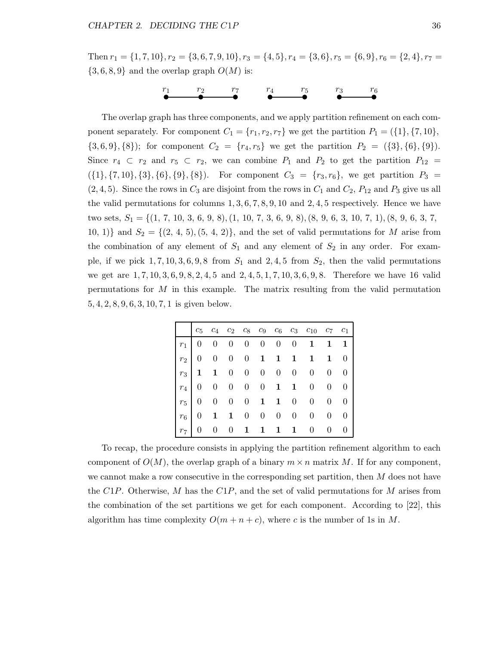Then  $r_1 = \{1, 7, 10\}, r_2 = \{3, 6, 7, 9, 10\}, r_3 = \{4, 5\}, r_4 = \{3, 6\}, r_5 = \{6, 9\}, r_6 = \{2, 4\}, r_7 = \{4, 5\}$  $\{3,6,8,9\}$  and the overlap graph  $O(M)$  is:

$$
\overset{r_1}{\bullet} \overset{r_2}{\bullet} \overset{r_7}{\bullet} \overset{r_4}{\bullet} \overset{r_5}{\bullet} \overset{r_3}{\bullet} \overset{r_6}{\bullet}
$$

The overlap graph has three components, and we apply partition refinement on each component separately. For component  $C_1 = \{r_1, r_2, r_7\}$  we get the partition  $P_1 = (\{1\}, \{7, 10\})$ ,  ${3, 6, 9}, {8}$ ; for component  $C_2 = {r_4, r_5}$  we get the partition  $P_2 = ({3}, {6}, {9})$ . Since  $r_4 \text{ }\subset r_2$  and  $r_5 \text{ }\subset r_2$ , we can combine  $P_1$  and  $P_2$  to get the partition  $P_{12}$  =  $({1}, {7, 10}, {3}, {6}, {9}, {8})$ . For component  $C_3 = {r_3, r_6}$ , we get partition  $P_3 =$  $(2, 4, 5)$ . Since the rows in  $C_3$  are disjoint from the rows in  $C_1$  and  $C_2$ ,  $P_{12}$  and  $P_3$  give us all the valid permutations for columns  $1, 3, 6, 7, 8, 9, 10$  and  $2, 4, 5$  respectively. Hence we have two sets,  $S_1 = \{(1, 7, 10, 3, 6, 9, 8), (1, 10, 7, 3, 6, 9, 8), (8, 9, 6, 3, 10, 7, 1), (8, 9, 6, 3, 7,$ 10, 1)} and  $S_2 = \{(2, 4, 5), (5, 4, 2)\}$ , and the set of valid permutations for M arise from the combination of any element of  $S_1$  and any element of  $S_2$  in any order. For example, if we pick  $1, 7, 10, 3, 6, 9, 8$  from  $S_1$  and  $2, 4, 5$  from  $S_2$ , then the valid permutations we get are  $1, 7, 10, 3, 6, 9, 8, 2, 4, 5$  and  $2, 4, 5, 1, 7, 10, 3, 6, 9, 8$ . Therefore we have 16 valid permutations for M in this example. The matrix resulting from the valid permutation 5, 4, 2, 8, 9, 6, 3, 10, 7, 1 is given below.

|  |  |  |  | $c_5$ $c_4$ $c_2$ $c_8$ $c_9$ $c_6$ $c_3$ $c_{10}$ $c_7$ $c_1$ |  |
|--|--|--|--|----------------------------------------------------------------|--|
|  |  |  |  | $r_1$ 0 0 0 0 0 0 0 1 1 1                                      |  |
|  |  |  |  | $r_2$ 0 0 0 0 1 1 1 1 1 0                                      |  |
|  |  |  |  | $r_3$ 1 1 0 0 0 0 0 0 0 0                                      |  |
|  |  |  |  | $r_4$   0 0 0 0 0 1 1 0 0 0                                    |  |
|  |  |  |  | $r_5$ 0 0 0 0 1 1 0 0 0 0                                      |  |
|  |  |  |  |                                                                |  |
|  |  |  |  | $r_7$ 0 0 0 1 1 1 1 0 0 0                                      |  |

To recap, the procedure consists in applying the partition refinement algorithm to each component of  $O(M)$ , the overlap graph of a binary  $m \times n$  matrix M. If for any component, we cannot make a row consecutive in the corresponding set partition, then  $M$  does not have the  $C1P$ . Otherwise, M has the  $C1P$ , and the set of valid permutations for M arises from the combination of the set partitions we get for each component. According to [22], this algorithm has time complexity  $O(m + n + c)$ , where c is the number of 1s in M.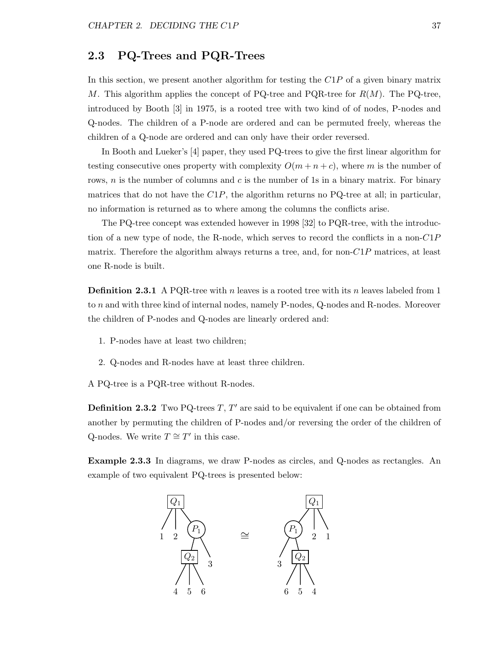### 2.3 PQ-Trees and PQR-Trees

In this section, we present another algorithm for testing the  $C1P$  of a given binary matrix M. This algorithm applies the concept of PQ-tree and PQR-tree for  $R(M)$ . The PQ-tree, introduced by Booth [3] in 1975, is a rooted tree with two kind of of nodes, P-nodes and Q-nodes. The children of a P-node are ordered and can be permuted freely, whereas the children of a Q-node are ordered and can only have their order reversed.

In Booth and Lueker's [4] paper, they used PQ-trees to give the first linear algorithm for testing consecutive ones property with complexity  $O(m + n + c)$ , where m is the number of rows, n is the number of columns and c is the number of 1s in a binary matrix. For binary matrices that do not have the  $C1P$ , the algorithm returns no PQ-tree at all; in particular, no information is returned as to where among the columns the conflicts arise.

The PQ-tree concept was extended however in 1998 [32] to PQR-tree, with the introduction of a new type of node, the R-node, which serves to record the conflicts in a non- $C1P$ matrix. Therefore the algorithm always returns a tree, and, for non- $\mathbb{C}1P$  matrices, at least one R-node is built.

**Definition 2.3.1** A PQR-tree with n leaves is a rooted tree with its n leaves labeled from 1 to n and with three kind of internal nodes, namely P-nodes, Q-nodes and R-nodes. Moreover the children of P-nodes and Q-nodes are linearly ordered and:

- 1. P-nodes have at least two children;
- 2. Q-nodes and R-nodes have at least three children.
- A PQ-tree is a PQR-tree without R-nodes.

**Definition 2.3.2** Two PQ-trees  $T, T'$  are said to be equivalent if one can be obtained from another by permuting the children of P-nodes and/or reversing the order of the children of Q-nodes. We write  $T \cong T'$  in this case.

Example 2.3.3 In diagrams, we draw P-nodes as circles, and Q-nodes as rectangles. An example of two equivalent PQ-trees is presented below:

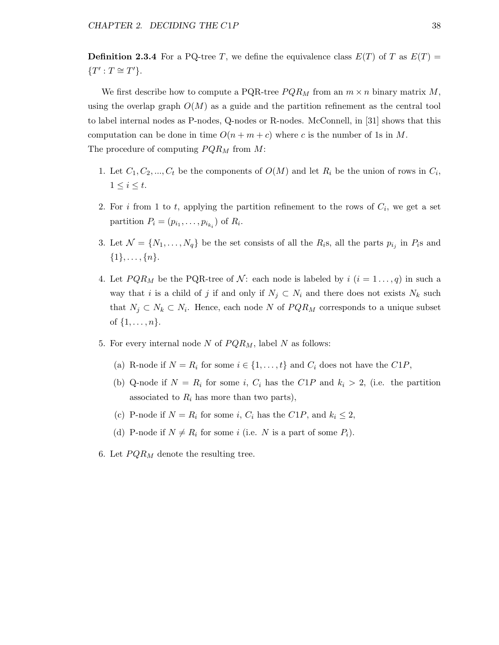**Definition 2.3.4** For a PQ-tree T, we define the equivalence class  $E(T)$  of T as  $E(T)$  =  ${T': T \cong T'}.$ 

We first describe how to compute a PQR-tree  $PQR_M$  from an  $m \times n$  binary matrix M, using the overlap graph  $O(M)$  as a guide and the partition refinement as the central tool to label internal nodes as P-nodes, Q-nodes or R-nodes. McConnell, in [31] shows that this computation can be done in time  $O(n + m + c)$  where c is the number of 1s in M. The procedure of computing  $PQR_M$  from  $M$ :

- 1. Let  $C_1, C_2, ..., C_t$  be the components of  $O(M)$  and let  $R_i$  be the union of rows in  $C_i$ ,  $1 \leq i \leq t$ .
- 2. For i from 1 to t, applying the partition refinement to the rows of  $C_i$ , we get a set partition  $P_i = (p_{i_1}, \ldots, p_{i_{k_i}})$  of  $R_i$ .
- 3. Let  $\mathcal{N} = \{N_1, \ldots, N_q\}$  be the set consists of all the  $R_i$ s, all the parts  $p_{i_j}$  in  $P_i$ s and  $\{1\}, \ldots, \{n\}.$
- 4. Let  $PQR_M$  be the PQR-tree of N: each node is labeled by  $i$   $(i = 1 \ldots, q)$  in such a way that i is a child of j if and only if  $N_j \subset N_i$  and there does not exists  $N_k$  such that  $N_j \subset N_k \subset N_i$ . Hence, each node N of  $PQR_M$  corresponds to a unique subset of  $\{1, \ldots, n\}.$
- 5. For every internal node N of  $PQR_M$ , label N as follows:
	- (a) R-node if  $N = R_i$  for some  $i \in \{1, ..., t\}$  and  $C_i$  does not have the  $C1P$ ,
	- (b) Q-node if  $N = R_i$  for some i,  $C_i$  has the  $C1P$  and  $k_i > 2$ , (i.e. the partition associated to  $R_i$  has more than two parts),
	- (c) P-node if  $N = R_i$  for some i,  $C_i$  has the  $C1P$ , and  $k_i \leq 2$ ,
	- (d) P-node if  $N \neq R_i$  for some i (i.e. N is a part of some  $P_i$ ).
- 6. Let  $PQR_M$  denote the resulting tree.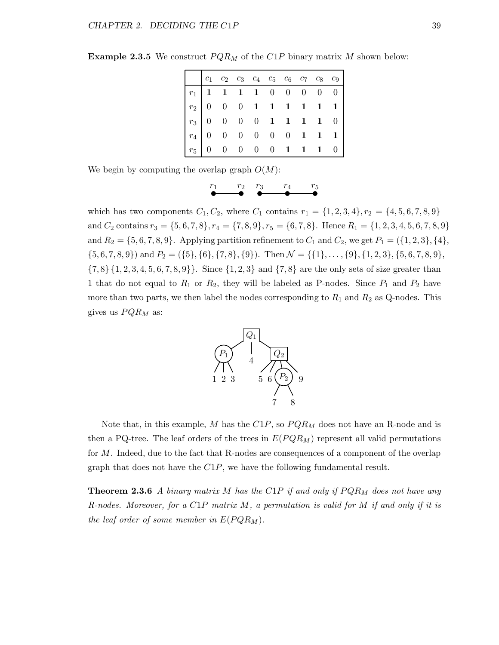| $c_1$ $c_2$ $c_3$ $c_4$ $c_5$ $c_6$ $c_7$ $c_8$ $c_9$                                                                                                                                      |  |  |  |  |  |
|--------------------------------------------------------------------------------------------------------------------------------------------------------------------------------------------|--|--|--|--|--|
|                                                                                                                                                                                            |  |  |  |  |  |
|                                                                                                                                                                                            |  |  |  |  |  |
|                                                                                                                                                                                            |  |  |  |  |  |
|                                                                                                                                                                                            |  |  |  |  |  |
| $\begin{array}{ c cccccccc }\hline r_1&1&1&1&1&0&0&0&0&0 \\ \hline r_2&0&0&0&1&1&1&1&1&1 \\ r_3&0&0&0&0&1&1&1&1&0 \\ r_4&0&0&0&0&0&1&1&1&1 \\ r_5&0&0&0&0&0&1&1&1&0 \\ \hline \end{array}$ |  |  |  |  |  |

**Example 2.3.5** We construct  $PQR_M$  of the  $C1P$  binary matrix M shown below:

We begin by computing the overlap graph  $O(M)$ :

 $\begin{array}{ccc} r_1 & r_2 & r_3 & r_4 & r_5 \end{array}$ 

which has two components  $C_1, C_2$ , where  $C_1$  contains  $r_1 = \{1, 2, 3, 4\}, r_2 = \{4, 5, 6, 7, 8, 9\}$ and  $C_2$  contains  $r_3 = \{5, 6, 7, 8\}, r_4 = \{7, 8, 9\}, r_5 = \{6, 7, 8\}.$  Hence  $R_1 = \{1, 2, 3, 4, 5, 6, 7, 8, 9\}$ and  $R_2 = \{5, 6, 7, 8, 9\}$ . Applying partition refinement to  $C_1$  and  $C_2$ , we get  $P_1 = (\{1, 2, 3\}, \{4\}, \{5, 6, 7, 8, 9\})$ .  $\{5, 6, 7, 8, 9\}$  and  $P_2 = (\{5\}, \{6\}, \{7, 8\}, \{9\})$ . Then  $\mathcal{N} = \{\{1\}, \ldots, \{9\}, \{1, 2, 3\}, \{5, 6, 7, 8, 9\},\$  $\{7, 8\}$   $\{1, 2, 3, 4, 5, 6, 7, 8, 9\}$ . Since  $\{1, 2, 3\}$  and  $\{7, 8\}$  are the only sets of size greater than 1 that do not equal to  $R_1$  or  $R_2$ , they will be labeled as P-nodes. Since  $P_1$  and  $P_2$  have more than two parts, we then label the nodes corresponding to  $R_1$  and  $R_2$  as Q-nodes. This gives us  $PQR_M$  as:



Note that, in this example,  $M$  has the  $C1P$ , so  $PQR_M$  does not have an R-node and is then a PQ-tree. The leaf orders of the trees in  $E(PQR_M)$  represent all valid permutations for M. Indeed, due to the fact that R-nodes are consequences of a component of the overlap graph that does not have the C1P, we have the following fundamental result.

**Theorem 2.3.6** A binary matrix M has the C1P if and only if  $PQR_M$  does not have any R-nodes. Moreover, for a C1P matrix  $M$ , a permutation is valid for  $M$  if and only if it is the leaf order of some member in  $E(PQR_M)$ .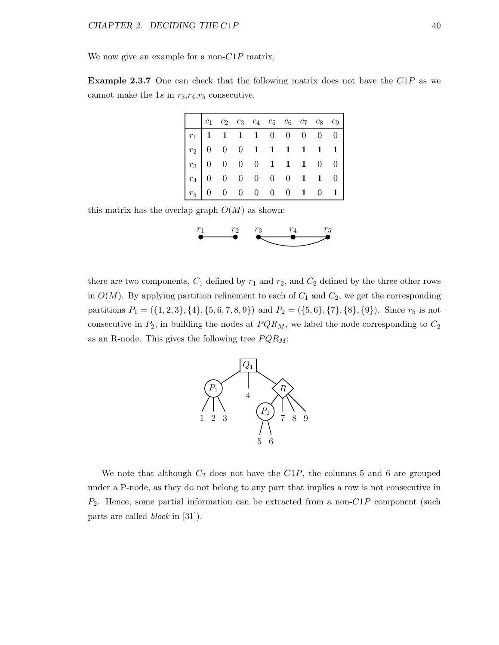We now give an example for a non- $C1P$  matrix.

Example 2.3.7 One can check that the following matrix does not have the C1P as we cannot make the 1s in  $r_3,r_4,r_5$  consecutive.

|                                                                                                                                                                                                | $c_1$ $c_2$ $c_3$ $c_4$ $c_5$ $c_6$ $c_7$ $c_8$ $c_9$ |  |  |  |  |
|------------------------------------------------------------------------------------------------------------------------------------------------------------------------------------------------|-------------------------------------------------------|--|--|--|--|
|                                                                                                                                                                                                |                                                       |  |  |  |  |
|                                                                                                                                                                                                |                                                       |  |  |  |  |
|                                                                                                                                                                                                |                                                       |  |  |  |  |
|                                                                                                                                                                                                |                                                       |  |  |  |  |
| $\begin{array}{ c cccccccccccc }\hline r_1&1&1&1&1&0&0&0&0&0 \\ \hline r_2&0&0&0&1&1&1&1&1&1 \\ r_3&0&0&0&0&1&1&1&0&0 \\ r_4&0&0&0&0&0&0&1&1&0 \\ r_5&0&0&0&0&0&0&1&0&1 \\ \hline \end{array}$ |                                                       |  |  |  |  |

this matrix has the overlap graph  $O(M)$  as shown:



there are two components,  $C_1$  defined by  $r_1$  and  $r_2$ , and  $C_2$  defined by the three other rows in  $O(M)$ . By applying partition refinement to each of  $C_1$  and  $C_2$ , we get the corresponding partitions  $P_1 = (\{1, 2, 3\}, \{4\}, \{5, 6, 7, 8, 9\})$  and  $P_2 = (\{5, 6\}, \{7\}, \{8\}, \{9\})$ . Since  $r_5$  is not consecutive in  $P_2$ , in building the nodes at  $PQR_M$ , we label the node corresponding to  $C_2$ as an R-node. This gives the following tree  $PQR_M$ :



We note that although  $C_2$  does not have the  $C_1P$ , the columns 5 and 6 are grouped under a P-node, as they do not belong to any part that implies a row is not consecutive in  $P_2$ . Hence, some partial information can be extracted from a non- $C1P$  component (such parts are called block in [31]).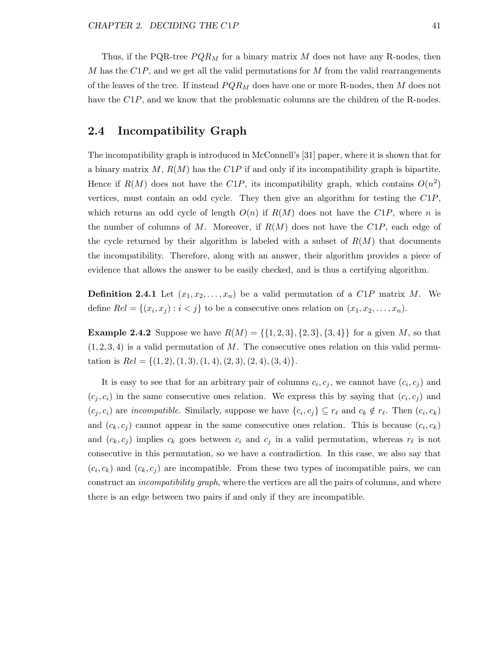Thus, if the PQR-tree  $PQR_M$  for a binary matrix M does not have any R-nodes, then M has the  $C1P$ , and we get all the valid permutations for M from the valid rearrangements of the leaves of the tree. If instead  $PQR_M$  does have one or more R-nodes, then M does not have the C1P, and we know that the problematic columns are the children of the R-nodes.

### 2.4 Incompatibility Graph

The incompatibility graph is introduced in McConnell's [31] paper, where it is shown that for a binary matrix  $M$ ,  $R(M)$  has the C1P if and only if its incompatibility graph is bipartite. Hence if  $R(M)$  does not have the C1P, its incompatibility graph, which contains  $O(n^2)$ vertices, must contain an odd cycle. They then give an algorithm for testing the  $C1P$ , which returns an odd cycle of length  $O(n)$  if  $R(M)$  does not have the  $C1P$ , where n is the number of columns of M. Moreover, if  $R(M)$  does not have the  $C1P$ , each edge of the cycle returned by their algorithm is labeled with a subset of  $R(M)$  that documents the incompatibility. Therefore, along with an answer, their algorithm provides a piece of evidence that allows the answer to be easily checked, and is thus a certifying algorithm.

**Definition 2.4.1** Let  $(x_1, x_2, \ldots, x_n)$  be a valid permutation of a  $C1P$  matrix M. We define  $Rel = \{(x_i, x_j) : i < j\}$  to be a consecutive ones relation on  $(x_1, x_2, \ldots, x_n)$ .

**Example 2.4.2** Suppose we have  $R(M) = \{\{1, 2, 3\}, \{2, 3\}, \{3, 4\}\}\)$  for a given M, so that  $(1, 2, 3, 4)$  is a valid permutation of M. The consecutive ones relation on this valid permutation is  $Rel = \{(1, 2), (1, 3), (1, 4), (2, 3), (2, 4), (3, 4)\}.$ 

It is easy to see that for an arbitrary pair of columns  $c_i, c_j$ , we cannot have  $(c_i, c_j)$  and  $(c_j, c_i)$  in the same consecutive ones relation. We express this by saying that  $(c_i, c_j)$  and  $(c_j, c_i)$  are incompatible. Similarly, suppose we have  $\{c_i, c_j\} \subseteq r_\ell$  and  $c_k \notin r_\ell$ . Then  $(c_i, c_k)$ and  $(c_k, c_j)$  cannot appear in the same consecutive ones relation. This is because  $(c_i, c_k)$ and  $(c_k, c_j)$  implies  $c_k$  goes between  $c_i$  and  $c_j$  in a valid permutation, whereas  $r_\ell$  is not consecutive in this permutation, so we have a contradiction. In this case, we also say that  $(c_i, c_k)$  and  $(c_k, c_j)$  are incompatible. From these two types of incompatible pairs, we can construct an *incompatibility graph*, where the vertices are all the pairs of columns, and where there is an edge between two pairs if and only if they are incompatible.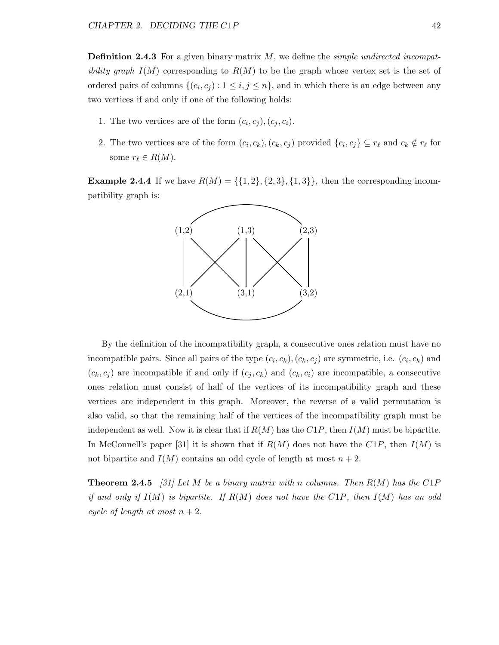**Definition 2.4.3** For a given binary matrix  $M$ , we define the *simple undirected incompatibility graph*  $I(M)$  corresponding to  $R(M)$  to be the graph whose vertex set is the set of ordered pairs of columns  $\{(c_i, c_j) : 1 \le i, j \le n\}$ , and in which there is an edge between any two vertices if and only if one of the following holds:

- 1. The two vertices are of the form  $(c_i, c_j), (c_j, c_i)$ .
- 2. The two vertices are of the form  $(c_i, c_k)$ ,  $(c_k, c_j)$  provided  $\{c_i, c_j\} \subseteq r_\ell$  and  $c_k \notin r_\ell$  for some  $r_\ell \in R(M)$ .

**Example 2.4.4** If we have  $R(M) = \{\{1, 2\}, \{2, 3\}, \{1, 3\}\}\$ , then the corresponding incompatibility graph is:



By the definition of the incompatibility graph, a consecutive ones relation must have no incompatible pairs. Since all pairs of the type  $(c_i, c_k)$ ,  $(c_k, c_j)$  are symmetric, i.e.  $(c_i, c_k)$  and  $(c_k, c_j)$  are incompatible if and only if  $(c_j, c_k)$  and  $(c_k, c_i)$  are incompatible, a consecutive ones relation must consist of half of the vertices of its incompatibility graph and these vertices are independent in this graph. Moreover, the reverse of a valid permutation is also valid, so that the remaining half of the vertices of the incompatibility graph must be independent as well. Now it is clear that if  $R(M)$  has the  $C1P$ , then  $I(M)$  must be bipartite. In McConnell's paper [31] it is shown that if  $R(M)$  does not have the  $C1P$ , then  $I(M)$  is not bipartite and  $I(M)$  contains an odd cycle of length at most  $n+2$ .

**Theorem 2.4.5** [31] Let M be a binary matrix with n columns. Then  $R(M)$  has the C1P if and only if  $I(M)$  is bipartite. If  $R(M)$  does not have the  $C1P$ , then  $I(M)$  has an odd cycle of length at most  $n+2$ .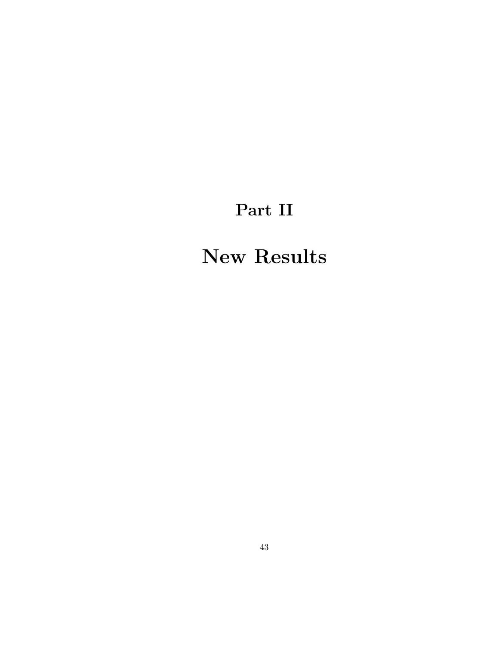## Part II

## New Results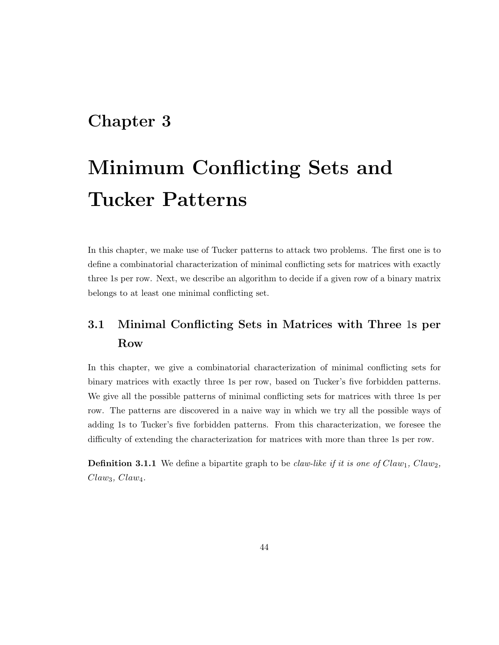### Chapter 3

# Minimum Conflicting Sets and Tucker Patterns

In this chapter, we make use of Tucker patterns to attack two problems. The first one is to define a combinatorial characterization of minimal conflicting sets for matrices with exactly three 1s per row. Next, we describe an algorithm to decide if a given row of a binary matrix belongs to at least one minimal conflicting set.

### 3.1 Minimal Conflicting Sets in Matrices with Three 1s per Row

In this chapter, we give a combinatorial characterization of minimal conflicting sets for binary matrices with exactly three 1s per row, based on Tucker's five forbidden patterns. We give all the possible patterns of minimal conflicting sets for matrices with three 1s per row. The patterns are discovered in a naive way in which we try all the possible ways of adding 1s to Tucker's five forbidden patterns. From this characterization, we foresee the difficulty of extending the characterization for matrices with more than three 1s per row.

**Definition 3.1.1** We define a bipartite graph to be *claw-like if it is one of Claw<sub>1</sub>*, *Claw<sub>2</sub>*,  $Claw_3, Claw_4.$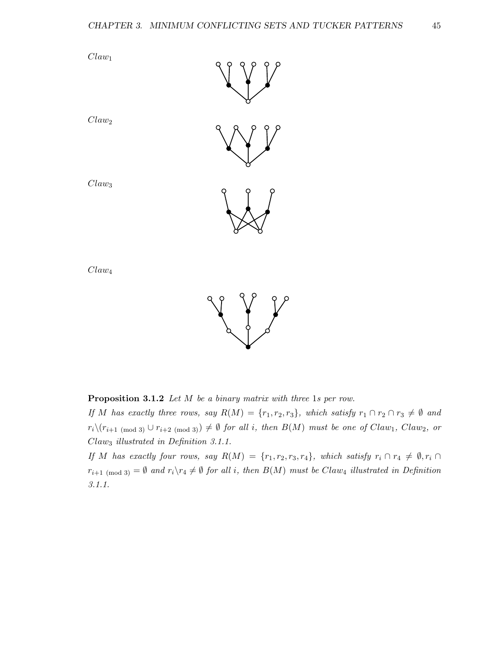

 $Claw<sub>4</sub>$ 

 $Claw_1$ 

Claw<sup>2</sup>

Claw<sup>3</sup>



Proposition 3.1.2 Let M be a binary matrix with three 1s per row.

If M has exactly three rows, say  $R(M) = \{r_1, r_2, r_3\}$ , which satisfy  $r_1 \cap r_2 \cap r_3 \neq \emptyset$  and  $r_i\setminus(r_{i+1 \pmod{3}} \cup r_{i+2 \pmod{3}}) \neq \emptyset$  for all i, then  $B(M)$  must be one of Claw<sub>1</sub>, Claw<sub>2</sub>, or Claw<sup>3</sup> illustrated in Definition 3.1.1.

If M has exactly four rows, say  $R(M) = \{r_1, r_2, r_3, r_4\}$ , which satisfy  $r_i \cap r_4 \neq \emptyset$ ,  $r_i \cap$  $r_{i+1 \pmod{3}} = \emptyset$  and  $r_i \setminus r_4 \neq \emptyset$  for all i, then  $B(M)$  must be Claw<sub>4</sub> illustrated in Definition 3.1.1.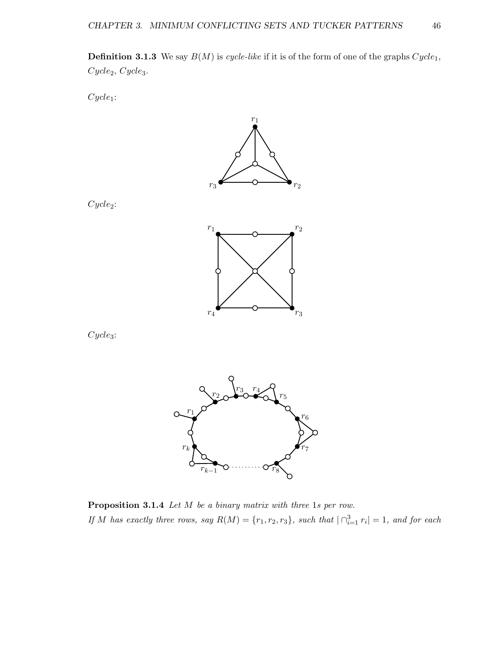**Definition 3.1.3** We say  $B(M)$  is cycle-like if it is of the form of one of the graphs  $Cycle_1$ ,  $Cycle_2, Cycle_3.$ 

 $Cycle_1$ :



Cycle<sub>2</sub>:



 $Cycles:$ 



Proposition 3.1.4 Let M be a binary matrix with three 1s per row. If M has exactly three rows, say  $R(M) = \{r_1, r_2, r_3\}$ , such that  $|\bigcap_{i=1}^3 r_i| = 1$ , and for each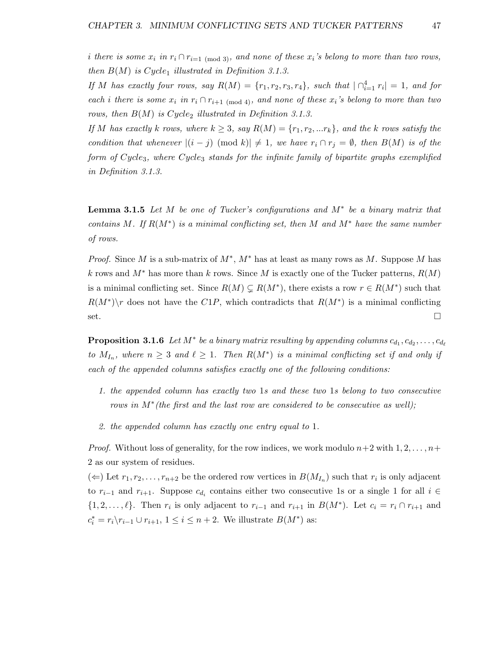i there is some  $x_i$  in  $r_i \cap r_{i=1 \pmod{3}}$ , and none of these  $x_i$ 's belong to more than two rows, then  $B(M)$  is Cycle<sub>1</sub> illustrated in Definition 3.1.3.

If M has exactly four rows, say  $R(M) = \{r_1, r_2, r_3, r_4\}$ , such that  $|\bigcap_{i=1}^4 r_i| = 1$ , and for each i there is some  $x_i$  in  $r_i \cap r_{i+1 \pmod{4}}$ , and none of these  $x_i$ 's belong to more than two rows, then  $B(M)$  is Cycle<sub>2</sub> illustrated in Definition 3.1.3.

If M has exactly k rows, where  $k \geq 3$ , say  $R(M) = \{r_1, r_2, ... r_k\}$ , and the k rows satisfy the condition that whenever  $|(i - j) \pmod{k}$   $\neq 1$ , we have  $r_i \cap r_j = \emptyset$ , then  $B(M)$  is of the form of Cycle3, where Cycle<sup>3</sup> stands for the infinite family of bipartite graphs exemplified in Definition 3.1.3.

**Lemma 3.1.5** Let M be one of Tucker's configurations and  $M^*$  be a binary matrix that contains M. If  $R(M^*)$  is a minimal conflicting set, then M and  $M^*$  have the same number of rows.

*Proof.* Since M is a sub-matrix of  $M^*$ ,  $M^*$  has at least as many rows as M. Suppose M has k rows and  $M^*$  has more than k rows. Since M is exactly one of the Tucker patterns,  $R(M)$ is a minimal conflicting set. Since  $R(M) \subsetneq R(M^*)$ , there exists a row  $r \in R(M^*)$  such that  $R(M^*)\$ r does not have the C1P, which contradicts that  $R(M^*)$  is a minimal conflicting set.

**Proposition 3.1.6** Let  $M^*$  be a binary matrix resulting by appending columns  $c_{d_1}, c_{d_2}, \ldots, c_{d_\ell}$ to  $M_{I_n}$ , where  $n \geq 3$  and  $\ell \geq 1$ . Then  $R(M^*)$  is a minimal conflicting set if and only if each of the appended columns satisfies exactly one of the following conditions:

- 1. the appended column has exactly two 1s and these two 1s belong to two consecutive rows in M<sup>\*</sup> (the first and the last row are considered to be consecutive as well);
- 2. the appended column has exactly one entry equal to 1.

*Proof.* Without loss of generality, for the row indices, we work modulo  $n+2$  with  $1, 2, \ldots, n+\ell$ 2 as our system of residues.

 $(\Leftarrow)$  Let  $r_1, r_2, \ldots, r_{n+2}$  be the ordered row vertices in  $B(M_{I_n})$  such that  $r_i$  is only adjacent to  $r_{i-1}$  and  $r_{i+1}$ . Suppose  $c_{d_i}$  contains either two consecutive 1s or a single 1 for all  $i \in$  $\{1, 2, \ldots, \ell\}$ . Then  $r_i$  is only adjacent to  $r_{i-1}$  and  $r_{i+1}$  in  $B(M^*)$ . Let  $c_i = r_i \cap r_{i+1}$  and  $c_i^* = r_i \backslash r_{i-1} \cup r_{i+1}, 1 \leq i \leq n+2$ . We illustrate  $B(M^*)$  as: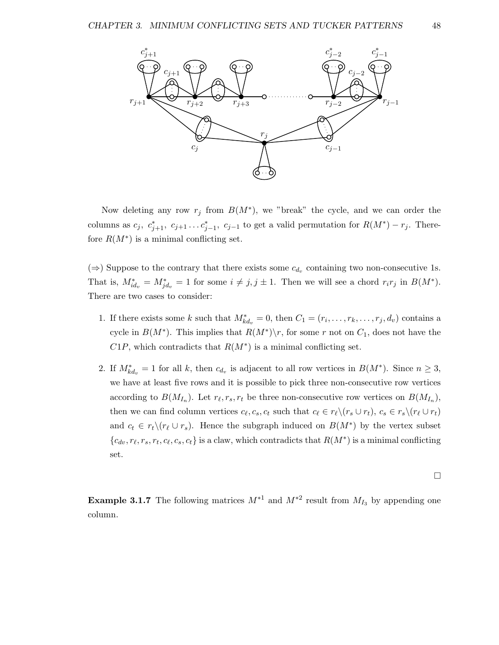

Now deleting any row  $r_j$  from  $B(M^*)$ , we "break" the cycle, and we can order the columns as  $c_j$ ,  $c_{j+1}^*$ ,  $c_{j+1}$ ... $c_{j-1}^*$ ,  $c_{j-1}$  to get a valid permutation for  $R(M^*) - r_j$ . Therefore  $R(M^*)$  is a minimal conflicting set.

 $(\Rightarrow)$  Suppose to the contrary that there exists some  $c_{d_v}$  containing two non-consecutive 1s. That is,  $M_{id_v}^* = M_{jd_v}^* = 1$  for some  $i \neq j, j \pm 1$ . Then we will see a chord  $r_i r_j$  in  $B(M^*)$ . There are two cases to consider:

- 1. If there exists some k such that  $M^*_{kd_v} = 0$ , then  $C_1 = (r_i, \ldots, r_k, \ldots, r_j, d_v)$  contains a cycle in  $B(M^*)$ . This implies that  $R(M^*)\backslash r$ , for some r not on  $C_1$ , does not have the  $C1P$ , which contradicts that  $R(M^*)$  is a minimal conflicting set.
- 2. If  $M^*_{kd_v} = 1$  for all k, then  $c_{d_v}$  is adjacent to all row vertices in  $B(M^*)$ . Since  $n \geq 3$ , we have at least five rows and it is possible to pick three non-consecutive row vertices according to  $B(M_{I_n})$ . Let  $r_{\ell}, r_s, r_t$  be three non-consecutive row vertices on  $B(M_{I_n})$ , then we can find column vertices  $c_\ell, c_s, c_t$  such that  $c_\ell \in r_\ell \setminus (r_s \cup r_t), c_s \in r_s \setminus (r_\ell \cup r_t)$ and  $c_t \in r_t \setminus (r_\ell \cup r_s)$ . Hence the subgraph induced on  $B(M^*)$  by the vertex subset  ${c_{dv}, r_{\ell}, r_s, r_t, c_{\ell}, c_s, c_t}$  is a claw, which contradicts that  $R(M^*)$  is a minimal conflicting set.

$$
\Box
$$

**Example 3.1.7** The following matrices  $M^{*1}$  and  $M^{*2}$  result from  $M_{I_3}$  by appending one column.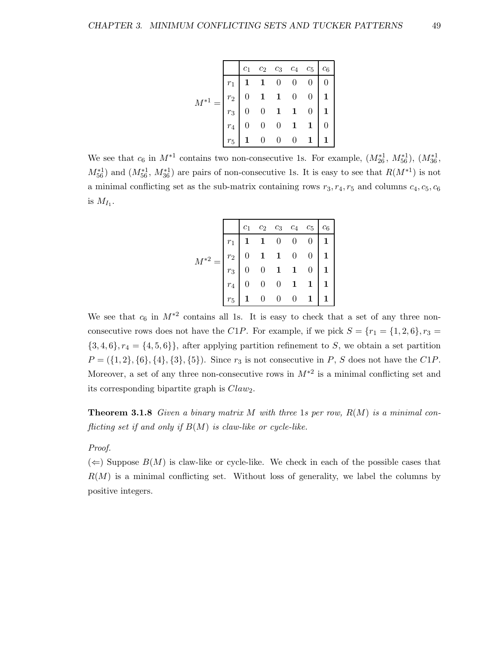| $\begin{array}{ c cccc } \hline c_1 & c_2 & c_3 & c_4 & c_5 & c_6 \ \hline r_1 & 1 & 1 & 0 & 0 & 0 & 0 \ r_2 & 0 & 1 & 1 & 0 & 0 & 1 \ r_3 & 0 & 0 & 1 & 1 & 0 & 1 \ r_4 & 0 & 0 & 0 & 1 & 1 & 0 \ r_5 & 1 & 0 & 0 & 0 & 1 & 1 \ \hline \end{array}$ |  |  |  |
|------------------------------------------------------------------------------------------------------------------------------------------------------------------------------------------------------------------------------------------------------|--|--|--|

We see that  $c_6$  in  $M^{*1}$  contains two non-consecutive 1s. For example,  $(M_{26}^{*1}, M_{56}^{*1}), (M_{36}^{*1}, M_{56}^{*1})$  $M_{56}^{*1}$  and  $(M_{56}^{*1}, M_{36}^{*1})$  are pairs of non-consecutive 1s. It is easy to see that  $R(M^{*1})$  is not a minimal conflicting set as the sub-matrix containing rows  $r_3, r_4, r_5$  and columns  $c_4, c_5, c_6$ is  $M_{I_1}$ .

|                                                                                                                                                                                              |  | $c_1$ $c_2$ $c_3$ $c_4$ $c_5$ $c_6$ |  |                 |
|----------------------------------------------------------------------------------------------------------------------------------------------------------------------------------------------|--|-------------------------------------|--|-----------------|
|                                                                                                                                                                                              |  |                                     |  |                 |
|                                                                                                                                                                                              |  |                                     |  |                 |
|                                                                                                                                                                                              |  |                                     |  |                 |
|                                                                                                                                                                                              |  |                                     |  |                 |
| $M^{*2} = \begin{bmatrix} r_1 & 1 & 1 & 0 & 0 & 0 & 1 \ r_2 & 0 & 1 & 1 & 0 & 0 & 1 \ r_3 & 0 & 0 & 1 & 1 & 0 & 1 \ r_4 & 0 & 0 & 0 & 1 & 1 & 1 \ r_5 & 1 & 0 & 0 & 0 & 1 & 1 \end{bmatrix}$ |  |                                     |  | $1 \mid 1 \mid$ |

We see that  $c_6$  in  $M^{*2}$  contains all 1s. It is easy to check that a set of any three nonconsecutive rows does not have the C1P. For example, if we pick  $S = \{r_1 = \{1, 2, 6\}, r_3 =$  ${3, 4, 6}, r_4 = {4, 5, 6},$  after applying partition refinement to S, we obtain a set partition  $P = (\{1, 2\}, \{6\}, \{4\}, \{3\}, \{5\})$ . Since  $r_3$  is not consecutive in P, S does not have the C1P. Moreover, a set of any three non-consecutive rows in  $M^{*2}$  is a minimal conflicting set and its corresponding bipartite graph is  $Claw_2$ .

**Theorem 3.1.8** Given a binary matrix M with three 1s per row,  $R(M)$  is a minimal conflicting set if and only if  $B(M)$  is claw-like or cycle-like.

### Proof.

 $(\Leftarrow)$  Suppose  $B(M)$  is claw-like or cycle-like. We check in each of the possible cases that  $R(M)$  is a minimal conflicting set. Without loss of generality, we label the columns by positive integers.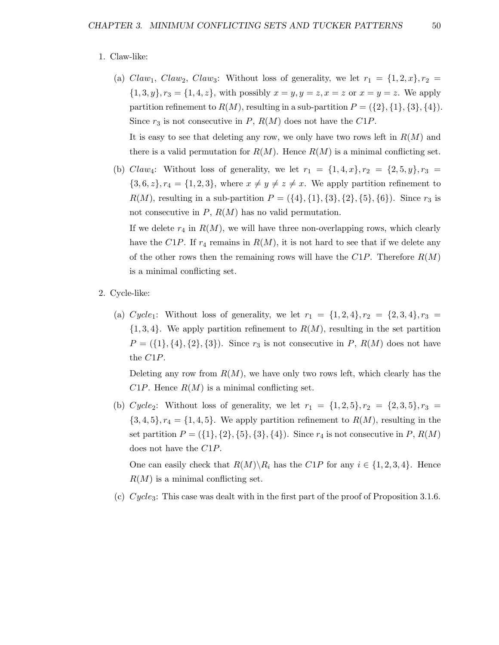#### 1. Claw-like:

(a) Claw<sub>1</sub>, Claw<sub>2</sub>, Claw<sub>3</sub>: Without loss of generality, we let  $r_1 = \{1, 2, x\}$ ,  $r_2 =$  $\{1,3,y\}, r_3 = \{1,4,z\},\$  with possibly  $x = y, y = z, x = z$  or  $x = y = z$ . We apply partition refinement to  $R(M)$ , resulting in a sub-partition  $P = (\{2\}, \{1\}, \{3\}, \{4\})$ . Since  $r_3$  is not consecutive in P,  $R(M)$  does not have the C1P.

It is easy to see that deleting any row, we only have two rows left in  $R(M)$  and there is a valid permutation for  $R(M)$ . Hence  $R(M)$  is a minimal conflicting set.

(b) Claw<sub>4</sub>: Without loss of generality, we let  $r_1 = \{1, 4, x\}$ ,  $r_2 = \{2, 5, y\}$ ,  $r_3 =$  ${3, 6, z}$ ,  $r_4 = {1, 2, 3}$ , where  $x \neq y \neq z \neq x$ . We apply partition refinement to  $R(M)$ , resulting in a sub-partition  $P = (\{4\}, \{1\}, \{3\}, \{2\}, \{5\}, \{6\})$ . Since  $r_3$  is not consecutive in  $P$ ,  $R(M)$  has no valid permutation.

If we delete  $r_4$  in  $R(M)$ , we will have three non-overlapping rows, which clearly have the C1P. If  $r_4$  remains in  $R(M)$ , it is not hard to see that if we delete any of the other rows then the remaining rows will have the  $C1P$ . Therefore  $R(M)$ is a minimal conflicting set.

- 2. Cycle-like:
	- (a) Cycle<sub>1</sub>: Without loss of generality, we let  $r_1 = \{1, 2, 4\}, r_2 = \{2, 3, 4\}, r_3 =$  $\{1,3,4\}$ . We apply partition refinement to  $R(M)$ , resulting in the set partition  $P = (\{1\}, \{4\}, \{2\}, \{3\})$ . Since  $r_3$  is not consecutive in P,  $R(M)$  does not have the C1P.

Deleting any row from  $R(M)$ , we have only two rows left, which clearly has the  $C1P$ . Hence  $R(M)$  is a minimal conflicting set.

(b) Cycle<sub>2</sub>: Without loss of generality, we let  $r_1 = \{1, 2, 5\}, r_2 = \{2, 3, 5\}, r_3 =$  $\{3,4,5\}, r_4 = \{1,4,5\}.$  We apply partition refinement to  $R(M)$ , resulting in the set partition  $P = (\{1\}, \{2\}, \{5\}, \{3\}, \{4\})$ . Since  $r_4$  is not consecutive in P,  $R(M)$ does not have the C1P.

One can easily check that  $R(M)\backslash R_i$  has the  $C1P$  for any  $i \in \{1, 2, 3, 4\}$ . Hence  $R(M)$  is a minimal conflicting set.

(c)  $Cycle_3$ : This case was dealt with in the first part of the proof of Proposition 3.1.6.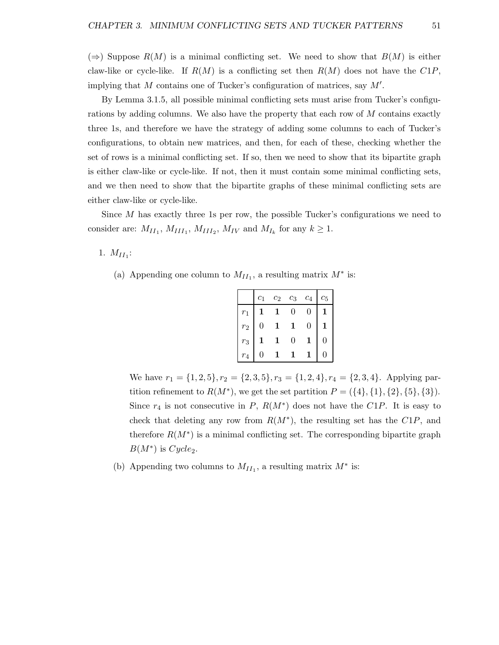(⇒) Suppose  $R(M)$  is a minimal conflicting set. We need to show that  $B(M)$  is either claw-like or cycle-like. If  $R(M)$  is a conflicting set then  $R(M)$  does not have the  $C1P$ , implying that  $M$  contains one of Tucker's configuration of matrices, say  $M'$ .

By Lemma 3.1.5, all possible minimal conflicting sets must arise from Tucker's configurations by adding columns. We also have the property that each row of M contains exactly three 1s, and therefore we have the strategy of adding some columns to each of Tucker's configurations, to obtain new matrices, and then, for each of these, checking whether the set of rows is a minimal conflicting set. If so, then we need to show that its bipartite graph is either claw-like or cycle-like. If not, then it must contain some minimal conflicting sets, and we then need to show that the bipartite graphs of these minimal conflicting sets are either claw-like or cycle-like.

Since  $M$  has exactly three 1s per row, the possible Tucker's configurations we need to consider are:  $M_{II_1}$ ,  $M_{III_1}$ ,  $M_{III_2}$ ,  $M_{IV}$  and  $M_{I_k}$  for any  $k \geq 1$ .

1.  $M_{II_1}$ :

(a) Appending one column to  $M_{II_1}$ , a resulting matrix  $M^*$  is:

|       | $c_1$ | $c_2$ | $c_3$    | $\mathfrak{c}_4$ | $c_5$ |
|-------|-------|-------|----------|------------------|-------|
| $r_1$ |       |       | 0        | $\left( \right)$ |       |
| $r_2$ | 0     |       |          | 0                | 1     |
| $r_3$ |       |       | $\theta$ | 1                | 0     |
| $r_4$ |       |       |          |                  |       |

We have  $r_1 = \{1, 2, 5\}, r_2 = \{2, 3, 5\}, r_3 = \{1, 2, 4\}, r_4 = \{2, 3, 4\}.$  Applying partition refinement to  $R(M^*)$ , we get the set partition  $P = (\{4\}, \{1\}, \{2\}, \{5\}, \{3\}).$ Since  $r_4$  is not consecutive in P,  $R(M^*)$  does not have the C1P. It is easy to check that deleting any row from  $R(M^*)$ , the resulting set has the  $C1P$ , and therefore  $R(M^*)$  is a minimal conflicting set. The corresponding bipartite graph  $B(M^*)$  is  $Cycle_2$ .

(b) Appending two columns to  $M_{II_1}$ , a resulting matrix  $M^*$  is: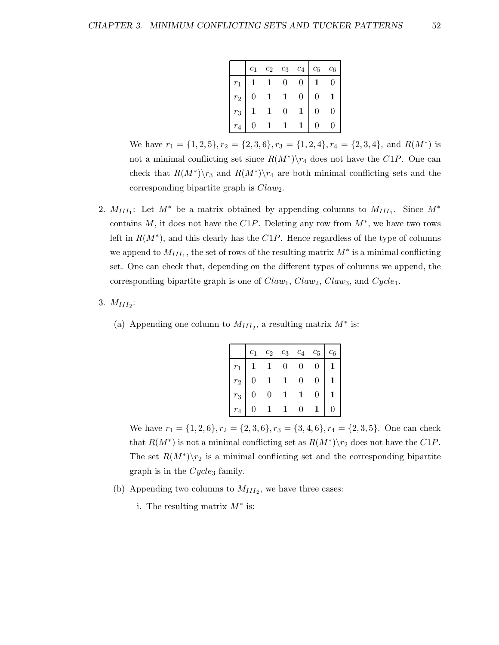|             | $c_1$ | $\mathfrak{c}_2$ | $\mathfrak{c}_3$ | $\mathfrak{c}_4$ | $c_5$            | $\mathfrak{C}_6$ |
|-------------|-------|------------------|------------------|------------------|------------------|------------------|
| $r_{\rm 1}$ |       |                  | $\overline{0}$   | $\theta$         |                  | $\overline{0}$   |
| $r_{\rm 2}$ | 0     | 1                | $\mathbf 1$      | $\overline{0}$   | $\boldsymbol{0}$ |                  |
| $r_{3}$     |       |                  | $\overline{0}$   |                  | 0                | 0                |
| $r_4$       | 0     |                  |                  |                  | 0                |                  |

We have  $r_1 = \{1, 2, 5\}, r_2 = \{2, 3, 6\}, r_3 = \{1, 2, 4\}, r_4 = \{2, 3, 4\}, \text{ and } R(M^*)$  is not a minimal conflicting set since  $R(M^*)\setminus r_4$  does not have the C1P. One can check that  $R(M^*)\$ <sup>7</sup> and  $R(M^*)\$ <sup>4</sup> are both minimal conflicting sets and the corresponding bipartite graph is  $Claw_2$ .

- 2.  $M_{III_1}$ : Let  $M^*$  be a matrix obtained by appending columns to  $M_{III_1}$ . Since  $M^*$ contains M, it does not have the  $C1P$ . Deleting any row from  $M^*$ , we have two rows left in  $R(M^*)$ , and this clearly has the  $C1P$ . Hence regardless of the type of columns we append to  $M_{III_1}$ , the set of rows of the resulting matrix  $M^*$  is a minimal conflicting set. One can check that, depending on the different types of columns we append, the corresponding bipartite graph is one of  $Claw_1$ ,  $Claw_2$ ,  $Claw_3$ , and  $Cycle_1$ .
- 3.  $M_{III_2}$ :
	- (a) Appending one column to  $M_{III_2}$ , a resulting matrix  $M^*$  is:

|       | $c_1$          | $c_2$          | $c_3$          | $c_4$          | $c_5$            | $c_6$            |
|-------|----------------|----------------|----------------|----------------|------------------|------------------|
| $r_1$ |                | $\mathbf{1}$   | $\overline{0}$ | $\overline{0}$ | $\overline{0}$   | $1 \mid$         |
| $r_2$ | $\overline{0}$ | $\mathbf{1}$   | $\mathbf{1}$   | $\overline{0}$ | $\overline{0}$   | $\mathbf{1}$     |
| $r_3$ | $\overline{0}$ | $\overline{0}$ | $\mathbf 1$    | $\mathbf{1}$   | $\boldsymbol{0}$ | $\mathbf 1$      |
| $r_4$ |                |                |                | 0              |                  | $\boldsymbol{0}$ |

We have  $r_1 = \{1, 2, 6\}, r_2 = \{2, 3, 6\}, r_3 = \{3, 4, 6\}, r_4 = \{2, 3, 5\}.$  One can check that  $R(M^*)$  is not a minimal conflicting set as  $R(M^*)\$ r<sub>2</sub> does not have the C1P. The set  $R(M^*)\backslash r_2$  is a minimal conflicting set and the corresponding bipartite graph is in the  $Cycle_3$  family.

- (b) Appending two columns to  $M_{III_2}$ , we have three cases:
	- i. The resulting matrix  $M^*$  is: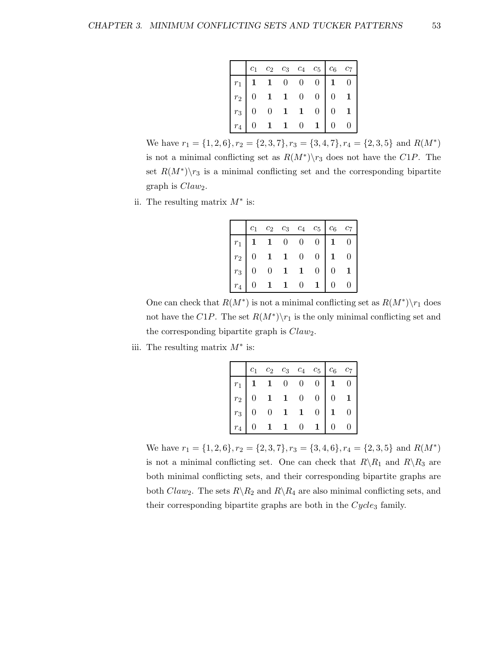|                                                                                                                               |         | $c_1$ $c_2$ $c_3$ $c_4$ $c_5$ $c_6$ $c_7$                     |  |   |  |
|-------------------------------------------------------------------------------------------------------------------------------|---------|---------------------------------------------------------------|--|---|--|
| $\begin{array}{ c cccc } \hline r_1&1&1&0&0&0&1&0 \ \hline r_2&0&1&1&0&0&0&1 \ \hline r_3&0&0&1&1&0&0&1 \ \hline \end{array}$ |         |                                                               |  |   |  |
|                                                                                                                               |         |                                                               |  |   |  |
|                                                                                                                               |         |                                                               |  |   |  |
|                                                                                                                               | $r_4$ 0 | $\begin{array}{cccc} \textbf{1} & \textbf{1} & 0 \end{array}$ |  | 0 |  |

We have  $r_1 = \{1, 2, 6\}, r_2 = \{2, 3, 7\}, r_3 = \{3, 4, 7\}, r_4 = \{2, 3, 5\}$  and  $R(M^*)$ is not a minimal conflicting set as  $R(M^*)\$  r\_3 does not have the C1P. The set  $R(M^*)\backslash r_3$  is a minimal conflicting set and the corresponding bipartite graph is  $Claw_2$ .

ii. The resulting matrix  $M^*$  is:

|                                                             |  |            | $c_1$ $c_2$ $c_3$ $c_4$ $c_5$ $c_6$ $c_7$                                                                                                                                                                                                                                                                                                                                                         |                                     |              |
|-------------------------------------------------------------|--|------------|---------------------------------------------------------------------------------------------------------------------------------------------------------------------------------------------------------------------------------------------------------------------------------------------------------------------------------------------------------------------------------------------------|-------------------------------------|--------------|
|                                                             |  |            |                                                                                                                                                                                                                                                                                                                                                                                                   | $1 \quad 0$                         |              |
| $\begin{array}{c c} r_1 & \mathbf{1} \ r_2 & 0 \end{array}$ |  |            |                                                                                                                                                                                                                                                                                                                                                                                                   | $\begin{matrix} 1 & 0 \end{matrix}$ |              |
| $r_3 \mid 0$                                                |  |            |                                                                                                                                                                                                                                                                                                                                                                                                   | $\mathbf{0}$                        | $\mathbf{1}$ |
| $r_4$                                                       |  | $1\quad 1$ | $\begin{array}{cccc cccc} \textbf{1} & \textbf{1} & \textbf{0} & \textbf{0} & \textbf{0} \\[2pt] \textbf{0} & \textbf{1} & \textbf{1} & \textbf{0} & \textbf{0} \\[2pt] \textbf{0} & \textbf{0} & \textbf{1} & \textbf{1} & \textbf{0} \\[2pt] \textbf{0} & \textbf{1} & \textbf{1} & \textbf{0} & \textbf{1} \\[2pt] \textbf{0} & \textbf{1} & \textbf{1} & \textbf{0} & \textbf{1} \end{array}$ | 0                                   |              |

One can check that  $R(M^*)$  is not a minimal conflicting set as  $R(M^*)\setminus r_1$  does not have the C1P. The set  $R(M^*)\backslash r_1$  is the only minimal conflicting set and the corresponding bipartite graph is  $Claw_2$ .

iii. The resulting matrix  $M^*$  is:

|                                                                                                                                                                                                     |  |           |                | $c_2 \quad c_3 \quad c_4 \quad c_5 \quad c_6 \quad c_7$ |                |  |
|-----------------------------------------------------------------------------------------------------------------------------------------------------------------------------------------------------|--|-----------|----------------|---------------------------------------------------------|----------------|--|
| $\begin{array}{ c cccc } \hline r_1&{\bf 1}&{\bf 1}&0&0&0 \ \hline r_2&0&{\bf 1}&{\bf 1}&0&0 \ \hline r_3&0&0&{\bf 1}&{\bf 1}&0 \ \hline r_4&0&{\bf 1}&{\bf 1}&0&{\bf 1} \ \hline \end{array} \; .$ |  |           |                |                                                         | $\mathbf{1}$   |  |
|                                                                                                                                                                                                     |  |           |                |                                                         | $\overline{0}$ |  |
|                                                                                                                                                                                                     |  |           |                |                                                         |                |  |
| $r_4$   0                                                                                                                                                                                           |  | $1\quad1$ | $\overline{0}$ |                                                         | 0              |  |

We have  $r_1 = \{1, 2, 6\}, r_2 = \{2, 3, 7\}, r_3 = \{3, 4, 6\}, r_4 = \{2, 3, 5\}$  and  $R(M^*)$ is not a minimal conflicting set. One can check that  $R\setminus R_1$  and  $R\setminus R_3$  are both minimal conflicting sets, and their corresponding bipartite graphs are both Claw<sub>2</sub>. The sets  $R \backslash R_2$  and  $R \backslash R_4$  are also minimal conflicting sets, and their corresponding bipartite graphs are both in the  $Cycle_3$  family.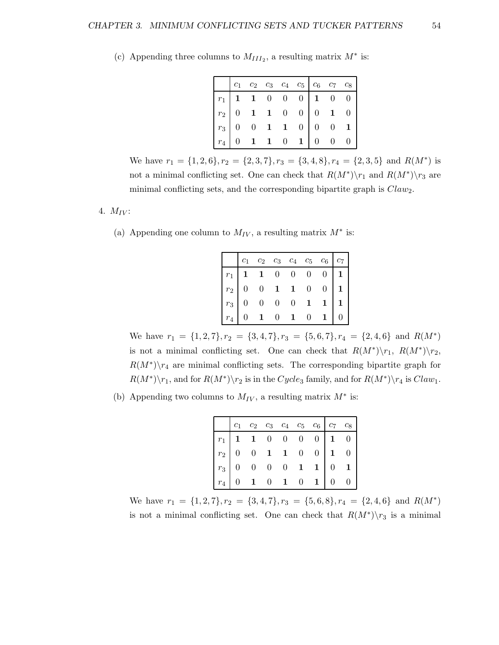| $\begin{array}{ c cccc } \hline r_1 & 1 & 1 & 0 & 0 & 0 & 1 & 0 & 0 \\ \hline r_2 & 0 & 1 & 1 & 0 & 0 & 0 & 1 & 0 \\ r_3 & 0 & 0 & 1 & 1 & 0 & 0 & 0 & 1 \\ \hline r_4 & 0 & 1 & 1 & 0 & 1 & 0 & 0 & 0 \\ \hline \end{array}$ |  |  |  |  |
|-------------------------------------------------------------------------------------------------------------------------------------------------------------------------------------------------------------------------------|--|--|--|--|

(c) Appending three columns to  $M_{III_2}$ , a resulting matrix  $M^*$  is:

We have  $r_1 = \{1, 2, 6\}, r_2 = \{2, 3, 7\}, r_3 = \{3, 4, 8\}, r_4 = \{2, 3, 5\}$  and  $R(M^*)$  is not a minimal conflicting set. One can check that  $R(M^*)\r_1$  and  $R(M^*)\r_3$  are minimal conflicting sets, and the corresponding bipartite graph is  $Claw_2$ .

### 4.  $M_{IV}$ :

(a) Appending one column to  $M_{IV}$ , a resulting matrix  $M^*$  is:

|                                                                                                                                                                                                                                  |  |  | $c_1$ $c_2$ $c_3$ $c_4$ $c_5$ $c_6$ $c_7$ |              |
|----------------------------------------------------------------------------------------------------------------------------------------------------------------------------------------------------------------------------------|--|--|-------------------------------------------|--------------|
|                                                                                                                                                                                                                                  |  |  | 0 <sup>1</sup>                            | $\mathbf 1$  |
|                                                                                                                                                                                                                                  |  |  | 0 <sup>1</sup>                            | $\mathbf{1}$ |
|                                                                                                                                                                                                                                  |  |  |                                           |              |
| $\begin{array}{c cccccc} r_1 & \textbf{1} & \textbf{1} & 0 & 0 & 0 & 0 \\ r_2 & 0 & 0 & \textbf{1} & \textbf{1} & 0 & 0 \\ r_3 & 0 & 0 & 0 & 0 & \textbf{1} & 0 \\ r_4 & 0 & \textbf{1} & 0 & \textbf{1} & 0 & 0 \\ \end{array}$ |  |  |                                           |              |

We have  $r_1 = \{1, 2, 7\}, r_2 = \{3, 4, 7\}, r_3 = \{5, 6, 7\}, r_4 = \{2, 4, 6\}$  and  $R(M^*)$ is not a minimal conflicting set. One can check that  $R(M^*)\backslash r_1$ ,  $R(M^*)\backslash r_2$ ,  $R(M^*)\backslash r_4$  are minimal conflicting sets. The corresponding bipartite graph for  $R(M^*)\backslash r_1$ , and for  $R(M^*)\backslash r_2$  is in the  $Cycle_3$  family, and for  $R(M^*)\backslash r_4$  is  $Claw_1$ .

(b) Appending two columns to  $M_{IV}$ , a resulting matrix  $M^*$  is:

|  |  |  |  | $\begin{array}{ c cccc } \hline r_1 & \mathbf{1} & \mathbf{1} & \mathbf{0} & \mathbf{0} & \mathbf{0} & \mathbf{0} & \mathbf{1} & \mathbf{0} \\ \hline r_2 & \mathbf{0} & \mathbf{0} & \mathbf{1} & \mathbf{1} & \mathbf{0} & \mathbf{0} & \mathbf{1} & \mathbf{0} \\ r_3 & \mathbf{0} & \mathbf{0} & \mathbf{0} & \mathbf{0} & \mathbf{1} & \mathbf{1} & \mathbf{0} & \mathbf{1} \\ \hline r_4 & \mathbf{0} & \mathbf{1} & \math$ |
|--|--|--|--|-----------------------------------------------------------------------------------------------------------------------------------------------------------------------------------------------------------------------------------------------------------------------------------------------------------------------------------------------------------------------------------------------------------------------------------|

We have  $r_1 = \{1, 2, 7\}, r_2 = \{3, 4, 7\}, r_3 = \{5, 6, 8\}, r_4 = \{2, 4, 6\}$  and  $R(M^*)$ is not a minimal conflicting set. One can check that  $R(M^*)\backslash r_3$  is a minimal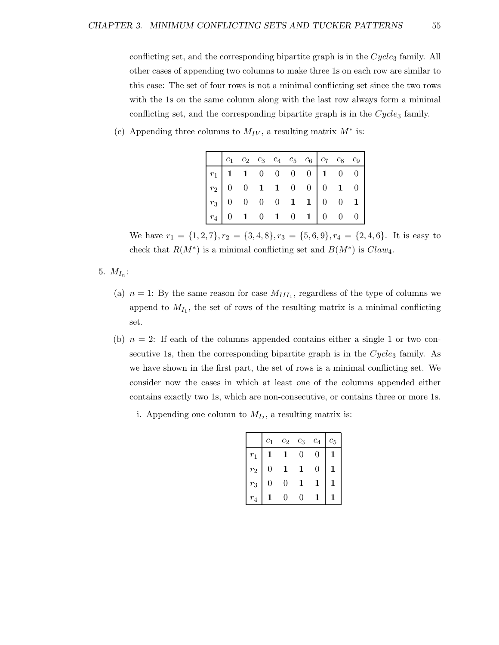conflicting set, and the corresponding bipartite graph is in the  $Cycle_3$  family. All other cases of appending two columns to make three 1s on each row are similar to this case: The set of four rows is not a minimal conflicting set since the two rows with the 1s on the same column along with the last row always form a minimal conflicting set, and the corresponding bipartite graph is in the  $Cycle<sub>3</sub>$  family.

(c) Appending three columns to  $M_{IV}$ , a resulting matrix  $M^*$  is:

| $\begin{array}{ c cccc } \hline r_1 &\textbf{1} &\textbf{1} &\textbf{0} &\textbf{0} &\textbf{0} &\textbf{0} &\textbf{1} &\textbf{0} &\textbf{0} \\ \hline r_2 &\textbf{0} &\textbf{0} &\textbf{1} &\textbf{1} &\textbf{0} &\textbf{0} &\textbf{0} &\textbf{1} &\textbf{0} \\ r_3 &\textbf{0} &\textbf{0} &\textbf{0} &\textbf{0} &\textbf{1} &\textbf{1} &\textbf{0} &\textbf{0} &\textbf{1} \\ r_$ |  |  |  |  |  |
|-----------------------------------------------------------------------------------------------------------------------------------------------------------------------------------------------------------------------------------------------------------------------------------------------------------------------------------------------------------------------------------------------------|--|--|--|--|--|

We have  $r_1 = \{1, 2, 7\}, r_2 = \{3, 4, 8\}, r_3 = \{5, 6, 9\}, r_4 = \{2, 4, 6\}.$  It is easy to check that  $R(M^*)$  is a minimal conflicting set and  $B(M^*)$  is  $Claw_4$ .

- 5.  $M_{I_n}$ :
	- (a)  $n = 1$ : By the same reason for case  $M_{III_1}$ , regardless of the type of columns we append to  $M_{I_1}$ , the set of rows of the resulting matrix is a minimal conflicting set.
	- (b)  $n = 2$ : If each of the columns appended contains either a single 1 or two consecutive 1s, then the corresponding bipartite graph is in the  $Cycle_3$  family. As we have shown in the first part, the set of rows is a minimal conflicting set. We consider now the cases in which at least one of the columns appended either contains exactly two 1s, which are non-consecutive, or contains three or more 1s.
		- i. Appending one column to  $M_{I_2}$ , a resulting matrix is:

|       | $c_{1}$ | $\mathfrak{c}_2$ | $c_3$ | $\overline{c_4}$ | ĊБ |
|-------|---------|------------------|-------|------------------|----|
| $r_1$ |         |                  |       | $\mathbf{0}$     |    |
| $r_2$ | J       |                  |       | $\Omega$         |    |
| $r_3$ | J       |                  |       |                  |    |
|       |         |                  |       |                  |    |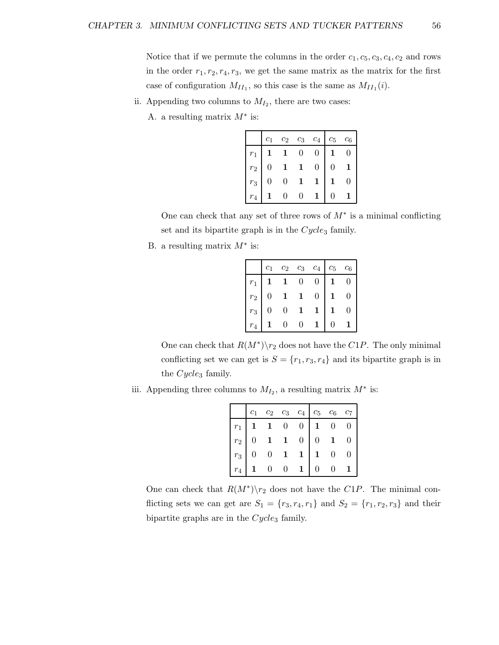Notice that if we permute the columns in the order  $c_1, c_5, c_3, c_4, c_2$  and rows in the order  $r_1, r_2, r_4, r_3$ , we get the same matrix as the matrix for the first case of configuration  $M_{II_1}$ , so this case is the same as  $M_{II_1}(i)$ .

- ii. Appending two columns to  $M_{I_2}$ , there are two cases:
	- A. a resulting matrix  $M^*$  is:

|       | $c_1$          | $c_2$          | $c_3$          | $c_4$          | $c_5$        | $c_6$            |
|-------|----------------|----------------|----------------|----------------|--------------|------------------|
| $r_1$ |                | $\mathbf{1}$   | $\overline{0}$ | $\overline{0}$ | $\mathbf{1}$ | $\boldsymbol{0}$ |
| $r_2$ | $\overline{0}$ | $\mathbf{1}$   | $\mathbf{1}$   | $\overline{0}$ | 0            |                  |
| $r_3$ | $\overline{0}$ | $\overline{0}$ | $\mathbf{1}$   | $\mathbf{1}$   |              | 0                |
| $r_4$ |                | $\overline{0}$ | $\overline{0}$ | $\mathbf{1}$   | 0            |                  |

One can check that any set of three rows of  $M^*$  is a minimal conflicting set and its bipartite graph is in the  $Cycles$  family.

B. a resulting matrix  $M^*$  is:

|       |                |                                                              |             | $c_1$ $c_2$ $c_3$ $c_4$ $c_5$ $c_6$ |                |                |
|-------|----------------|--------------------------------------------------------------|-------------|-------------------------------------|----------------|----------------|
| $r_1$ |                | $\begin{array}{ccc} \textbf{1} & \textbf{1} & 0 \end{array}$ |             | $\overline{0}$                      | $\mathbf{1}^-$ | $\overline{0}$ |
| $r_2$ | $\overline{0}$ |                                                              | $1\quad 1$  | $\overline{0}$                      | $\mathbf{1}$   | 0              |
| $r_3$ | $\overline{0}$ |                                                              | $0\quad 1$  | $\mathbf{1}$                        |                | 0              |
|       |                |                                                              | $0 \quad 0$ |                                     | $\overline{0}$ |                |

One can check that  $R(M^*)\$ <sub>2</sub> does not have the C1P. The only minimal conflicting set we can get is  $S = \{r_1, r_3, r_4\}$  and its bipartite graph is in the  $Cycle_3$  family.

iii. Appending three columns to  $M_{I_2}$ , a resulting matrix  $M^*$  is:

|             |              |                |                                                                                       |                | $c_2 \quad c_3 \quad c_4 \quad c_5 \quad c_6 \quad c_7$                                                                   |
|-------------|--------------|----------------|---------------------------------------------------------------------------------------|----------------|---------------------------------------------------------------------------------------------------------------------------|
| $r_{\rm 1}$ |              |                | $\begin{array}{cc} \textbf{1} & \textbf{1} & 0 & 0 \end{array}$                       |                |                                                                                                                           |
|             | $r_2 \mid 0$ |                | $\begin{array}{ c c c c }\n\hline\n\textbf{1} & \textbf{1} & \textbf{0}\n\end{array}$ |                |                                                                                                                           |
|             | $r_3$ 0 0 1  |                | $\vert 1 \vert$                                                                       |                |                                                                                                                           |
|             |              | $\overline{0}$ |                                                                                       | $\overline{0}$ | $\begin{array}{ccc ccc} \textbf{1} & 0 & 0 \\ 0 & \textbf{1} & 0 \\ \textbf{1} & 0 & 0 \\ 0 & 0 & \textbf{1} \end{array}$ |

One can check that  $R(M^*)\r_2$  does not have the C1P. The minimal conflicting sets we can get are  $S_1 = \{r_3, r_4, r_1\}$  and  $S_2 = \{r_1, r_2, r_3\}$  and their bipartite graphs are in the  $Cycle_3$  family.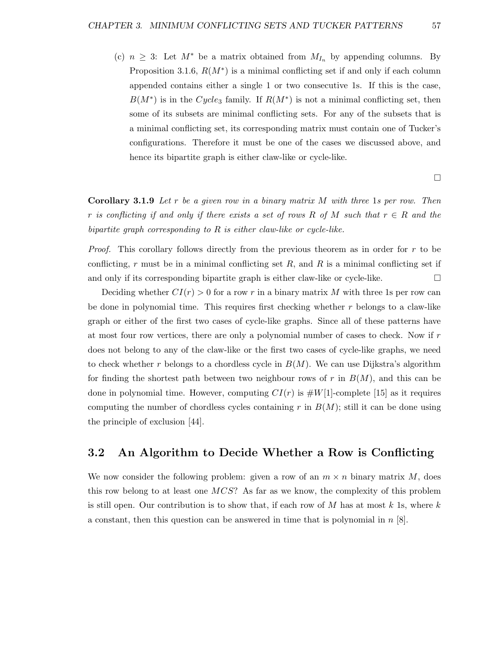(c)  $n \geq 3$ : Let  $M^*$  be a matrix obtained from  $M_{I_n}$  by appending columns. By Proposition 3.1.6,  $R(M^*)$  is a minimal conflicting set if and only if each column appended contains either a single 1 or two consecutive 1s. If this is the case,  $B(M^*)$  is in the Cycle<sub>3</sub> family. If  $R(M^*)$  is not a minimal conflicting set, then some of its subsets are minimal conflicting sets. For any of the subsets that is a minimal conflicting set, its corresponding matrix must contain one of Tucker's configurations. Therefore it must be one of the cases we discussed above, and hence its bipartite graph is either claw-like or cycle-like.

**Corollary 3.1.9** Let r be a given row in a binary matrix  $M$  with three 1s per row. Then r is conflicting if and only if there exists a set of rows R of M such that  $r \in R$  and the bipartite graph corresponding to R is either claw-like or cycle-like.

Proof. This corollary follows directly from the previous theorem as in order for r to be conflicting, r must be in a minimal conflicting set  $R$ , and  $R$  is a minimal conflicting set if and only if its corresponding bipartite graph is either claw-like or cycle-like.  $\Box$ 

Deciding whether  $CI(r) > 0$  for a row r in a binary matrix M with three 1s per row can be done in polynomial time. This requires first checking whether  $r$  belongs to a claw-like graph or either of the first two cases of cycle-like graphs. Since all of these patterns have at most four row vertices, there are only a polynomial number of cases to check. Now if  $r$ does not belong to any of the claw-like or the first two cases of cycle-like graphs, we need to check whether r belongs to a chordless cycle in  $B(M)$ . We can use Dijkstra's algorithm for finding the shortest path between two neighbour rows of r in  $B(M)$ , and this can be done in polynomial time. However, computing  $CI(r)$  is  $#W[1]$ -complete [15] as it requires computing the number of chordless cycles containing r in  $B(M)$ ; still it can be done using the principle of exclusion [44].

### 3.2 An Algorithm to Decide Whether a Row is Conflicting

We now consider the following problem: given a row of an  $m \times n$  binary matrix M, does this row belong to at least one MCS? As far as we know, the complexity of this problem is still open. Our contribution is to show that, if each row of  $M$  has at most  $k$  1s, where  $k$ a constant, then this question can be answered in time that is polynomial in  $n \geq 8$ .

 $\Box$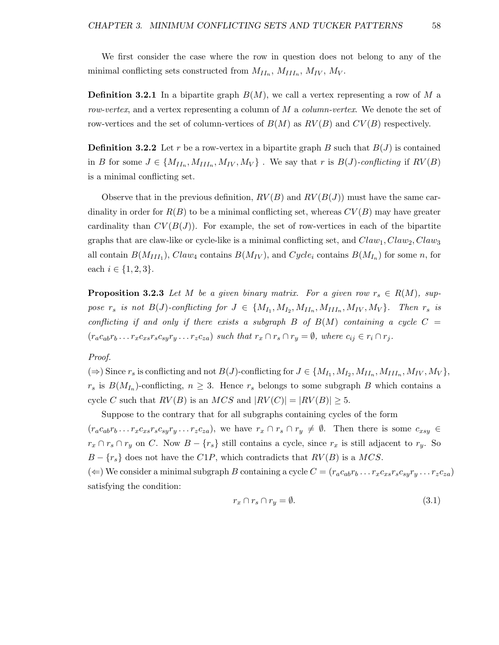We first consider the case where the row in question does not belong to any of the minimal conflicting sets constructed from  $M_{II_n}$ ,  $M_{III_n}$ ,  $M_{IV}$ ,  $M_V$ .

**Definition 3.2.1** In a bipartite graph  $B(M)$ , we call a vertex representing a row of M a row-vertex, and a vertex representing a column of M a column-vertex. We denote the set of row-vertices and the set of column-vertices of  $B(M)$  as  $RV(B)$  and  $CV(B)$  respectively.

**Definition 3.2.2** Let r be a row-vertex in a bipartite graph B such that  $B(J)$  is contained in B for some  $J \in \{M_{II_n}, M_{III_n}, M_{IV}, M_{V}\}$ . We say that r is  $B(J)$ -conflicting if  $RV(B)$ is a minimal conflicting set.

Observe that in the previous definition,  $RV(B)$  and  $RV(B(J))$  must have the same cardinality in order for  $R(B)$  to be a minimal conflicting set, whereas  $CV(B)$  may have greater cardinality than  $CV(B(J))$ . For example, the set of row-vertices in each of the bipartite graphs that are claw-like or cycle-like is a minimal conflicting set, and  $Claw_1, Claw_2, Claw_3$ all contain  $B(M_{III_1})$ ,  $Claw_4$  contains  $B(M_{IV})$ , and  $Cycle_i$  contains  $B(M_{I_n})$  for some n, for each  $i \in \{1, 2, 3\}.$ 

**Proposition 3.2.3** Let M be a given binary matrix. For a given row  $r_s \in R(M)$ , suppose  $r_s$  is not  $B(J)$ -conflicting for  $J \in \{M_{I_1}, M_{I_2}, M_{II_n}, M_{III_n}, M_{IV}, M_V\}$ . Then  $r_s$  is conflicting if and only if there exists a subgraph B of  $B(M)$  containing a cycle  $C =$  $(r_a c_{ab} r_b \dots r_x c_{xs} r_s c_{su} r_u \dots r_z c_{za})$  such that  $r_x \cap r_s \cap r_y = \emptyset$ , where  $c_{ij} \in r_i \cap r_j$ .

### Proof.

 $(\Rightarrow)$  Since  $r_s$  is conflicting and not  $B(J)$ -conflicting for  $J \in \{M_{I_1}, M_{I_2}, M_{II_n}, M_{III_n}, M_{IV}, M_{V}\},$  $r_s$  is  $B(M_{I_n})$ -conflicting,  $n \geq 3$ . Hence  $r_s$  belongs to some subgraph B which contains a cycle C such that  $RV(B)$  is an  $MCS$  and  $|RV(C)| = |RV(B)| \geq 5$ .

Suppose to the contrary that for all subgraphs containing cycles of the form  $(r_a c_{ab} r_b \dots r_x c_{xs} r_s c_{sy} r_y \dots r_z c_{za}),$  we have  $r_x \cap r_s \cap r_y \neq \emptyset$ . Then there is some  $c_{xsy} \in$  $r_x \cap r_s \cap r_y$  on C. Now  $B - \{r_s\}$  still contains a cycle, since  $r_x$  is still adjacent to  $r_y$ . So  $B - \{r_s\}$  does not have the C1P, which contradicts that  $RV(B)$  is a MCS. ( $\Leftarrow$ ) We consider a minimal subgraph B containing a cycle  $C = (r_a c_{ab} r_b \dots r_x c_{xs} r_s c_{sy} r_y \dots r_z c_{za})$ 

satisfying the condition:

$$
r_x \cap r_s \cap r_y = \emptyset. \tag{3.1}
$$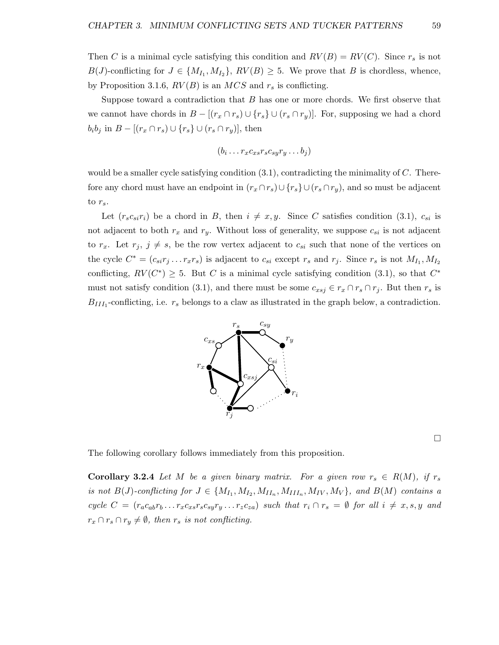Then C is a minimal cycle satisfying this condition and  $RV(B) = RV(C)$ . Since  $r_s$  is not  $B(J)$ -conflicting for  $J \in \{M_{I_1}, M_{I_2}\}, RV(B) \geq 5$ . We prove that B is chordless, whence, by Proposition 3.1.6,  $RV(B)$  is an  $MCS$  and  $r_s$  is conflicting.

Suppose toward a contradiction that  $B$  has one or more chords. We first observe that we cannot have chords in  $B - [(r_x \cap r_s) \cup \{r_s\} \cup (r_s \cap r_y)]$ . For, supposing we had a chord  $b_i b_j$  in  $B - [(r_x \cap r_s) \cup \{r_s\} \cup (r_s \cap r_y)],$  then

$$
(b_i \ldots r_x c_{xs} r_s c_{sy} r_y \ldots b_j)
$$

would be a smaller cycle satisfying condition  $(3.1)$ , contradicting the minimality of C. Therefore any chord must have an endpoint in  $(r_x \cap r_s) \cup \{r_s\} \cup (r_s \cap r_y)$ , and so must be adjacent to  $r_s$ .

Let  $(r_s c_{si} r_i)$  be a chord in B, then  $i \neq x, y$ . Since C satisfies condition (3.1),  $c_{si}$  is not adjacent to both  $r_x$  and  $r_y$ . Without loss of generality, we suppose  $c_{si}$  is not adjacent to  $r_x$ . Let  $r_j$ ,  $j \neq s$ , be the row vertex adjacent to  $c_{si}$  such that none of the vertices on the cycle  $C^* = (c_{si}r_j \dots r_xr_s)$  is adjacent to  $c_{si}$  except  $r_s$  and  $r_j$ . Since  $r_s$  is not  $M_{I_1}, M_{I_2}$ conflicting,  $RV(C^*) \geq 5$ . But C is a minimal cycle satisfying condition (3.1), so that  $C^*$ must not satisfy condition (3.1), and there must be some  $c_{xsj} \in r_x \cap r_s \cap r_j$ . But then  $r_s$  is  $B_{III_1}$ -conflicting, i.e.  $r_s$  belongs to a claw as illustrated in the graph below, a contradiction.



 $\Box$ 

The following corollary follows immediately from this proposition.

**Corollary 3.2.4** Let M be a given binary matrix. For a given row  $r_s \in R(M)$ , if  $r_s$ is not  $B(J)$ -conflicting for  $J \in \{M_{I_1}, M_{I_2}, M_{II_n}, M_{III_n}, M_{IV}, M_V\}$ , and  $B(M)$  contains a cycle  $C = (r_a c_{ab} r_b \dots r_x c_{xs} r_s c_{sy} r_y \dots r_z c_{za})$  such that  $r_i \cap r_s = \emptyset$  for all  $i \neq x, s, y$  and  $r_x \cap r_s \cap r_y \neq \emptyset$ , then  $r_s$  is not conflicting.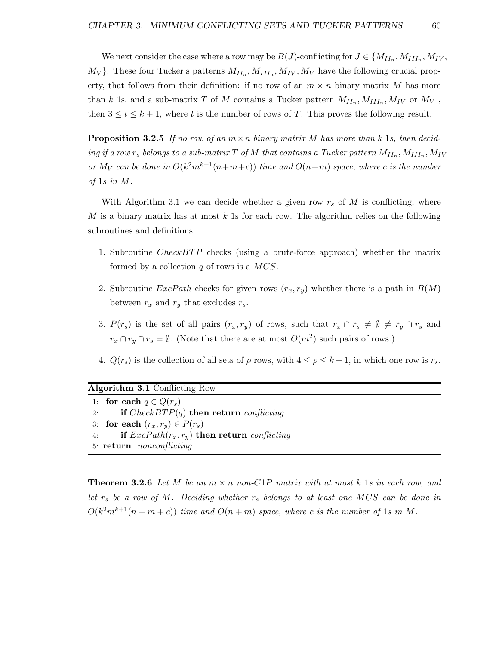We next consider the case where a row may be  $B(J)$ -conflicting for  $J \in \{M_{II_n}, M_{III_n}, M_{IV},$  $M_V$ }. These four Tucker's patterns  $M_{II_n}, M_{III_n}, M_{IV}, M_V$  have the following crucial property, that follows from their definition: if no row of an  $m \times n$  binary matrix M has more than k 1s, and a sub-matrix T of M contains a Tucker pattern  $M_{II_n}, M_{III_n}, M_{IV}$  or  $M_V$ , then  $3 \le t \le k+1$ , where t is the number of rows of T. This proves the following result.

**Proposition 3.2.5** If no row of an  $m \times n$  binary matrix M has more than k 1s, then decid- $\inf$  ing if a row  $r_s$  belongs to a sub-matrix  $T$  of  $M$  that contains a Tucker pattern  $M_{II_n}, M_{III_n}, M_{IV}$ or  $M_V$  can be done in  $O(k^2m^{k+1}(n+m+c))$  time and  $O(n+m)$  space, where c is the number of 1s in M.

With Algorithm 3.1 we can decide whether a given row  $r_s$  of M is conflicting, where M is a binary matrix has at most  $k$  1s for each row. The algorithm relies on the following subroutines and definitions:

- 1. Subroutine CheckBTP checks (using a brute-force approach) whether the matrix formed by a collection  $q$  of rows is a  $MCS$ .
- 2. Subroutine  $ExcPath$  checks for given rows  $(r_x, r_y)$  whether there is a path in  $B(M)$ between  $r_x$  and  $r_y$  that excludes  $r_s$ .
- 3.  $P(r_s)$  is the set of all pairs  $(r_x, r_y)$  of rows, such that  $r_x \cap r_s \neq \emptyset \neq r_y \cap r_s$  and  $r_x \cap r_y \cap r_s = \emptyset$ . (Note that there are at most  $O(m^2)$  such pairs of rows.)
- 4.  $Q(r_s)$  is the collection of all sets of  $\rho$  rows, with  $4 \leq \rho \leq k+1$ , in which one row is  $r_s$ .

| <b>Algorithm 3.1</b> Conflicting Row |                                                      |  |  |
|--------------------------------------|------------------------------------------------------|--|--|
|                                      | 1: for each $q \in Q(r_s)$                           |  |  |
| 2:                                   | if $CheckBTP(q)$ then return conflicting             |  |  |
|                                      | 3: for each $(r_x, r_y) \in P(r_s)$                  |  |  |
| 4:                                   | if $\text{ExcPath}(r_x,r_y)$ then return conflicting |  |  |
| 5: return <i>nonconflicting</i>      |                                                      |  |  |

**Theorem 3.2.6** Let M be an  $m \times n$  non-C1P matrix with at most k 1s in each row, and let  $r_s$  be a row of M. Deciding whether  $r_s$  belongs to at least one MCS can be done in  $O(k^2m^{k+1}(n+m+c))$  time and  $O(n+m)$  space, where c is the number of 1s in M.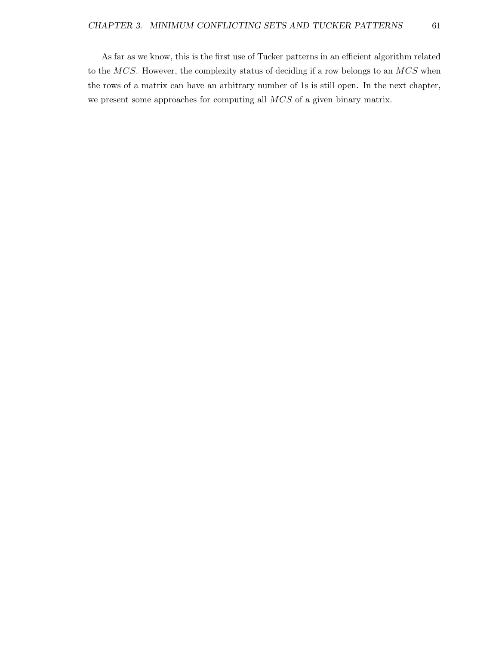As far as we know, this is the first use of Tucker patterns in an efficient algorithm related to the  $MCS$ . However, the complexity status of deciding if a row belongs to an  $MCS$  when the rows of a matrix can have an arbitrary number of 1s is still open. In the next chapter, we present some approaches for computing all MCS of a given binary matrix.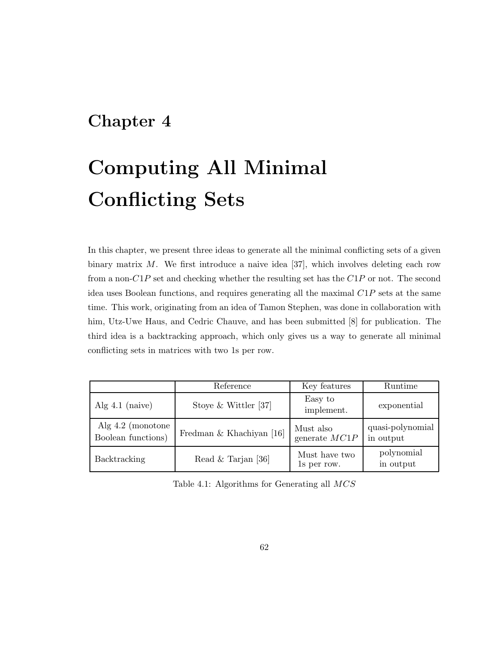## Chapter 4

# Computing All Minimal Conflicting Sets

In this chapter, we present three ideas to generate all the minimal conflicting sets of a given binary matrix  $M$ . We first introduce a naive idea [37], which involves deleting each row from a non- $C1P$  set and checking whether the resulting set has the  $C1P$  or not. The second idea uses Boolean functions, and requires generating all the maximal  $C1P$  sets at the same time. This work, originating from an idea of Tamon Stephen, was done in collaboration with him, Utz-Uwe Haus, and Cedric Chauve, and has been submitted [8] for publication. The third idea is a backtracking approach, which only gives us a way to generate all minimal conflicting sets in matrices with two 1s per row.

|                                           | Reference                | Key features                 | Runtime                       |
|-------------------------------------------|--------------------------|------------------------------|-------------------------------|
| Alg $4.1$ (naive)                         | Stoye & Wittler [37]     | Easy to<br>implement.        | exponential                   |
| Alg $4.2$ (monotone<br>Boolean functions) | Fredman & Khachiyan [16] | Must also<br>generate $MC1P$ | quasi-polynomial<br>in output |
| Backtracking                              | Read & Tarjan [36]       | Must have two<br>1s per row. | polynomial<br>in output       |

Table 4.1: Algorithms for Generating all MCS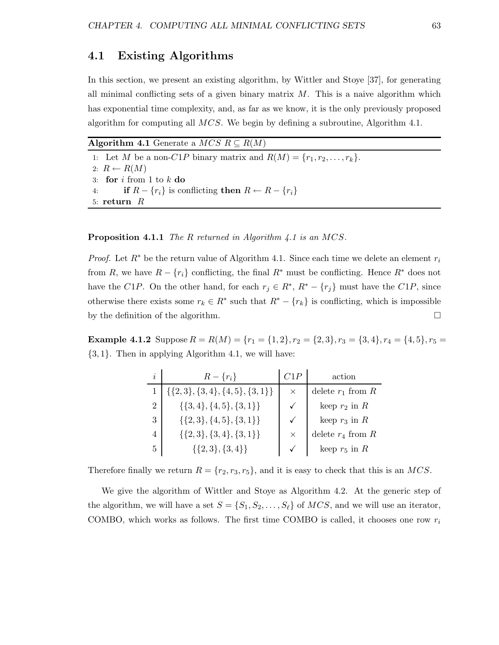### 4.1 Existing Algorithms

In this section, we present an existing algorithm, by Wittler and Stoye [37], for generating all minimal conflicting sets of a given binary matrix  $M$ . This is a naive algorithm which has exponential time complexity, and, as far as we know, it is the only previously proposed algorithm for computing all  $MCS$ . We begin by defining a subroutine, Algorithm 4.1.

Algorithm 4.1 Generate a  $MCS R \subseteq R(M)$ 

1: Let M be a non-C1P binary matrix and  $R(M) = \{r_1, r_2, \ldots, r_k\}.$ 2:  $R \leftarrow R(M)$ 3: for  $i$  from 1 to  $k$  do 4: if  $R - \{r_i\}$  is conflicting then  $R \leftarrow R - \{r_i\}$ 5: return R

Proposition 4.1.1 The R returned in Algorithm 4.1 is an MCS.

*Proof.* Let  $R^*$  be the return value of Algorithm 4.1. Since each time we delete an element  $r_i$ from R, we have  $R - \{r_i\}$  conflicting, the final  $R^*$  must be conflicting. Hence  $R^*$  does not have the C1P. On the other hand, for each  $r_j \in R^*$ ,  $R^* - \{r_j\}$  must have the C1P, since otherwise there exists some  $r_k \in R^*$  such that  $R^* - \{r_k\}$  is conflicting, which is impossible by the definition of the algorithm.

**Example 4.1.2** Suppose  $R = R(M) = \{r_1 = \{1, 2\}, r_2 = \{2, 3\}, r_3 = \{3, 4\}, r_4 = \{4, 5\}, r_5 =$  $\{3, 1\}$ . Then in applying Algorithm 4.1, we will have:

| i              | $R - \{r_i\}$                          | C1P          | action                |
|----------------|----------------------------------------|--------------|-----------------------|
|                | $\{\{2,3\},\{3,4\},\{4,5\},\{3,1\}\}\$ | $\times$     | delete $r_1$ from R   |
| $\overline{2}$ | $\{\{3,4\},\{4,5\},\{3,1\}\}\$         | $\checkmark$ | keep $r_2$ in R       |
| 3              | $\{\{2,3\},\{4,5\},\{3,1\}\}\$         | $\checkmark$ | keep $r_3$ in R       |
| 4              | $\{\{2,3\},\{3,4\},\{3,1\}\}\$         | $\times$     | delete $r_4$ from $R$ |
| 5              | $\{\{2,3\},\{3,4\}\}\$                 | $\checkmark$ | keep $r_5$ in R       |

Therefore finally we return  $R = \{r_2, r_3, r_5\}$ , and it is easy to check that this is an MCS.

We give the algorithm of Wittler and Stoye as Algorithm 4.2. At the generic step of the algorithm, we will have a set  $S = \{S_1, S_2, \ldots, S_\ell\}$  of  $MCS$ , and we will use an iterator, COMBO, which works as follows. The first time COMBO is called, it chooses one row  $r_i$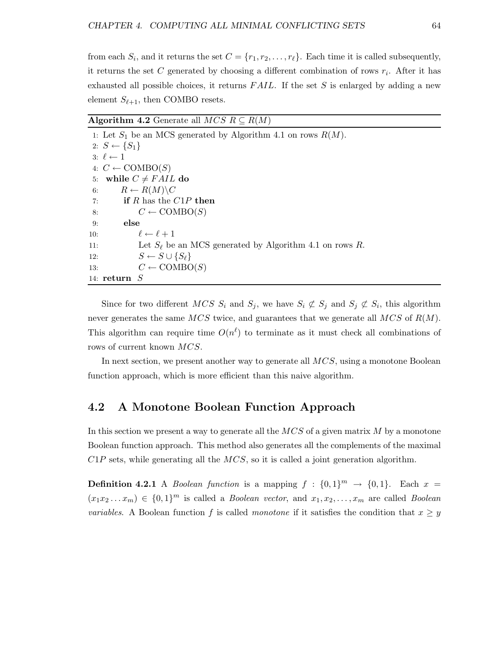from each  $S_i$ , and it returns the set  $C = \{r_1, r_2, \ldots, r_\ell\}$ . Each time it is called subsequently, it returns the set C generated by choosing a different combination of rows  $r_i$ . After it has exhausted all possible choices, it returns  $FAIL$ . If the set S is enlarged by adding a new element  $S_{\ell+1}$ , then COMBO resets.

Algorithm 4.2 Generate all  $MCS \, R \subseteq R(M)$ 

|     | 1: Let $S_1$ be an MCS generated by Algorithm 4.1 on rows $R(M)$ . |
|-----|--------------------------------------------------------------------|
|     | 2: $S \leftarrow \{S_1\}$                                          |
|     | $3: \ell \leftarrow 1$                                             |
|     | 4: $C \leftarrow \text{COMBO}(S)$                                  |
|     | 5: while $C \neq FAIL$ do                                          |
| 6:  | $R \leftarrow R(M) \backslash C$                                   |
| 7:  | if R has the $C1P$ then                                            |
| 8:  | $C \leftarrow \text{COMBO}(S)$                                     |
| 9:  | else                                                               |
| 10: | $\ell \leftarrow \ell + 1$                                         |
| 11: | Let $S_{\ell}$ be an MCS generated by Algorithm 4.1 on rows R.     |
| 12: | $S \leftarrow S \cup \{S_\ell\}$                                   |
| 13: | $C \leftarrow \text{COMBO}(S)$                                     |
|     | 14: $return S$                                                     |

Since for two different  $MCS S_i$  and  $S_j$ , we have  $S_i \not\subset S_j$  and  $S_j \not\subset S_i$ , this algorithm never generates the same  $MCS$  twice, and guarantees that we generate all  $MCS$  of  $R(M)$ . This algorithm can require time  $O(n^{\ell})$  to terminate as it must check all combinations of rows of current known MCS.

In next section, we present another way to generate all  $MCS$ , using a monotone Boolean function approach, which is more efficient than this naive algorithm.

### 4.2 A Monotone Boolean Function Approach

In this section we present a way to generate all the  $MCS$  of a given matrix M by a monotone Boolean function approach. This method also generates all the complements of the maximal  $C1P$  sets, while generating all the  $MCS$ , so it is called a joint generation algorithm.

**Definition 4.2.1** A *Boolean function* is a mapping  $f : \{0,1\}^m \rightarrow \{0,1\}$ . Each  $x =$  $(x_1x_2...x_m) \in \{0,1\}^m$  is called a *Boolean vector*, and  $x_1, x_2,...,x_m$  are called *Boolean* variables. A Boolean function f is called monotone if it satisfies the condition that  $x \geq y$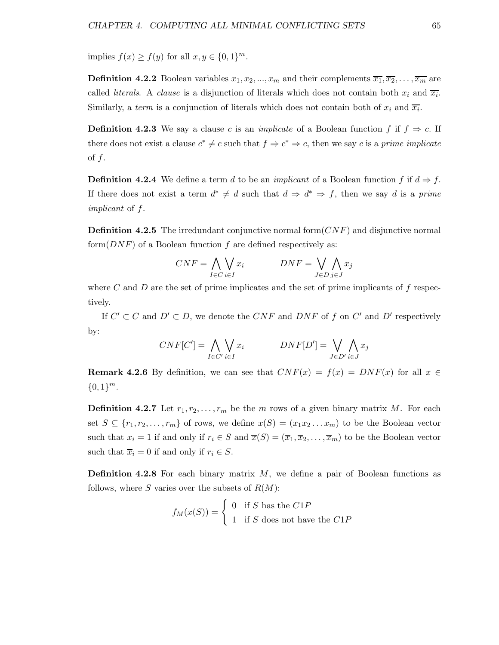implies  $f(x) \ge f(y)$  for all  $x, y \in \{0, 1\}^m$ .

**Definition 4.2.2** Boolean variables  $x_1, x_2, ..., x_m$  and their complements  $\overline{x_1}, \overline{x_2}, ..., \overline{x_m}$  are called *literals*. A *clause* is a disjunction of literals which does not contain both  $x_i$  and  $\overline{x_i}$ . Similarly, a *term* is a conjunction of literals which does not contain both of  $x_i$  and  $\overline{x_i}$ .

**Definition 4.2.3** We say a clause c is an *implicate* of a Boolean function f if  $f \Rightarrow c$ . If there does not exist a clause  $c^* \neq c$  such that  $f \Rightarrow c^* \Rightarrow c$ , then we say c is a prime implicate of  $f$ .

**Definition 4.2.4** We define a term d to be an *implicant* of a Boolean function f if  $d \Rightarrow f$ . If there does not exist a term  $d^* \neq d$  such that  $d \Rightarrow d^* \Rightarrow f$ , then we say d is a prime implicant of f.

**Definition 4.2.5** The irredundant conjunctive normal form  $(CNF)$  and disjunctive normal form $(DNF)$  of a Boolean function f are defined respectively as:

$$
CNF = \bigwedge_{I \in C} \bigvee_{i \in I} x_i \qquad \qquad DNF = \bigvee_{J \in D} \bigwedge_{j \in J} x_j
$$

where C and D are the set of prime implicates and the set of prime implicants of f respectively.

If  $C' \subset C$  and  $D' \subset D$ , we denote the CNF and DNF of f on C' and D' respectively by:

$$
CNF[C'] = \bigwedge_{I \in C'} \bigvee_{i \in I} x_i \qquad \qquad DNF[D'] = \bigvee_{J \in D'} \bigwedge_{i \in J} x_j
$$

**Remark 4.2.6** By definition, we can see that  $CNF(x) = f(x) = DNF(x)$  for all  $x \in$  ${0,1}^m$ .

**Definition 4.2.7** Let  $r_1, r_2, \ldots, r_m$  be the m rows of a given binary matrix M. For each set  $S \subseteq \{r_1, r_2, \ldots, r_m\}$  of rows, we define  $x(S) = (x_1 x_2 \ldots x_m)$  to be the Boolean vector such that  $x_i = 1$  if and only if  $r_i \in S$  and  $\overline{x}(S) = (\overline{x}_1, \overline{x}_2, \dots, \overline{x}_m)$  to be the Boolean vector such that  $\overline{x}_i = 0$  if and only if  $r_i \in S$ .

**Definition 4.2.8** For each binary matrix  $M$ , we define a pair of Boolean functions as follows, where S varies over the subsets of  $R(M)$ :

$$
f_M(x(S)) = \begin{cases} 0 & \text{if } S \text{ has the } C1P \\ 1 & \text{if } S \text{ does not have the } C1P \end{cases}
$$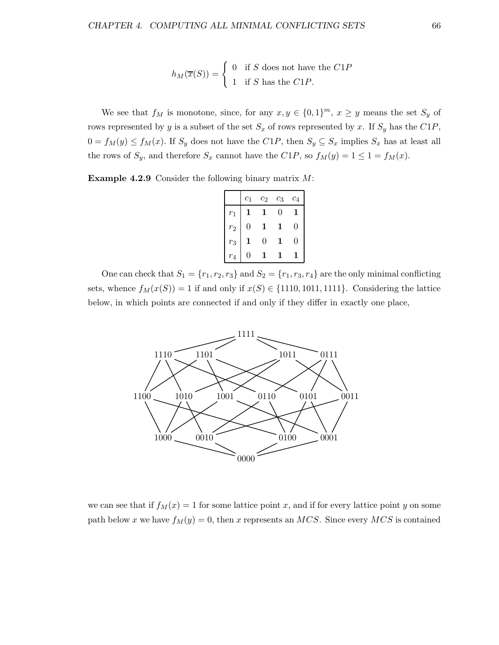$$
h_M(\overline{x}(S)) = \begin{cases} 0 & \text{if } S \text{ does not have the } C1P \\ 1 & \text{if } S \text{ has the } C1P. \end{cases}
$$

We see that  $f_M$  is monotone, since, for any  $x, y \in \{0,1\}^m$ ,  $x \geq y$  means the set  $S_y$  of rows represented by y is a subset of the set  $S_x$  of rows represented by x. If  $S_y$  has the  $C1P$ ,  $0 = f_M(y) \le f_M(x)$ . If  $S_y$  does not have the  $C1P$ , then  $S_y \subseteq S_x$  implies  $S_x$  has at least all the rows of  $S_y$ , and therefore  $S_x$  cannot have the  $C1P$ , so  $f_M(y) = 1 \leq 1 = f_M(x)$ .

Example 4.2.9 Consider the following binary matrix M:

|       | $c_1$ | $\scriptstyle{c_2}$ | $c_3$    | $c_4$ |
|-------|-------|---------------------|----------|-------|
| $r_1$ |       |                     | $\Omega$ |       |
| $r_2$ | 0     |                     | 1        | 0     |
| $r_3$ |       | 0                   | 1        | 0     |
| $r_4$ |       |                     |          |       |

One can check that  $S_1 = \{r_1, r_2, r_3\}$  and  $S_2 = \{r_1, r_3, r_4\}$  are the only minimal conflicting sets, whence  $f_M(x(S)) = 1$  if and only if  $x(S) \in \{1110, 1011, 1111\}$ . Considering the lattice below, in which points are connected if and only if they differ in exactly one place,



we can see that if  $f_M(x) = 1$  for some lattice point x, and if for every lattice point y on some path below x we have  $f_M(y) = 0$ , then x represents an MCS. Since every MCS is contained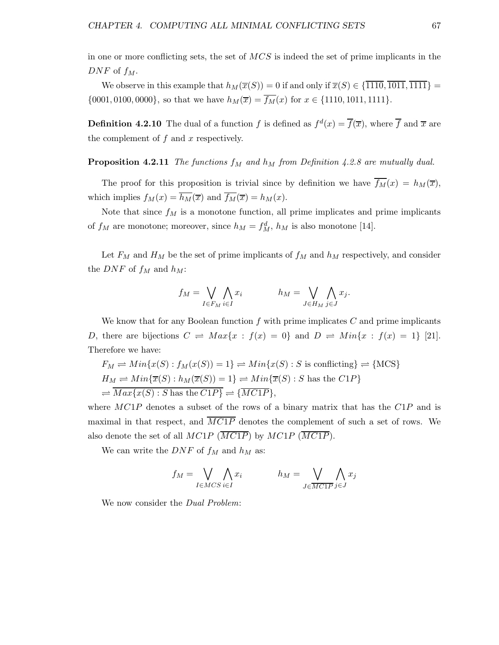in one or more conflicting sets, the set of MCS is indeed the set of prime implicants in the  $DNF$  of  $f_M$ .

We observe in this example that  $h_M(\overline{x}(S)) = 0$  if and only if  $\overline{x}(S) \in \{1110, 1011, 1111\}$  =  $\{0001, 0100, 0000\}$ , so that we have  $h_M(\overline{x}) = \overline{f_M}(x)$  for  $x \in \{1110, 1011, 1111\}$ .

**Definition 4.2.10** The dual of a function f is defined as  $f^d(x) = \overline{f}(\overline{x})$ , where  $\overline{f}$  and  $\overline{x}$  are the complement of  $f$  and  $x$  respectively.

**Proposition 4.2.11** The functions  $f_M$  and  $h_M$  from Definition 4.2.8 are mutually dual.

The proof for this proposition is trivial since by definition we have  $\overline{f_M}(x) = h_M(\overline{x})$ , which implies  $f_M(x) = \overline{h_M(x)}$  and  $\overline{f_M(x)} = h_M(x)$ .

Note that since  $f_M$  is a monotone function, all prime implicates and prime implicants of  $f_M$  are monotone; moreover, since  $h_M = f_M^d$ ,  $h_M$  is also monotone [14].

Let  $F_M$  and  $H_M$  be the set of prime implicants of  $f_M$  and  $h_M$  respectively, and consider the *DNF* of  $f_M$  and  $h_M$ :

$$
f_M = \bigvee_{I \in F_M} \bigwedge_{i \in I} x_i \qquad h_M = \bigvee_{J \in H_M} \bigwedge_{j \in J} x_j.
$$

We know that for any Boolean function  $f$  with prime implicates  $C$  and prime implicants D, there are bijections  $C \rightleftharpoons Max\{x : f(x) = 0\}$  and  $D \rightleftharpoons Min\{x : f(x) = 1\}$  [21]. Therefore we have:

$$
F_M \rightleftharpoons Min\{x(S) : f_M(x(S)) = 1\} \rightleftharpoons Min\{x(S) : S \text{ is conflicting}\} \rightleftharpoons \{\text{MCS}\}\
$$
  

$$
H_M \rightleftharpoons Min\{\overline{x}(S) : h_M(\overline{x}(S)) = 1\} \rightleftharpoons Min\{\overline{x}(S) : S \text{ has the } C1P\}
$$
  

$$
\rightleftharpoons \overline{Max\{x(S) : S \text{ has the } C1P\}} \rightleftharpoons \{\overline{M C1P}\},
$$

where  $MC1P$  denotes a subset of the rows of a binary matrix that has the  $C1P$  and is maximal in that respect, and  $\overline{MC1P}$  denotes the complement of such a set of rows. We also denote the set of all  $MC1P$   $(\overline{MC1P})$  by  $MC1P$   $(\overline{MC1P})$ .

We can write the  $DNF$  of  $f_M$  and  $h_M$  as:

$$
f_M = \bigvee_{I \in MCS} \bigwedge_{i \in I} x_i \qquad h_M = \bigvee_{J \in \overline{MCIP}} \bigwedge_{j \in J} x_j
$$

We now consider the Dual Problem: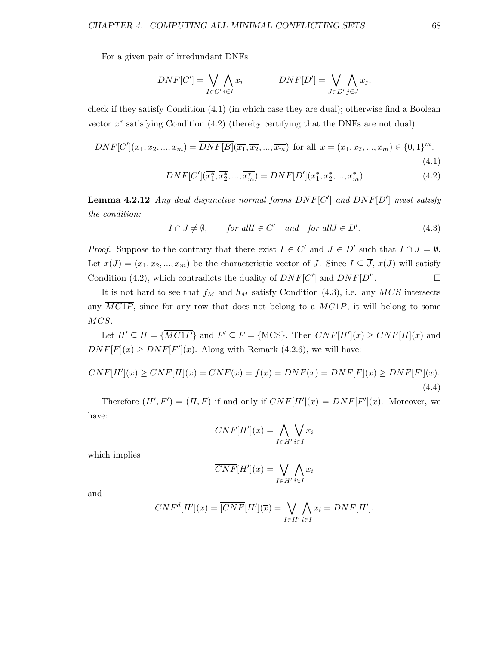For a given pair of irredundant DNFs

$$
DNF[C'] = \bigvee_{I \in C'} \bigwedge_{i \in I} x_i \qquad \qquad DNF[D'] = \bigvee_{J \in D'} \bigwedge_{j \in J} x_j,
$$

check if they satisfy Condition (4.1) (in which case they are dual); otherwise find a Boolean vector  $x^*$  satisfying Condition  $(4.2)$  (thereby certifying that the DNFs are not dual).

$$
DNF[C'](x_1, x_2, ..., x_m) = \overline{DNF[B]}(\overline{x_1}, \overline{x_2}, ..., \overline{x_m}) \text{ for all } x = (x_1, x_2, ..., x_m) \in \{0, 1\}^m.
$$
\n(4.1)

$$
DNF[C'](\overline{x_1^*}, \overline{x_2^*}, \dots, \overline{x_m^*}) = DNF[D'](x_1^*, x_2^*, \dots, x_m^*)
$$
\n(4.2)

**Lemma 4.2.12** Any dual disjunctive normal forms  $DNF[C']$  and  $DNF[D']$  must satisfy the condition:

$$
I \cap J \neq \emptyset, \qquad \text{for all } I \in C' \quad \text{and} \quad \text{for all } J \in D'. \tag{4.3}
$$

*Proof.* Suppose to the contrary that there exist  $I \in C'$  and  $J \in D'$  such that  $I \cap J = \emptyset$ . Let  $x(J) = (x_1, x_2, ..., x_m)$  be the characteristic vector of J. Since  $I \subseteq \overline{J}$ ,  $x(J)$  will satisfy Condition (4.2), which contradicts the duality of  $DNF[C']$  and  $DNF[D']$  $\Box$ 

It is not hard to see that  $f_M$  and  $h_M$  satisfy Condition (4.3), i.e. any MCS intersects any  $MC1P$ , since for any row that does not belong to a  $MC1P$ , it will belong to some MCS.

Let  $H' \subseteq H = \{ \overline{M C 1 P} \}$  and  $F' \subseteq F = \{ \text{MCS} \}$ . Then  $CNF[H'](x) \ge CNF[H](x)$  and  $DNF[F](x) \geq DNF[F'](x)$ . Along with Remark (4.2.6), we will have:

$$
CNF[H'](x) \ge CNF[H](x) = CNF(x) = f(x) = DNF(x) = DNF[F](x) \ge DNF[F'](x).
$$
\n(4.4)

Therefore  $(H', F') = (H, F)$  if and only if  $CNF[H'](x) = DNF[F'](x)$ . Moreover, we have:

$$
CNF[H'](x) = \bigwedge_{I \in H'} \bigvee_{i \in I} x_i
$$

which implies

$$
\overline{CNF}[H'](x) = \bigvee_{I \in H'} \bigwedge_{i \in I} \overline{x_i}
$$

and

$$
CNFd[H'](x) = \overline{[CNF]}[H'](\overline{x}) = \bigvee_{I \in H'} \bigwedge_{i \in I} x_i = DNF[H'].
$$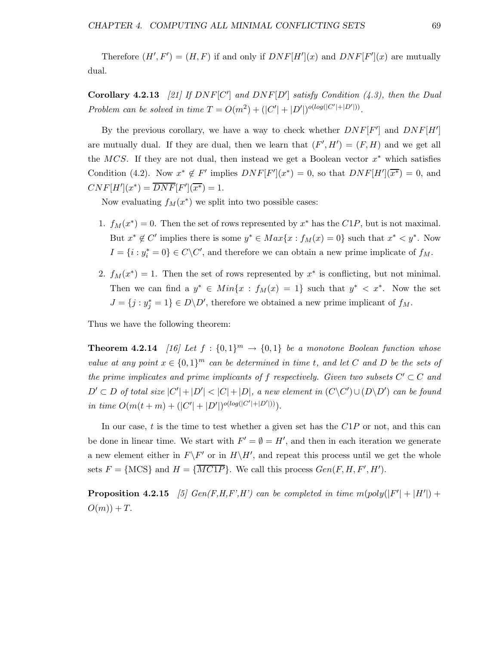Therefore  $(H', F') = (H, F)$  if and only if  $DNF[H'](x)$  and  $DNF[F'](x)$  are mutually dual.

Corollary 4.2.13 [21] If  $DNF[C']$  and  $DNF[D']$  satisfy Condition (4.3), then the Dual Problem can be solved in time  $T = O(m^2) + (|C'| + |D'|)^{o(log(|C'| + |D'|))}$ .

By the previous corollary, we have a way to check whether  $DNF[F']$  and  $DNF[H']$ are mutually dual. If they are dual, then we learn that  $(F', H') = (F, H)$  and we get all the MCS. If they are not dual, then instead we get a Boolean vector  $x^*$  which satisfies Condition (4.2). Now  $x^* \notin F'$  implies  $DNF[F'](x^*) = 0$ , so that  $DNF[H'](\overline{x^*}) = 0$ , and  $CNF[H'](x^*) = \overline{DNF}[F'](\overline{x^*}) = 1.$ 

Now evaluating  $f_M(x^*)$  we split into two possible cases:

- 1.  $f_M(x^*) = 0$ . Then the set of rows represented by  $x^*$  has the  $C1P$ , but is not maximal. But  $x^* \notin C'$  implies there is some  $y^* \in Max\{x : f_M(x) = 0\}$  such that  $x^* \leq y^*$ . Now  $I = \{i : y_i^* = 0\} \in C \backslash C'$ , and therefore we can obtain a new prime implicate of  $f_M$ .
- 2.  $f_M(x^*) = 1$ . Then the set of rows represented by  $x^*$  is conflicting, but not minimal. Then we can find a  $y^* \in Min\{x : f_M(x) = 1\}$  such that  $y^* \leq x^*$ . Now the set  $J = \{j : y_j^* = 1\} \in D\backslash D'$ , therefore we obtained a new prime implicant of  $f_M$ .

Thus we have the following theorem:

**Theorem 4.2.14** [16] Let  $f : \{0,1\}^m \rightarrow \{0,1\}$  be a monotone Boolean function whose value at any point  $x \in \{0,1\}^m$  can be determined in time t, and let C and D be the sets of the prime implicates and prime implicants of f respectively. Given two subsets  $C' \subset C$  and  $D' \subset D$  of total size  $|C'| + |D'| < |C| + |D|$ , a new element in  $(C \setminus C') \cup (D \setminus D')$  can be found in time  $O(m(t+m) + (|C'|+|D'|)^{o(log(|C'|+|D'|))}).$ 

In our case,  $t$  is the time to test whether a given set has the  $C1P$  or not, and this can be done in linear time. We start with  $F' = \emptyset = H'$ , and then in each iteration we generate a new element either in  $F\backslash F'$  or in  $H\backslash H'$ , and repeat this process until we get the whole sets  $F = \{\text{MCS}\}\$ and  $H = \{\overline{MCIP}\}\$ . We call this process  $Gen(F, H, F', H')$ .

**Proposition 4.2.15** [5]  $Gen(F,H,F',H')$  can be completed in time  $m(poly(|F'| + |H'|) +$  $O(m)$  + T.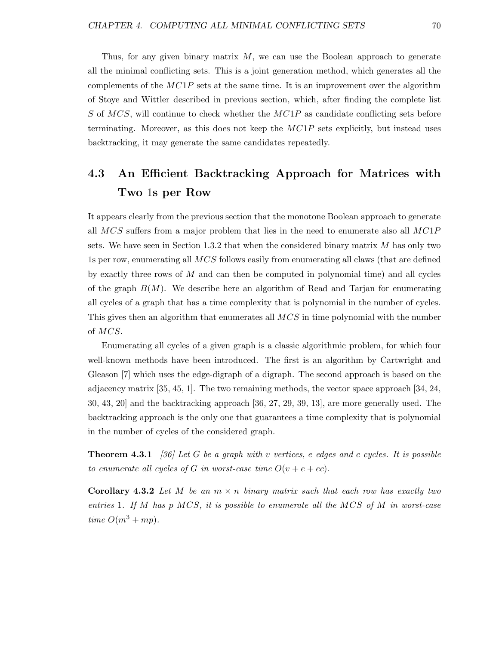Thus, for any given binary matrix  $M$ , we can use the Boolean approach to generate all the minimal conflicting sets. This is a joint generation method, which generates all the complements of the  $MC1P$  sets at the same time. It is an improvement over the algorithm of Stoye and Wittler described in previous section, which, after finding the complete list S of  $MCS$ , will continue to check whether the  $MCIP$  as candidate conflicting sets before terminating. Moreover, as this does not keep the  $MC1P$  sets explicitly, but instead uses backtracking, it may generate the same candidates repeatedly.

### 4.3 An Efficient Backtracking Approach for Matrices with Two 1s per Row

It appears clearly from the previous section that the monotone Boolean approach to generate all  $MCS$  suffers from a major problem that lies in the need to enumerate also all  $MCIP$ sets. We have seen in Section 1.3.2 that when the considered binary matrix  $M$  has only two 1s per row, enumerating all MCS follows easily from enumerating all claws (that are defined by exactly three rows of  $M$  and can then be computed in polynomial time) and all cycles of the graph  $B(M)$ . We describe here an algorithm of Read and Tarjan for enumerating all cycles of a graph that has a time complexity that is polynomial in the number of cycles. This gives then an algorithm that enumerates all MCS in time polynomial with the number of MCS.

Enumerating all cycles of a given graph is a classic algorithmic problem, for which four well-known methods have been introduced. The first is an algorithm by Cartwright and Gleason [7] which uses the edge-digraph of a digraph. The second approach is based on the adjacency matrix [35, 45, 1]. The two remaining methods, the vector space approach [34, 24, 30, 43, 20] and the backtracking approach [36, 27, 29, 39, 13], are more generally used. The backtracking approach is the only one that guarantees a time complexity that is polynomial in the number of cycles of the considered graph.

**Theorem 4.3.1** [36] Let G be a graph with v vertices, e edges and c cycles. It is possible to enumerate all cycles of G in worst-case time  $O(v + e + ec)$ .

**Corollary 4.3.2** Let M be an  $m \times n$  binary matrix such that each row has exactly two entries 1. If M has  $p \text{ MCS},$  it is possible to enumerate all the MCS of M in worst-case time  $O(m^3 + mp)$ .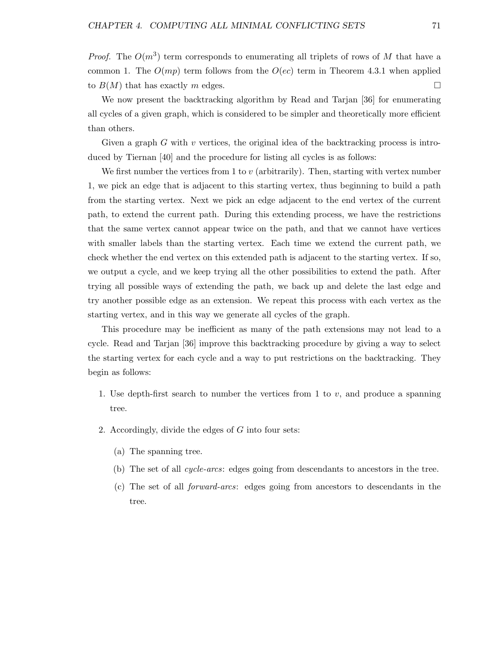*Proof.* The  $O(m^3)$  term corresponds to enumerating all triplets of rows of M that have a common 1. The  $O(mp)$  term follows from the  $O(ec)$  term in Theorem 4.3.1 when applied to  $B(M)$  that has exactly m edges.

We now present the backtracking algorithm by Read and Tarjan [36] for enumerating all cycles of a given graph, which is considered to be simpler and theoretically more efficient than others.

Given a graph  $G$  with  $v$  vertices, the original idea of the backtracking process is introduced by Tiernan [40] and the procedure for listing all cycles is as follows:

We first number the vertices from 1 to v (arbitrarily). Then, starting with vertex number 1, we pick an edge that is adjacent to this starting vertex, thus beginning to build a path from the starting vertex. Next we pick an edge adjacent to the end vertex of the current path, to extend the current path. During this extending process, we have the restrictions that the same vertex cannot appear twice on the path, and that we cannot have vertices with smaller labels than the starting vertex. Each time we extend the current path, we check whether the end vertex on this extended path is adjacent to the starting vertex. If so, we output a cycle, and we keep trying all the other possibilities to extend the path. After trying all possible ways of extending the path, we back up and delete the last edge and try another possible edge as an extension. We repeat this process with each vertex as the starting vertex, and in this way we generate all cycles of the graph.

This procedure may be inefficient as many of the path extensions may not lead to a cycle. Read and Tarjan [36] improve this backtracking procedure by giving a way to select the starting vertex for each cycle and a way to put restrictions on the backtracking. They begin as follows:

- 1. Use depth-first search to number the vertices from 1 to  $v$ , and produce a spanning tree.
- 2. Accordingly, divide the edges of G into four sets:
	- (a) The spanning tree.
	- (b) The set of all cycle-arcs: edges going from descendants to ancestors in the tree.
	- (c) The set of all forward-arcs: edges going from ancestors to descendants in the tree.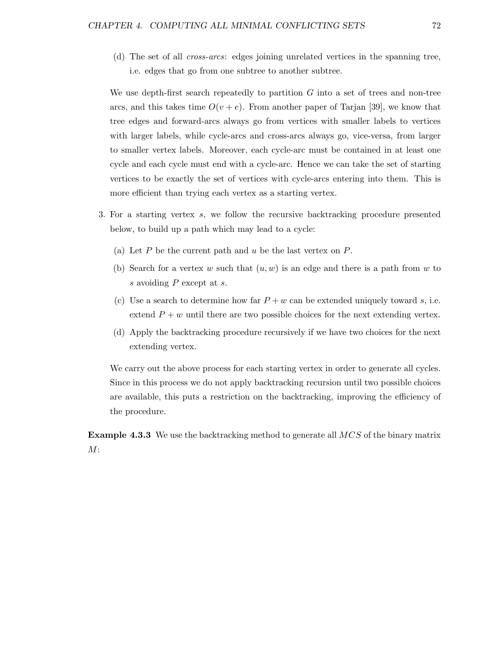(d) The set of all cross-arcs: edges joining unrelated vertices in the spanning tree, i.e. edges that go from one subtree to another subtree.

We use depth-first search repeatedly to partition  $G$  into a set of trees and non-tree arcs, and this takes time  $O(v + e)$ . From another paper of Tarjan [39], we know that tree edges and forward-arcs always go from vertices with smaller labels to vertices with larger labels, while cycle-arcs and cross-arcs always go, vice-versa, from larger to smaller vertex labels. Moreover, each cycle-arc must be contained in at least one cycle and each cycle must end with a cycle-arc. Hence we can take the set of starting vertices to be exactly the set of vertices with cycle-arcs entering into them. This is more efficient than trying each vertex as a starting vertex.

- 3. For a starting vertex s, we follow the recursive backtracking procedure presented below, to build up a path which may lead to a cycle:
	- (a) Let  $P$  be the current path and  $u$  be the last vertex on  $P$ .
	- (b) Search for a vertex w such that  $(u, w)$  is an edge and there is a path from w to s avoiding P except at s.
	- (c) Use a search to determine how far  $P + w$  can be extended uniquely toward s, i.e. extend  $P + w$  until there are two possible choices for the next extending vertex.
	- (d) Apply the backtracking procedure recursively if we have two choices for the next extending vertex.

We carry out the above process for each starting vertex in order to generate all cycles. Since in this process we do not apply backtracking recursion until two possible choices are available, this puts a restriction on the backtracking, improving the efficiency of the procedure.

Example 4.3.3 We use the backtracking method to generate all MCS of the binary matrix  $M$ :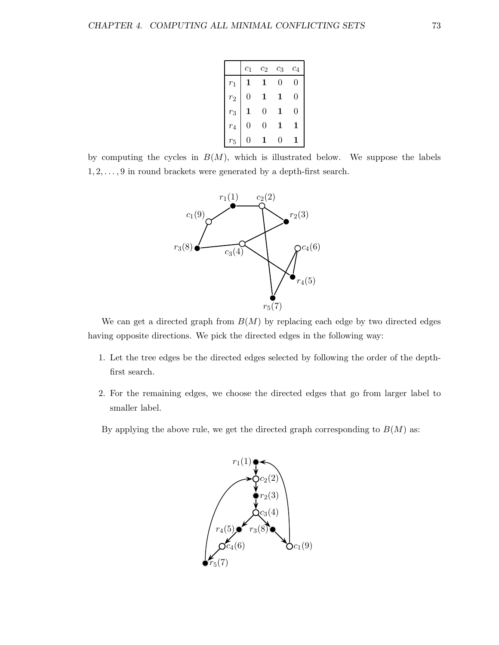|                | c <sub>1</sub> | $\scriptstyle{c_2}$ | CЗ | $c_4$ |
|----------------|----------------|---------------------|----|-------|
| $r_1$          |                |                     | 0  | 0     |
| r <sub>2</sub> | 0              | 1                   |    | 0     |
| $r_3$          |                | 0                   |    | 0     |
| $r_4$          | 0              | 0                   |    |       |
| $r_5$          |                |                     |    |       |

by computing the cycles in  $B(M)$ , which is illustrated below. We suppose the labels  $1, 2, \ldots, 9$  in round brackets were generated by a depth-first search.



We can get a directed graph from  $B(M)$  by replacing each edge by two directed edges having opposite directions. We pick the directed edges in the following way:

- 1. Let the tree edges be the directed edges selected by following the order of the depthfirst search.
- 2. For the remaining edges, we choose the directed edges that go from larger label to smaller label.

By applying the above rule, we get the directed graph corresponding to  $B(M)$  as:

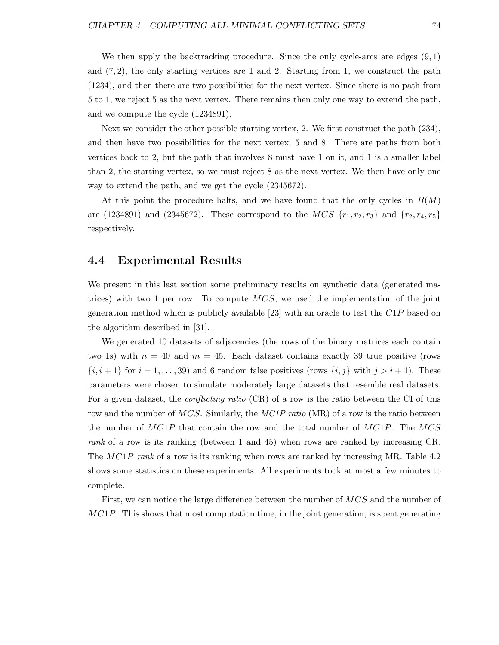We then apply the backtracking procedure. Since the only cycle-arcs are edges  $(9,1)$ and  $(7, 2)$ , the only starting vertices are 1 and 2. Starting from 1, we construct the path (1234), and then there are two possibilities for the next vertex. Since there is no path from 5 to 1, we reject 5 as the next vertex. There remains then only one way to extend the path, and we compute the cycle (1234891).

Next we consider the other possible starting vertex, 2. We first construct the path (234), and then have two possibilities for the next vertex, 5 and 8. There are paths from both vertices back to 2, but the path that involves 8 must have 1 on it, and 1 is a smaller label than 2, the starting vertex, so we must reject 8 as the next vertex. We then have only one way to extend the path, and we get the cycle (2345672).

At this point the procedure halts, and we have found that the only cycles in  $B(M)$ are (1234891) and (2345672). These correspond to the  $MCS \{r_1, r_2, r_3\}$  and  $\{r_2, r_4, r_5\}$ respectively.

#### 4.4 Experimental Results

We present in this last section some preliminary results on synthetic data (generated matrices) with two 1 per row. To compute  $MCS$ , we used the implementation of the joint generation method which is publicly available [23] with an oracle to test the  $C1P$  based on the algorithm described in [31].

We generated 10 datasets of adjacencies (the rows of the binary matrices each contain two 1s) with  $n = 40$  and  $m = 45$ . Each dataset contains exactly 39 true positive (rows  $\{i, i+1\}$  for  $i = 1, \ldots, 39$  and 6 random false positives (rows  $\{i, j\}$  with  $j > i+1$ ). These parameters were chosen to simulate moderately large datasets that resemble real datasets. For a given dataset, the *conflicting ratio* (CR) of a row is the ratio between the CI of this row and the number of  $MCS$ . Similarly, the  $MCIP$  ratio (MR) of a row is the ratio between the number of  $MC1P$  that contain the row and the total number of  $MC1P$ . The  $MCS$ rank of a row is its ranking (between 1 and 45) when rows are ranked by increasing CR. The MC1P rank of a row is its ranking when rows are ranked by increasing MR. Table 4.2 shows some statistics on these experiments. All experiments took at most a few minutes to complete.

First, we can notice the large difference between the number of  $MCS$  and the number of  $MC1P$ . This shows that most computation time, in the joint generation, is spent generating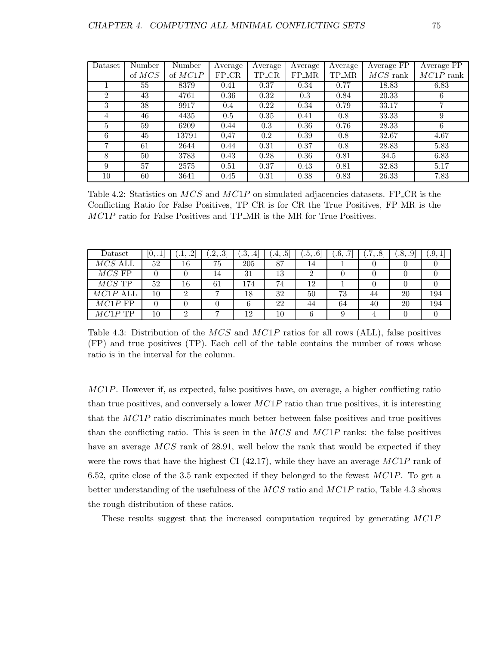| Dataset        | Number | Number    | Average | Average | Average | Average | Average FP | Average FP  |
|----------------|--------|-----------|---------|---------|---------|---------|------------|-------------|
|                | of MCS | of $MC1P$ | $FP_CR$ | TP_CR   | FP_MR   | TP_MR   | $MCS$ rank | $MC1P$ rank |
|                | 55     | 8379      | 0.41    | 0.37    | 0.34    | 0.77    | 18.83      | 6.83        |
| $\overline{2}$ | 43     | 4761      | 0.36    | 0.32    | 0.3     | 0.84    | 20.33      | 6           |
| 3              | 38     | 9917      | 0.4     | 0.22    | 0.34    | 0.79    | 33.17      | 7           |
| 4              | 46     | 4435      | 0.5     | 0.35    | 0.41    | 0.8     | 33.33      | 9           |
| $\overline{5}$ | 59     | 6209      | 0.44    | 0.3     | 0.36    | 0.76    | 28.33      | 6           |
| 6              | 45     | 13791     | 0,47    | 0.2     | 0.39    | 0.8     | 32.67      | 4.67        |
|                | 61     | 2644      | 0.44    | 0.31    | 0.37    | 0.8     | 28.83      | 5.83        |
| 8              | 50     | 3783      | 0.43    | 0.28    | 0.36    | 0.81    | 34.5       | 6.83        |
| 9              | 57     | 2575      | 0.51    | 0.37    | 0.43    | 0.81    | 32.83      | 5.17        |
| 10             | 60     | 3641      | 0.45    | 0.31    | 0.38    | 0.83    | 26.33      | 7.83        |

Table 4.2: Statistics on  $MCS$  and  $MCIP$  on simulated adjacencies datasets. FP CR is the Conflicting Ratio for False Positives, TP CR is for CR the True Positives, FP MR is the MC1P ratio for False Positives and TP\_MR is the MR for True Positives.

| Dataset    | [0, .1] | $\Omega$<br>اشتبلنا | [.2, .3] | $\cdot 3,$<br>$.4\,$ | [.4, .5] | [0.5, .6] | .6, .7 | $^{\prime}.7,$<br>$.8^{\circ}$ | [.8, .9] | .9.1 |
|------------|---------|---------------------|----------|----------------------|----------|-----------|--------|--------------------------------|----------|------|
| $MCS$ ALL  | 52      | 16                  | 75       | 205                  | 87       | 14        |        |                                |          |      |
| $MCS$ FP   |         |                     | 14       | 31                   | 13       | ച         |        |                                |          |      |
| $MCS$ TP   | 52      | 16                  | 61       | 174                  | 74       | 12        |        |                                |          |      |
| $MC1P$ ALL | 10      | റ                   |          | 18                   | 32       | 50        | 73     | 44                             | 20       | 194  |
| $MC1P$ FP  |         |                     |          |                      | 22       | 44        | 64     | 40                             | 20       | 194  |
| $MC1P$ TP  | 10      | ച                   |          | 12                   | 10       | 6         |        |                                |          |      |

Table 4.3: Distribution of the  $MCS$  and  $MCIP$  ratios for all rows (ALL), false positives (FP) and true positives (TP). Each cell of the table contains the number of rows whose ratio is in the interval for the column.

 $MC1P$ . However if, as expected, false positives have, on average, a higher conflicting ratio than true positives, and conversely a lower  $MC1P$  ratio than true positives, it is interesting that the MC1P ratio discriminates much better between false positives and true positives than the conflicting ratio. This is seen in the  $MCS$  and  $MCIP$  ranks: the false positives have an average MCS rank of 28.91, well below the rank that would be expected if they were the rows that have the highest CI  $(42.17)$ , while they have an average  $MC1P$  rank of 6.52, quite close of the 3.5 rank expected if they belonged to the fewest  $MC1P$ . To get a better understanding of the usefulness of the MCS ratio and MC1P ratio, Table 4.3 shows the rough distribution of these ratios.

These results suggest that the increased computation required by generating MC1P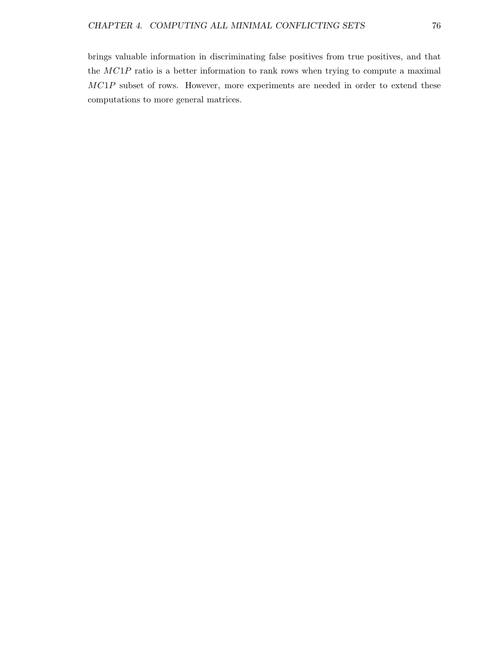brings valuable information in discriminating false positives from true positives, and that the MC1P ratio is a better information to rank rows when trying to compute a maximal MC1P subset of rows. However, more experiments are needed in order to extend these computations to more general matrices.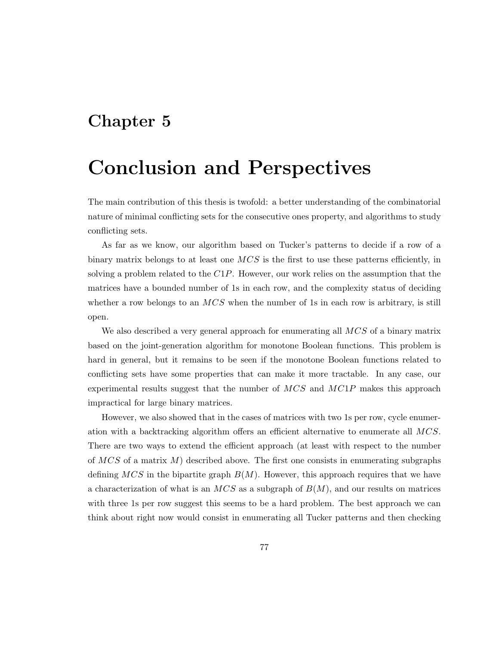## Chapter 5

# Conclusion and Perspectives

The main contribution of this thesis is twofold: a better understanding of the combinatorial nature of minimal conflicting sets for the consecutive ones property, and algorithms to study conflicting sets.

As far as we know, our algorithm based on Tucker's patterns to decide if a row of a binary matrix belongs to at least one  $MCS$  is the first to use these patterns efficiently, in solving a problem related to the  $C1P$ . However, our work relies on the assumption that the matrices have a bounded number of 1s in each row, and the complexity status of deciding whether a row belongs to an  $MCS$  when the number of 1s in each row is arbitrary, is still open.

We also described a very general approach for enumerating all  $MCS$  of a binary matrix based on the joint-generation algorithm for monotone Boolean functions. This problem is hard in general, but it remains to be seen if the monotone Boolean functions related to conflicting sets have some properties that can make it more tractable. In any case, our experimental results suggest that the number of  $MCS$  and  $MCIP$  makes this approach impractical for large binary matrices.

However, we also showed that in the cases of matrices with two 1s per row, cycle enumeration with a backtracking algorithm offers an efficient alternative to enumerate all MCS. There are two ways to extend the efficient approach (at least with respect to the number of  $MCS$  of a matrix M) described above. The first one consists in enumerating subgraphs defining  $MCS$  in the bipartite graph  $B(M)$ . However, this approach requires that we have a characterization of what is an  $MCS$  as a subgraph of  $B(M)$ , and our results on matrices with three 1s per row suggest this seems to be a hard problem. The best approach we can think about right now would consist in enumerating all Tucker patterns and then checking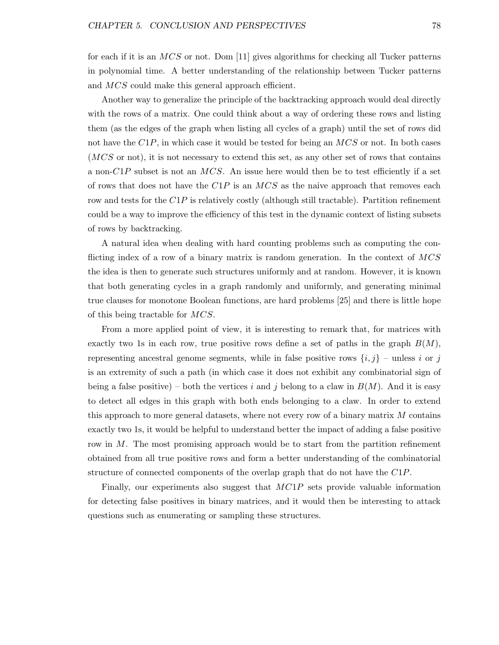for each if it is an  $MCS$  or not. Dom [11] gives algorithms for checking all Tucker patterns in polynomial time. A better understanding of the relationship between Tucker patterns and MCS could make this general approach efficient.

Another way to generalize the principle of the backtracking approach would deal directly with the rows of a matrix. One could think about a way of ordering these rows and listing them (as the edges of the graph when listing all cycles of a graph) until the set of rows did not have the  $C1P$ , in which case it would be tested for being an  $MCS$  or not. In both cases (MCS or not), it is not necessary to extend this set, as any other set of rows that contains a non- $C1P$  subset is not an MCS. An issue here would then be to test efficiently if a set of rows that does not have the  $C1P$  is an  $MCS$  as the naive approach that removes each row and tests for the  $C1P$  is relatively costly (although still tractable). Partition refinement could be a way to improve the efficiency of this test in the dynamic context of listing subsets of rows by backtracking.

A natural idea when dealing with hard counting problems such as computing the conflicting index of a row of a binary matrix is random generation. In the context of MCS the idea is then to generate such structures uniformly and at random. However, it is known that both generating cycles in a graph randomly and uniformly, and generating minimal true clauses for monotone Boolean functions, are hard problems [25] and there is little hope of this being tractable for MCS.

From a more applied point of view, it is interesting to remark that, for matrices with exactly two 1s in each row, true positive rows define a set of paths in the graph  $B(M)$ , representing ancestral genome segments, while in false positive rows  $\{i, j\}$  – unless i or j is an extremity of such a path (in which case it does not exhibit any combinatorial sign of being a false positive) – both the vertices i and j belong to a claw in  $B(M)$ . And it is easy to detect all edges in this graph with both ends belonging to a claw. In order to extend this approach to more general datasets, where not every row of a binary matrix  $M$  contains exactly two 1s, it would be helpful to understand better the impact of adding a false positive row in M. The most promising approach would be to start from the partition refinement obtained from all true positive rows and form a better understanding of the combinatorial structure of connected components of the overlap graph that do not have the C1P.

Finally, our experiments also suggest that  $MC1P$  sets provide valuable information for detecting false positives in binary matrices, and it would then be interesting to attack questions such as enumerating or sampling these structures.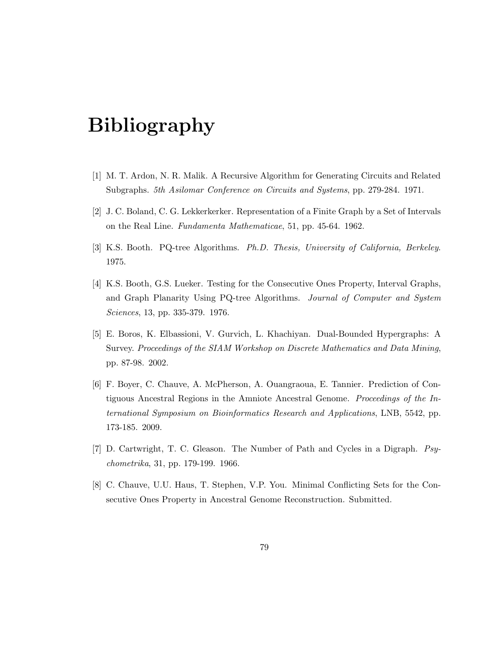# Bibliography

- [1] M. T. Ardon, N. R. Malik. A Recursive Algorithm for Generating Circuits and Related Subgraphs. 5th Asilomar Conference on Circuits and Systems, pp. 279-284. 1971.
- [2] J. C. Boland, C. G. Lekkerkerker. Representation of a Finite Graph by a Set of Intervals on the Real Line. Fundamenta Mathematicae, 51, pp. 45-64. 1962.
- [3] K.S. Booth. PQ-tree Algorithms. Ph.D. Thesis, University of California, Berkeley. 1975.
- [4] K.S. Booth, G.S. Lueker. Testing for the Consecutive Ones Property, Interval Graphs, and Graph Planarity Using PQ-tree Algorithms. Journal of Computer and System Sciences, 13, pp. 335-379. 1976.
- [5] E. Boros, K. Elbassioni, V. Gurvich, L. Khachiyan. Dual-Bounded Hypergraphs: A Survey. Proceedings of the SIAM Workshop on Discrete Mathematics and Data Mining, pp. 87-98. 2002.
- [6] F. Boyer, C. Chauve, A. McPherson, A. Ouangraoua, E. Tannier. Prediction of Contiguous Ancestral Regions in the Amniote Ancestral Genome. Proceedings of the International Symposium on Bioinformatics Research and Applications, LNB, 5542, pp. 173-185. 2009.
- [7] D. Cartwright, T. C. Gleason. The Number of Path and Cycles in a Digraph. Psychometrika, 31, pp. 179-199. 1966.
- [8] C. Chauve, U.U. Haus, T. Stephen, V.P. You. Minimal Conflicting Sets for the Consecutive Ones Property in Ancestral Genome Reconstruction. Submitted.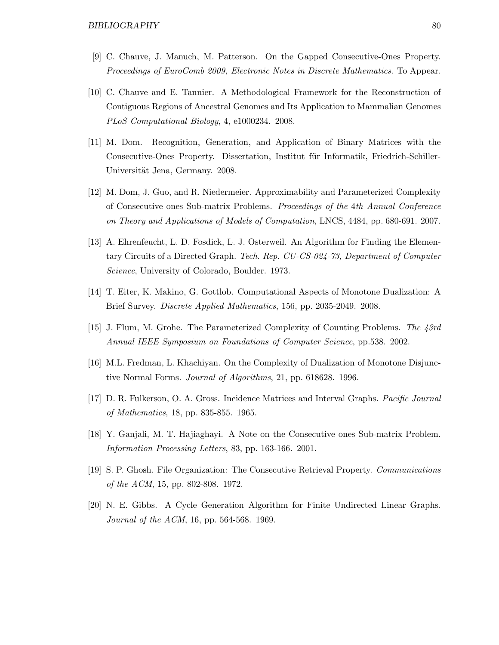- [9] C. Chauve, J. Manuch, M. Patterson. On the Gapped Consecutive-Ones Property. Proceedings of EuroComb 2009, Electronic Notes in Discrete Mathematics. To Appear.
- [10] C. Chauve and E. Tannier. A Methodological Framework for the Reconstruction of Contiguous Regions of Ancestral Genomes and Its Application to Mammalian Genomes PLoS Computational Biology, 4, e1000234. 2008.
- [11] M. Dom. Recognition, Generation, and Application of Binary Matrices with the Consecutive-Ones Property. Dissertation, Institut für Informatik, Friedrich-Schiller-Universität Jena, Germany. 2008.
- [12] M. Dom, J. Guo, and R. Niedermeier. Approximability and Parameterized Complexity of Consecutive ones Sub-matrix Problems. Proceedings of the 4th Annual Conference on Theory and Applications of Models of Computation, LNCS, 4484, pp. 680-691. 2007.
- [13] A. Ehrenfeucht, L. D. Fosdick, L. J. Osterweil. An Algorithm for Finding the Elementary Circuits of a Directed Graph. Tech. Rep. CU-CS-024-73, Department of Computer Science, University of Colorado, Boulder. 1973.
- [14] T. Eiter, K. Makino, G. Gottlob. Computational Aspects of Monotone Dualization: A Brief Survey. Discrete Applied Mathematics, 156, pp. 2035-2049. 2008.
- [15] J. Flum, M. Grohe. The Parameterized Complexity of Counting Problems. The 43rd Annual IEEE Symposium on Foundations of Computer Science, pp.538. 2002.
- [16] M.L. Fredman, L. Khachiyan. On the Complexity of Dualization of Monotone Disjunctive Normal Forms. Journal of Algorithms, 21, pp. 618628. 1996.
- [17] D. R. Fulkerson, O. A. Gross. Incidence Matrices and Interval Graphs. Pacific Journal of Mathematics, 18, pp. 835-855. 1965.
- [18] Y. Ganjali, M. T. Hajiaghayi. A Note on the Consecutive ones Sub-matrix Problem. Information Processing Letters, 83, pp. 163-166. 2001.
- [19] S. P. Ghosh. File Organization: The Consecutive Retrieval Property. Communications of the ACM, 15, pp. 802-808. 1972.
- [20] N. E. Gibbs. A Cycle Generation Algorithm for Finite Undirected Linear Graphs. Journal of the ACM, 16, pp. 564-568. 1969.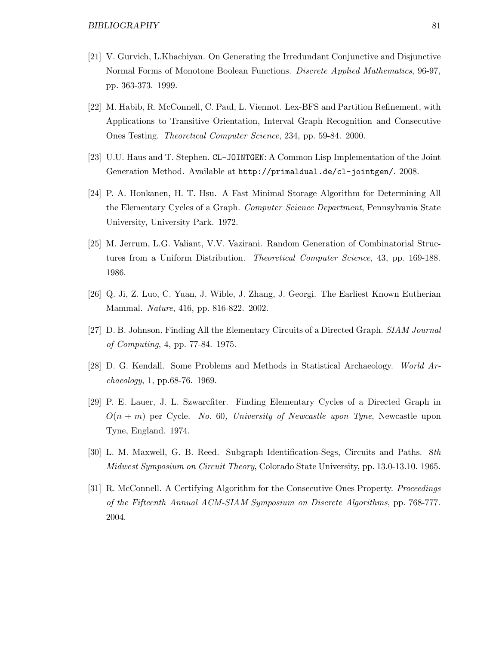- [21] V. Gurvich, L.Khachiyan. On Generating the Irredundant Conjunctive and Disjunctive Normal Forms of Monotone Boolean Functions. Discrete Applied Mathematics, 96-97, pp. 363-373. 1999.
- [22] M. Habib, R. McConnell, C. Paul, L. Viennot. Lex-BFS and Partition Refinement, with Applications to Transitive Orientation, Interval Graph Recognition and Consecutive Ones Testing. Theoretical Computer Science, 234, pp. 59-84. 2000.
- [23] U.U. Haus and T. Stephen. CL-JOINTGEN: A Common Lisp Implementation of the Joint Generation Method. Available at http://primaldual.de/cl-jointgen/. 2008.
- [24] P. A. Honkanen, H. T. Hsu. A Fast Minimal Storage Algorithm for Determining All the Elementary Cycles of a Graph. Computer Science Department, Pennsylvania State University, University Park. 1972.
- [25] M. Jerrum, L.G. Valiant, V.V. Vazirani. Random Generation of Combinatorial Structures from a Uniform Distribution. Theoretical Computer Science, 43, pp. 169-188. 1986.
- [26] Q. Ji, Z. Luo, C. Yuan, J. Wible, J. Zhang, J. Georgi. The Earliest Known Eutherian Mammal. Nature, 416, pp. 816-822. 2002.
- [27] D. B. Johnson. Finding All the Elementary Circuits of a Directed Graph. SIAM Journal of Computing, 4, pp. 77-84. 1975.
- [28] D. G. Kendall. Some Problems and Methods in Statistical Archaeology. World Archaeology, 1, pp.68-76. 1969.
- [29] P. E. Lauer, J. L. Szwarcfiter. Finding Elementary Cycles of a Directed Graph in  $O(n + m)$  per Cycle. No. 60, University of Newcastle upon Tyne, Newcastle upon Tyne, England. 1974.
- [30] L. M. Maxwell, G. B. Reed. Subgraph Identification-Segs, Circuits and Paths. 8th Midwest Symposium on Circuit Theory, Colorado State University, pp. 13.0-13.10. 1965.
- [31] R. McConnell. A Certifying Algorithm for the Consecutive Ones Property. Proceedings of the Fifteenth Annual ACM-SIAM Symposium on Discrete Algorithms, pp. 768-777. 2004.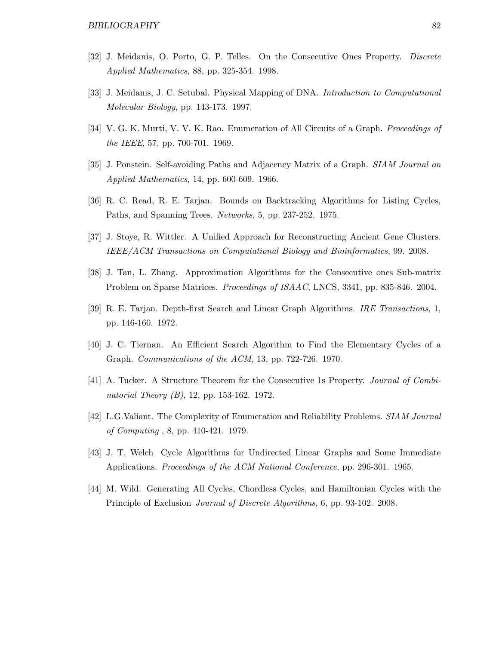- [32] J. Meidanis, O. Porto, G. P. Telles. On the Consecutive Ones Property. Discrete Applied Mathematics, 88, pp. 325-354. 1998.
- [33] J. Meidanis, J. C. Setubal. Physical Mapping of DNA. *Introduction to Computational* Molecular Biology, pp. 143-173. 1997.
- [34] V. G. K. Murti, V. V. K. Rao. Enumeration of All Circuits of a Graph. *Proceedings of* the IEEE, 57, pp. 700-701. 1969.
- [35] J. Ponstein. Self-avoiding Paths and Adjacency Matrix of a Graph. *SIAM Journal on* Applied Mathematics, 14, pp. 600-609. 1966.
- [36] R. C. Read, R. E. Tarjan. Bounds on Backtracking Algorithms for Listing Cycles, Paths, and Spanning Trees. Networks, 5, pp. 237-252. 1975.
- [37] J. Stoye, R. Wittler. A Unified Approach for Reconstructing Ancient Gene Clusters. IEEE/ACM Transactions on Computational Biology and Bioinformatics, 99. 2008.
- [38] J. Tan, L. Zhang. Approximation Algorithms for the Consecutive ones Sub-matrix Problem on Sparse Matrices. Proceedings of ISAAC, LNCS, 3341, pp. 835-846. 2004.
- [39] R. E. Tarjan. Depth-first Search and Linear Graph Algorithms. IRE Transactions, 1, pp. 146-160. 1972.
- [40] J. C. Tiernan. An Efficient Search Algorithm to Find the Elementary Cycles of a Graph. Communications of the ACM, 13, pp. 722-726. 1970.
- [41] A. Tucker. A Structure Theorem for the Consecutive 1s Property. Journal of Combinatorial Theory (B), 12, pp. 153-162. 1972.
- [42] L.G.Valiant. The Complexity of Enumeration and Reliability Problems. SIAM Journal of Computing , 8, pp. 410-421. 1979.
- [43] J. T. Welch Cycle Algorithms for Undirected Linear Graphs and Some Immediate Applications. Proceedings of the ACM National Conference, pp. 296-301. 1965.
- [44] M. Wild. Generating All Cycles, Chordless Cycles, and Hamiltonian Cycles with the Principle of Exclusion Journal of Discrete Algorithms, 6, pp. 93-102. 2008.